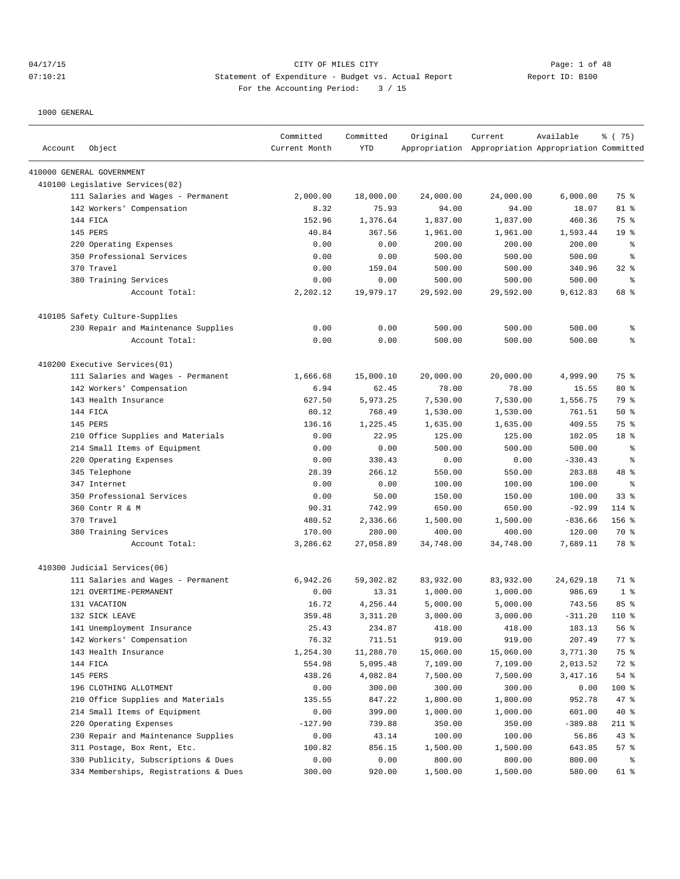## 04/17/15 CITY OF MILES CITY CONTRIES CONTRIES CONTRIES CONTRIBUTE 1 OF 48<br>07:10:21 CITER Statement of Expenditure - Budget vs. Actual Report 07:10:21 Statement of Expenditure - Budget vs. Actual Report For the Accounting Period: 3 / 15

| Account | Object                                | Committed<br>Current Month | Committed<br>YTD | Original  | Current<br>Appropriation Appropriation Appropriation Committed | Available | 8 (75)          |
|---------|---------------------------------------|----------------------------|------------------|-----------|----------------------------------------------------------------|-----------|-----------------|
|         | 410000 GENERAL GOVERNMENT             |                            |                  |           |                                                                |           |                 |
|         | 410100 Legislative Services(02)       |                            |                  |           |                                                                |           |                 |
|         | 111 Salaries and Wages - Permanent    | 2,000.00                   | 18,000.00        | 24,000.00 | 24,000.00                                                      | 6,000.00  | 75 %            |
|         | 142 Workers' Compensation             | 8.32                       | 75.93            | 94.00     | 94.00                                                          | 18.07     | 81 %            |
|         | 144 FICA                              | 152.96                     | 1,376.64         | 1,837.00  | 1,837.00                                                       | 460.36    | 75 %            |
|         | 145 PERS                              | 40.84                      | 367.56           | 1,961.00  | 1,961.00                                                       | 1,593.44  | 19 <sup>°</sup> |
|         | 220 Operating Expenses                | 0.00                       | 0.00             | 200.00    | 200.00                                                         | 200.00    | န္              |
|         | 350 Professional Services             | 0.00                       | 0.00             | 500.00    | 500.00                                                         | 500.00    | g               |
|         | 370 Travel                            | 0.00                       | 159.04           | 500.00    | 500.00                                                         | 340.96    | $32$ $%$        |
|         | 380 Training Services                 | 0.00                       | 0.00             | 500.00    | 500.00                                                         | 500.00    | ి               |
|         | Account Total:                        | 2,202.12                   | 19,979.17        | 29,592.00 | 29,592.00                                                      | 9,612.83  | 68 %            |
|         | 410105 Safety Culture-Supplies        |                            |                  |           |                                                                |           |                 |
|         | 230 Repair and Maintenance Supplies   | 0.00                       | 0.00             | 500.00    | 500.00                                                         | 500.00    | န့              |
|         | Account Total:                        | 0.00                       | 0.00             | 500.00    | 500.00                                                         | 500.00    | ి               |
|         | 410200 Executive Services(01)         |                            |                  |           |                                                                |           |                 |
|         | 111 Salaries and Wages - Permanent    | 1,666.68                   | 15,000.10        | 20,000.00 | 20,000.00                                                      | 4,999.90  | 75 %            |
|         | 142 Workers' Compensation             | 6.94                       | 62.45            | 78.00     | 78.00                                                          | 15.55     | $80*$           |
|         | 143 Health Insurance                  | 627.50                     | 5,973.25         | 7,530.00  | 7,530.00                                                       | 1,556.75  | 79 %            |
|         | 144 FICA                              | 80.12                      | 768.49           | 1,530.00  | 1,530.00                                                       | 761.51    | 50%             |
|         | 145 PERS                              | 136.16                     | 1,225.45         | 1,635.00  | 1,635.00                                                       | 409.55    | 75 %            |
|         | 210 Office Supplies and Materials     | 0.00                       | 22.95            | 125.00    | 125.00                                                         | 102.05    | 18 %            |
|         | 214 Small Items of Equipment          | 0.00                       | 0.00             | 500.00    | 500.00                                                         | 500.00    | န့              |
| 220     | Operating Expenses                    | 0.00                       | 330.43           | 0.00      | 0.00                                                           | $-330.43$ | န္              |
|         | 345 Telephone                         | 28.39                      | 266.12           | 550.00    | 550.00                                                         | 283.88    | 48 %            |
|         | 347 Internet                          | 0.00                       | 0.00             | 100.00    | 100.00                                                         | 100.00    | န့              |
|         | 350 Professional Services             | 0.00                       | 50.00            | 150.00    | 150.00                                                         | 100.00    | 33 <sup>8</sup> |
|         | 360 Contr R & M                       | 90.31                      | 742.99           | 650.00    | 650.00                                                         | $-92.99$  | $114$ %         |
|         | 370 Travel                            | 480.52                     | 2,336.66         | 1,500.00  | 1,500.00                                                       | $-836.66$ | $156$ %         |
|         | 380 Training Services                 | 170.00                     | 280.00           | 400.00    | 400.00                                                         | 120.00    | 70 %            |
|         | Account Total:                        | 3,286.62                   | 27,058.89        | 34,748.00 | 34,748.00                                                      | 7,689.11  | 78 %            |
|         | 410300 Judicial Services(06)          |                            |                  |           |                                                                |           |                 |
|         | 111 Salaries and Wages - Permanent    | 6,942.26                   | 59,302.82        | 83,932.00 | 83,932.00                                                      | 24,629.18 | 71 %            |
|         | 121 OVERTIME-PERMANENT                | 0.00                       | 13.31            | 1,000.00  | 1,000.00                                                       | 986.69    | 1 <sup>°</sup>  |
|         | 131 VACATION                          | 16.72                      | 4,256.44         | 5,000.00  | 5,000.00                                                       | 743.56    | 85%             |
|         | 132 SICK LEAVE                        | 359.48                     | 3,311.20         | 3,000.00  | 3,000.00                                                       | $-311.20$ | $110*$          |
|         | 141 Unemployment Insurance            | 25.43                      | 234.87           | 418.00    | 418.00                                                         | 183.13    | 56 %            |
|         | 142 Workers' Compensation             | 76.32                      | 711.51           | 919.00    | 919.00                                                         | 207.49    | $77$ %          |
|         | 143 Health Insurance                  | 1,254.30                   | 11,288.70        | 15,060.00 | 15,060.00                                                      | 3,771.30  | 75 %            |
|         | 144 FICA                              | 554.98                     | 5,095.48         | 7,109.00  | 7,109.00                                                       | 2,013.52  | 72 %            |
|         | 145 PERS                              | 438.26                     | 4,082.84         | 7,500.00  | 7,500.00                                                       | 3,417.16  | $54$ $%$        |
|         | 196 CLOTHING ALLOTMENT                | 0.00                       | 300.00           | 300.00    | 300.00                                                         | 0.00      | 100 %           |
| 210     | Office Supplies and Materials         | 135.55                     | 847.22           | 1,800.00  | 1,800.00                                                       | 952.78    | 47 %            |
|         | 214 Small Items of Equipment          | 0.00                       | 399.00           | 1,000.00  | 1,000.00                                                       | 601.00    | $40*$           |
|         | 220 Operating Expenses                | $-127.90$                  | 739.88           | 350.00    | 350.00                                                         | $-389.88$ | $211$ %         |
|         | 230 Repair and Maintenance Supplies   | 0.00                       | 43.14            | 100.00    | 100.00                                                         | 56.86     | 43%             |
|         | 311 Postage, Box Rent, Etc.           | 100.82                     | 856.15           | 1,500.00  | 1,500.00                                                       | 643.85    | 57%             |
|         | 330 Publicity, Subscriptions & Dues   | 0.00                       | 0.00             | 800.00    | 800.00                                                         | 800.00    | ႜွ              |
|         | 334 Memberships, Registrations & Dues | 300.00                     | 920.00           | 1,500.00  | 1,500.00                                                       | 580.00    | 61 %            |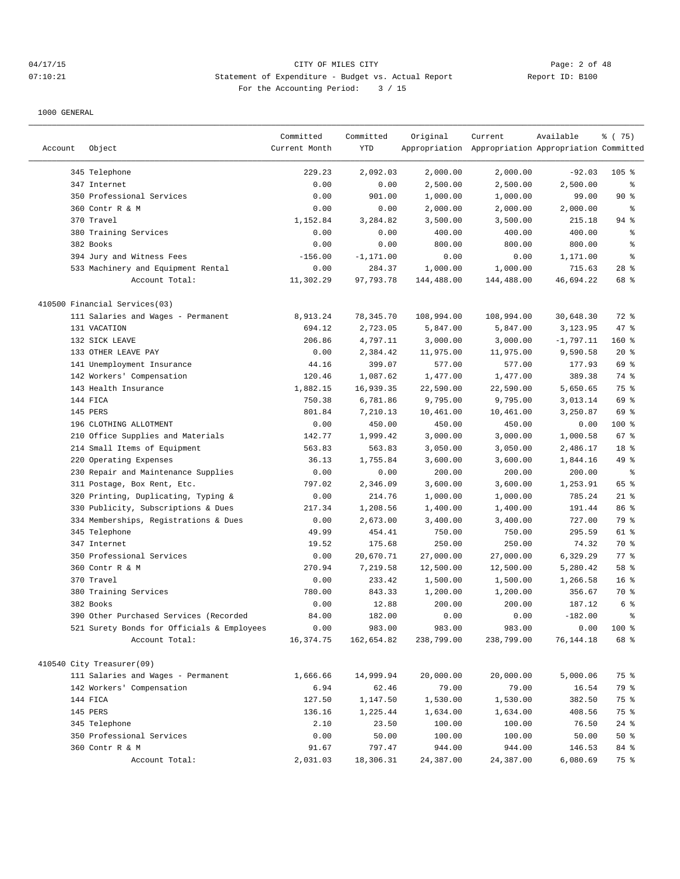# 04/17/15 CITY OF MILES CITY Page: 2 of 48 07:10:21 Statement of Expenditure - Budget vs. Actual Report Report ID: B100 For the Accounting Period: 3 / 15

|         |                                            | Committed     | Committed    | Original   | Current                                             | Available   | 8 (75)          |
|---------|--------------------------------------------|---------------|--------------|------------|-----------------------------------------------------|-------------|-----------------|
| Account | Object                                     | Current Month | YTD          |            | Appropriation Appropriation Appropriation Committed |             |                 |
|         | 345 Telephone                              | 229.23        | 2,092.03     | 2,000.00   | 2,000.00                                            | $-92.03$    | $105$ %         |
|         | 347 Internet                               | 0.00          | 0.00         | 2,500.00   | 2,500.00                                            | 2,500.00    | နွ              |
|         | 350 Professional Services                  | 0.00          | 901.00       | 1,000.00   | 1,000.00                                            | 99.00       | 90%             |
|         | 360 Contr R & M                            | 0.00          | 0.00         | 2,000.00   | 2,000.00                                            | 2,000.00    | $\epsilon$      |
|         | 370 Travel                                 | 1,152.84      | 3,284.82     | 3,500.00   | 3,500.00                                            | 215.18      | $94$ %          |
|         | 380 Training Services                      | 0.00          | 0.00         | 400.00     | 400.00                                              | 400.00      | ి               |
|         | 382 Books                                  | 0.00          | 0.00         | 800.00     | 800.00                                              | 800.00      | န္              |
|         | 394 Jury and Witness Fees                  | $-156.00$     | $-1, 171.00$ | 0.00       | 0.00                                                | 1,171.00    | န္              |
|         | 533 Machinery and Equipment Rental         | 0.00          | 284.37       | 1,000.00   | 1,000.00                                            | 715.63      | $28$ %          |
|         | Account Total:                             | 11,302.29     | 97,793.78    | 144,488.00 | 144,488.00                                          | 46,694.22   | 68 %            |
|         | 410500 Financial Services(03)              |               |              |            |                                                     |             |                 |
|         | 111 Salaries and Wages - Permanent         | 8,913.24      | 78, 345. 70  | 108,994.00 | 108,994.00                                          | 30,648.30   | 72 %            |
|         | 131 VACATION                               | 694.12        | 2,723.05     | 5,847.00   | 5,847.00                                            | 3,123.95    | 47 %            |
|         | 132 SICK LEAVE                             | 206.86        | 4,797.11     | 3,000.00   | 3,000.00                                            | $-1,797.11$ | 160%            |
|         | 133 OTHER LEAVE PAY                        | 0.00          | 2,384.42     | 11,975.00  | 11,975.00                                           | 9,590.58    | $20*$           |
|         | 141 Unemployment Insurance                 | 44.16         | 399.07       | 577.00     | 577.00                                              | 177.93      | 69 %            |
|         | 142 Workers' Compensation                  | 120.46        | 1,087.62     | 1,477.00   | 1,477.00                                            | 389.38      | 74 %            |
|         | 143 Health Insurance                       | 1,882.15      | 16,939.35    | 22,590.00  | 22,590.00                                           | 5,650.65    | 75 %            |
|         | 144 FICA                                   | 750.38        | 6,781.86     | 9,795.00   | 9,795.00                                            | 3,013.14    | 69 %            |
|         | 145 PERS                                   | 801.84        | 7,210.13     | 10,461.00  | 10,461.00                                           | 3,250.87    | 69 %            |
|         | 196 CLOTHING ALLOTMENT                     | 0.00          | 450.00       | 450.00     | 450.00                                              | 0.00        | $100$ %         |
|         | 210 Office Supplies and Materials          | 142.77        | 1,999.42     | 3,000.00   | 3,000.00                                            | 1,000.58    | 67%             |
|         | 214 Small Items of Equipment               | 563.83        | 563.83       | 3,050.00   | 3,050.00                                            | 2,486.17    | 18 %            |
|         | 220 Operating Expenses                     | 36.13         | 1,755.84     | 3,600.00   | 3,600.00                                            | 1,844.16    | 49 %            |
|         | 230 Repair and Maintenance Supplies        | 0.00          | 0.00         | 200.00     | 200.00                                              | 200.00      | $\epsilon$      |
|         | 311 Postage, Box Rent, Etc.                | 797.02        | 2,346.09     | 3,600.00   | 3,600.00                                            | 1,253.91    | 65 %            |
|         | 320 Printing, Duplicating, Typing &        | 0.00          | 214.76       | 1,000.00   | 1,000.00                                            | 785.24      | $21$ %          |
|         | 330 Publicity, Subscriptions & Dues        | 217.34        | 1,208.56     | 1,400.00   | 1,400.00                                            | 191.44      | 86 %            |
|         | 334 Memberships, Registrations & Dues      | 0.00          | 2,673.00     | 3,400.00   | 3,400.00                                            | 727.00      | 79 %            |
|         | 345 Telephone                              | 49.99         | 454.41       | 750.00     | 750.00                                              | 295.59      | $61$ %          |
|         | 347 Internet                               | 19.52         | 175.68       | 250.00     | 250.00                                              | 74.32       | 70 %            |
|         | 350 Professional Services                  | 0.00          | 20,670.71    | 27,000.00  | 27,000.00                                           | 6,329.29    | $77$ $%$        |
|         | 360 Contr R & M                            | 270.94        | 7,219.58     | 12,500.00  | 12,500.00                                           | 5,280.42    | 58 %            |
|         | 370 Travel                                 | 0.00          | 233.42       | 1,500.00   | 1,500.00                                            | 1,266.58    | 16 <sup>8</sup> |
|         | 380 Training Services                      | 780.00        | 843.33       | 1,200.00   | 1,200.00                                            | 356.67      | 70 %            |
|         | 382 Books                                  | 0.00          | 12.88        | 200.00     | 200.00                                              | 187.12      | 6 %             |
|         | 390 Other Purchased Services (Recorded     | 84.00         | 182.00       | 0.00       | 0.00                                                | $-182.00$   | ి               |
|         | 521 Surety Bonds for Officials & Employees | 0.00          | 983.00       | 983.00     | 983.00                                              | 0.00        | 100 %           |
|         | Account Total:                             | 16, 374. 75   | 162,654.82   | 238,799.00 | 238,799.00                                          | 76, 144. 18 | 68 %            |
|         | 410540 City Treasurer(09)                  |               |              |            |                                                     |             |                 |
|         | 111 Salaries and Wages - Permanent         | 1,666.66      | 14,999.94    | 20,000.00  | 20,000.00                                           | 5,000.06    | 75 %            |
|         | 142 Workers' Compensation                  | 6.94          | 62.46        | 79.00      | 79.00                                               | 16.54       | 79 %            |
|         | 144 FICA                                   | 127.50        | 1,147.50     | 1,530.00   | 1,530.00                                            | 382.50      | 75 %            |
|         | 145 PERS                                   | 136.16        | 1,225.44     | 1,634.00   | 1,634.00                                            | 408.56      | 75 %            |
|         | 345 Telephone                              | 2.10          | 23.50        | 100.00     | 100.00                                              | 76.50       | $24$ %          |
|         | 350 Professional Services                  | 0.00          | 50.00        | 100.00     | 100.00                                              | 50.00       | 50%             |
|         | 360 Contr R & M                            | 91.67         | 797.47       | 944.00     | 944.00                                              | 146.53      | 84 %            |
|         | Account Total:                             | 2,031.03      | 18,306.31    | 24,387.00  | 24,387.00                                           | 6,080.69    | 75 %            |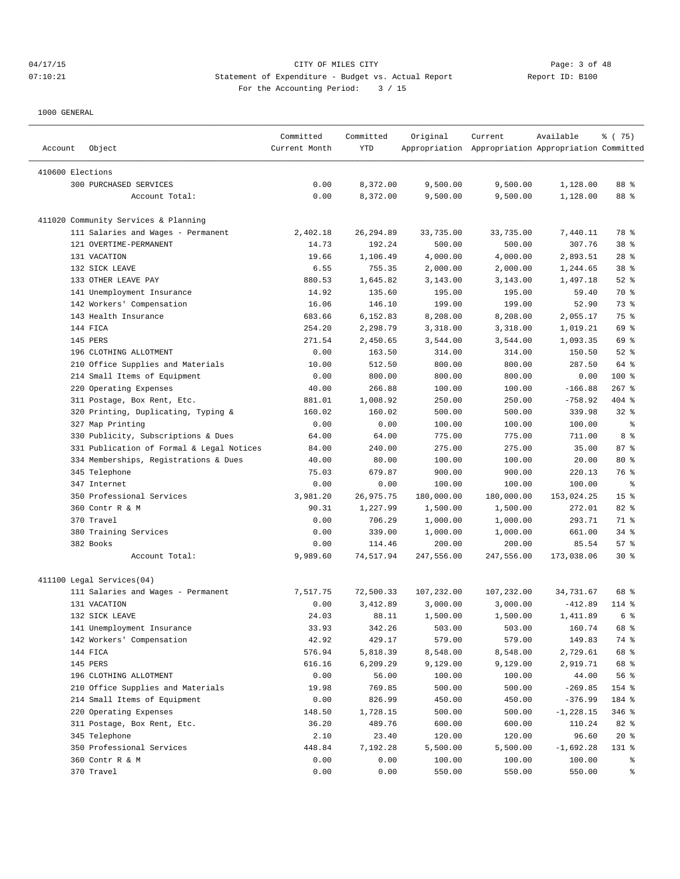|                  |                                           | Committed     | Committed  | Original   | Current                                             | Available   | % (75)          |
|------------------|-------------------------------------------|---------------|------------|------------|-----------------------------------------------------|-------------|-----------------|
| Account          | Object                                    | Current Month | YTD        |            | Appropriation Appropriation Appropriation Committed |             |                 |
| 410600 Elections |                                           |               |            |            |                                                     |             |                 |
|                  | 300 PURCHASED SERVICES                    | 0.00          | 8,372.00   | 9,500.00   | 9,500.00                                            | 1,128.00    | 88 %            |
|                  | Account Total:                            | 0.00          | 8,372.00   | 9,500.00   | 9,500.00                                            | 1,128.00    | 88 %            |
|                  |                                           |               |            |            |                                                     |             |                 |
|                  | 411020 Community Services & Planning      |               |            |            |                                                     |             |                 |
|                  | 111 Salaries and Wages - Permanent        | 2,402.18      | 26, 294.89 | 33,735.00  | 33,735.00                                           | 7,440.11    | 78 %            |
|                  | 121 OVERTIME-PERMANENT                    | 14.73         | 192.24     | 500.00     | 500.00                                              | 307.76      | 38 %            |
|                  | 131 VACATION                              | 19.66         | 1,106.49   | 4,000.00   | 4,000.00                                            | 2,893.51    | $28$ %          |
|                  | 132 SICK LEAVE                            | 6.55          | 755.35     | 2,000.00   | 2,000.00                                            | 1,244.65    | 38 %            |
|                  | 133 OTHER LEAVE PAY                       | 880.53        | 1,645.82   | 3,143.00   | 3,143.00                                            | 1,497.18    | $52$ $%$        |
|                  | 141 Unemployment Insurance                | 14.92         | 135.60     | 195.00     | 195.00                                              | 59.40       | 70 %            |
|                  | 142 Workers' Compensation                 | 16.06         | 146.10     | 199.00     | 199.00                                              | 52.90       | 73 %            |
|                  | 143 Health Insurance                      | 683.66        | 6,152.83   | 8,208.00   | 8,208.00                                            | 2,055.17    | 75 %            |
|                  | 144 FICA                                  | 254.20        | 2,298.79   | 3,318.00   | 3,318.00                                            | 1,019.21    | 69 %            |
|                  | 145 PERS                                  | 271.54        | 2,450.65   | 3,544.00   | 3,544.00                                            | 1,093.35    | 69 %            |
|                  | 196 CLOTHING ALLOTMENT                    | 0.00          | 163.50     | 314.00     | 314.00                                              | 150.50      | $52$ $%$        |
|                  | 210 Office Supplies and Materials         | 10.00         | 512.50     | 800.00     | 800.00                                              | 287.50      | 64 %            |
|                  | 214 Small Items of Equipment              | 0.00          | 800.00     | 800.00     | 800.00                                              | 0.00        | 100 %           |
|                  | 220 Operating Expenses                    | 40.00         | 266.88     | 100.00     | 100.00                                              | $-166.88$   | $267$ %         |
|                  | 311 Postage, Box Rent, Etc.               | 881.01        | 1,008.92   | 250.00     | 250.00                                              | $-758.92$   | 404 %           |
|                  | 320 Printing, Duplicating, Typing &       | 160.02        | 160.02     | 500.00     | 500.00                                              | 339.98      | $32$ $%$        |
|                  | 327 Map Printing                          | 0.00          | 0.00       | 100.00     | 100.00                                              | 100.00      | နွ              |
|                  | 330 Publicity, Subscriptions & Dues       | 64.00         | 64.00      | 775.00     | 775.00                                              | 711.00      | 8 %             |
|                  | 331 Publication of Formal & Legal Notices | 84.00         | 240.00     | 275.00     | 275.00                                              | 35.00       | 87 %            |
|                  | 334 Memberships, Registrations & Dues     | 40.00         | 80.00      | 100.00     | 100.00                                              | 20.00       | $80*$           |
|                  | 345 Telephone                             | 75.03         | 679.87     | 900.00     | 900.00                                              | 220.13      | 76 %            |
|                  | 347 Internet                              | 0.00          | 0.00       | 100.00     | 100.00                                              | 100.00      | နွ              |
|                  | 350 Professional Services                 | 3,981.20      | 26,975.75  | 180,000.00 | 180,000.00                                          | 153,024.25  | 15 <sup>°</sup> |
|                  | 360 Contr R & M                           | 90.31         | 1,227.99   | 1,500.00   | 1,500.00                                            | 272.01      | 82 %            |
|                  | 370 Travel                                | 0.00          | 706.29     | 1,000.00   | 1,000.00                                            | 293.71      | 71 %            |
|                  | 380 Training Services                     | 0.00          | 339.00     | 1,000.00   | 1,000.00                                            | 661.00      | $34$ %          |
|                  | 382 Books                                 | 0.00          | 114.46     | 200.00     | 200.00                                              | 85.54       | 57%             |
|                  | Account Total:                            | 9,989.60      | 74,517.94  | 247,556.00 | 247,556.00                                          | 173,038.06  | $30*$           |
|                  |                                           |               |            |            |                                                     |             |                 |
|                  | 411100 Legal Services(04)                 |               |            |            |                                                     |             |                 |
|                  | 111 Salaries and Wages - Permanent        | 7,517.75      | 72,500.33  | 107,232.00 | 107,232.00                                          | 34,731.67   | 68 %            |
|                  | 131 VACATION                              | 0.00          | 3,412.89   | 3,000.00   | 3,000.00                                            | $-412.89$   | 114 %           |
|                  | 132 SICK LEAVE                            | 24.03         | 88.11      | 1,500.00   | 1,500.00                                            | 1,411.89    | 6 %             |
|                  | 141 Unemployment Insurance                | 33.93         | 342.26     | 503.00     | 503.00                                              | 160.74      | 68 %            |
|                  | 142 Workers' Compensation                 | 42.92         | 429.17     | 579.00     | 579.00                                              | 149.83      | 74 %            |
|                  | 144 FICA                                  | 576.94        | 5,818.39   | 8,548.00   | 8,548.00                                            | 2,729.61    | 68 %            |
|                  | 145 PERS                                  | 616.16        | 6,209.29   | 9,129.00   | 9,129.00                                            | 2,919.71    | 68 %            |
|                  | 196 CLOTHING ALLOTMENT                    | 0.00          | 56.00      | 100.00     | 100.00                                              | 44.00       | 56 %            |
|                  | 210 Office Supplies and Materials         | 19.98         | 769.85     | 500.00     | 500.00                                              | $-269.85$   | 154 %           |
|                  | 214 Small Items of Equipment              | 0.00          | 826.99     | 450.00     | 450.00                                              | $-376.99$   | 184 %           |
|                  | 220 Operating Expenses                    | 148.50        | 1,728.15   | 500.00     | 500.00                                              | $-1,228.15$ | $346$ %         |
|                  | 311 Postage, Box Rent, Etc.               | 36.20         | 489.76     | 600.00     | 600.00                                              | 110.24      | 82 %            |
|                  | 345 Telephone                             | 2.10          | 23.40      | 120.00     | 120.00                                              | 96.60       | $20*$           |
|                  | 350 Professional Services                 | 448.84        | 7,192.28   | 5,500.00   | 5,500.00                                            | $-1,692.28$ | 131 %           |
|                  | 360 Contr R & M                           | 0.00          | 0.00       | 100.00     | 100.00                                              | 100.00      | ႜૢ              |
|                  | 370 Travel                                | 0.00          | 0.00       | 550.00     | 550.00                                              | 550.00      | ွေ              |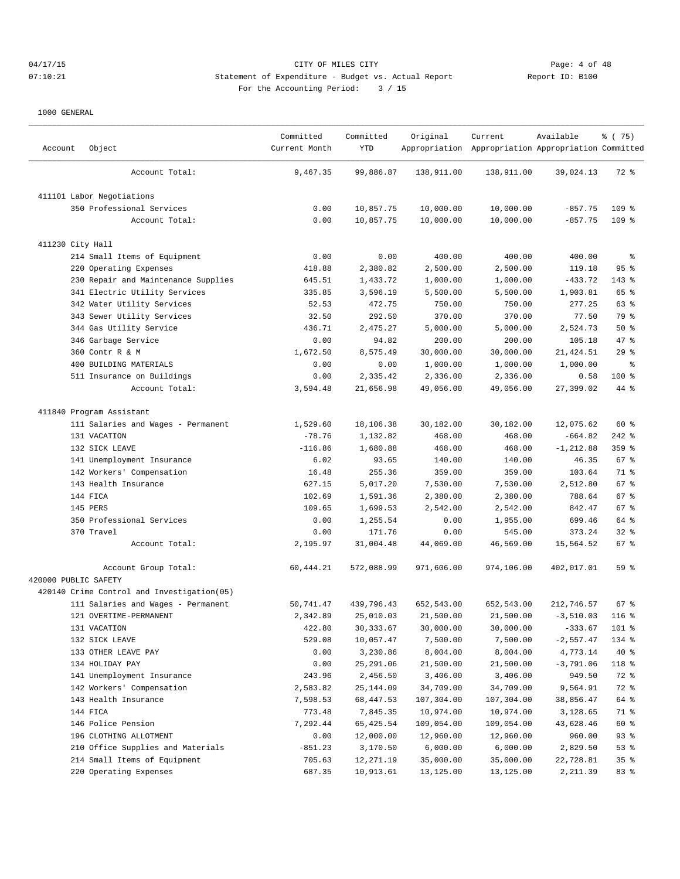## 04/17/15 Page: 4 of 48 07:10:21 Statement of Expenditure - Budget vs. Actual Report Changer Report ID: B100 For the Accounting Period: 3 / 15

| Account              | Object                                     | Committed<br>Current Month | Committed<br>YTD | Original   | Current<br>Appropriation Appropriation Appropriation Committed | Available    | % (75)   |
|----------------------|--------------------------------------------|----------------------------|------------------|------------|----------------------------------------------------------------|--------------|----------|
|                      | Account Total:                             | 9,467.35                   | 99,886.87        | 138,911.00 | 138,911.00                                                     | 39,024.13    | 72 %     |
|                      | 411101 Labor Negotiations                  |                            |                  |            |                                                                |              |          |
|                      | 350 Professional Services                  | 0.00                       | 10,857.75        | 10,000.00  | 10,000.00                                                      | $-857.75$    | 109 %    |
|                      | Account Total:                             | 0.00                       | 10,857.75        | 10,000.00  | 10,000.00                                                      | $-857.75$    | $109$ %  |
| 411230 City Hall     |                                            |                            |                  |            |                                                                |              |          |
|                      | 214 Small Items of Equipment               | 0.00                       | 0.00             | 400.00     | 400.00                                                         | 400.00       | ႜ        |
|                      | 220 Operating Expenses                     | 418.88                     | 2,380.82         | 2,500.00   | 2,500.00                                                       | 119.18       | 95%      |
|                      | 230 Repair and Maintenance Supplies        | 645.51                     | 1,433.72         | 1,000.00   | 1,000.00                                                       | $-433.72$    | 143 %    |
|                      | 341 Electric Utility Services              | 335.85                     | 3,596.19         | 5,500.00   | 5,500.00                                                       | 1,903.81     | 65 %     |
|                      | 342 Water Utility Services                 | 52.53                      | 472.75           | 750.00     | 750.00                                                         | 277.25       | 63 %     |
|                      | 343 Sewer Utility Services                 | 32.50                      | 292.50           | 370.00     | 370.00                                                         | 77.50        | 79 %     |
|                      | 344 Gas Utility Service                    | 436.71                     | 2,475.27         | 5,000.00   | 5,000.00                                                       | 2,524.73     | 50%      |
|                      | 346 Garbage Service                        | 0.00                       | 94.82            | 200.00     | 200.00                                                         | 105.18       | 47 %     |
|                      | 360 Contr R & M                            | 1,672.50                   | 8,575.49         | 30,000.00  | 30,000.00                                                      | 21, 424.51   | 29%      |
|                      | 400 BUILDING MATERIALS                     | 0.00                       | 0.00             | 1,000.00   | 1,000.00                                                       | 1,000.00     | ႜ        |
|                      | 511 Insurance on Buildings                 | 0.00                       | 2,335.42         | 2,336.00   | 2,336.00                                                       | 0.58         | $100$ %  |
|                      | Account Total:                             | 3,594.48                   | 21,656.98        | 49,056.00  | 49,056.00                                                      | 27,399.02    | 44 %     |
|                      | 411840 Program Assistant                   |                            |                  |            |                                                                |              |          |
|                      | 111 Salaries and Wages - Permanent         | 1,529.60                   | 18,106.38        | 30,182.00  | 30,182.00                                                      | 12,075.62    | 60 %     |
|                      | 131 VACATION                               | $-78.76$                   | 1,132.82         | 468.00     | 468.00                                                         | $-664.82$    | $242$ %  |
|                      | 132 SICK LEAVE                             | $-116.86$                  | 1,680.88         | 468.00     | 468.00                                                         | $-1, 212.88$ | 359 %    |
|                      | 141 Unemployment Insurance                 | 6.02                       | 93.65            | 140.00     | 140.00                                                         | 46.35        | 67 %     |
|                      | 142 Workers' Compensation                  | 16.48                      | 255.36           | 359.00     | 359.00                                                         | 103.64       | 71 %     |
|                      | 143 Health Insurance                       | 627.15                     | 5,017.20         | 7,530.00   | 7,530.00                                                       | 2,512.80     | 67 %     |
|                      | 144 FICA                                   | 102.69                     | 1,591.36         | 2,380.00   | 2,380.00                                                       | 788.64       | 67%      |
|                      | 145 PERS                                   | 109.65                     | 1,699.53         | 2,542.00   | 2,542.00                                                       | 842.47       | 67%      |
|                      | 350 Professional Services                  | 0.00                       | 1,255.54         | 0.00       | 1,955.00                                                       | 699.46       | 64 %     |
|                      | 370 Travel                                 | 0.00                       | 171.76           | 0.00       | 545.00                                                         | 373.24       | $32$ $%$ |
|                      | Account Total:                             | 2,195.97                   | 31,004.48        | 44,069.00  | 46,569.00                                                      | 15,564.52    | 67%      |
|                      | Account Group Total:                       | 60, 444.21                 | 572,088.99       | 971,606.00 | 974,106.00                                                     | 402,017.01   | 59 %     |
| 420000 PUBLIC SAFETY |                                            |                            |                  |            |                                                                |              |          |
|                      | 420140 Crime Control and Investigation(05) |                            |                  |            |                                                                |              |          |
|                      | 111 Salaries and Wages - Permanent         | 50,741.47                  | 439,796.43       | 652,543.00 | 652,543.00                                                     | 212,746.57   | 67 %     |
|                      | 121 OVERTIME-PERMANENT                     | 2,342.89                   | 25,010.03        | 21,500.00  | 21,500.00                                                      | $-3,510.03$  | $116$ %  |
|                      | 131 VACATION                               | 422.80                     | 30, 333.67       | 30,000.00  | 30,000.00                                                      | $-333.67$    | 101 %    |
|                      | 132 SICK LEAVE                             | 529.08                     | 10,057.47        | 7,500.00   | 7,500.00                                                       | $-2,557.47$  | 134 %    |
|                      | 133 OTHER LEAVE PAY                        | 0.00                       | 3,230.86         | 8,004.00   | 8,004.00                                                       | 4,773.14     | $40*$    |
|                      | 134 HOLIDAY PAY                            | 0.00                       | 25,291.06        | 21,500.00  | 21,500.00                                                      | $-3,791.06$  | 118 %    |
|                      | 141 Unemployment Insurance                 | 243.96                     | 2,456.50         | 3,406.00   | 3,406.00                                                       | 949.50       | 72 %     |
|                      | 142 Workers' Compensation                  | 2,583.82                   | 25,144.09        | 34,709.00  | 34,709.00                                                      | 9,564.91     | 72 %     |
|                      | 143 Health Insurance                       | 7,598.53                   | 68, 447.53       | 107,304.00 | 107,304.00                                                     | 38,856.47    | 64 %     |
|                      | 144 FICA                                   | 773.48                     | 7,845.35         | 10,974.00  | 10,974.00                                                      | 3,128.65     | 71 %     |
|                      | 146 Police Pension                         | 7,292.44                   | 65,425.54        | 109,054.00 | 109,054.00                                                     | 43,628.46    | 60 %     |
|                      | 196 CLOTHING ALLOTMENT                     | 0.00                       | 12,000.00        | 12,960.00  | 12,960.00                                                      | 960.00       | 93%      |
|                      | 210 Office Supplies and Materials          | $-851.23$                  | 3,170.50         | 6,000.00   | 6,000.00                                                       | 2,829.50     | 53%      |
|                      | 214 Small Items of Equipment               | 705.63                     | 12,271.19        | 35,000.00  | 35,000.00                                                      | 22,728.81    | 35%      |
|                      | 220 Operating Expenses                     | 687.35                     | 10,913.61        | 13,125.00  | 13,125.00                                                      | 2,211.39     | 83 %     |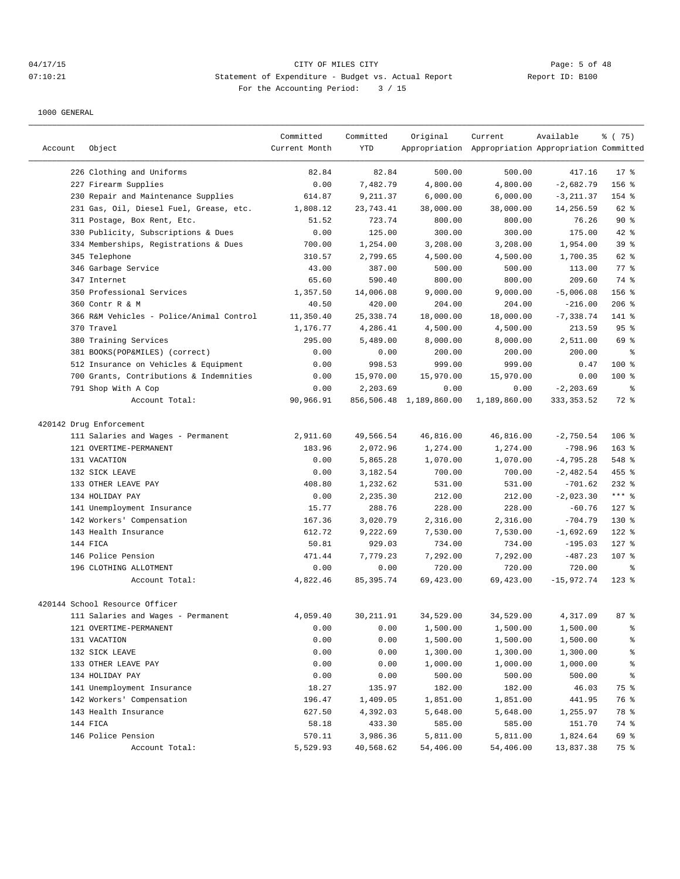# 04/17/15 Page: 5 of 48 07:10:21 Statement of Expenditure - Budget vs. Actual Report Report ID: B100 For the Accounting Period: 3 / 15

|         |                                          | Committed     | Committed   | Original                | Current                                             | Available    | 8 (75)             |
|---------|------------------------------------------|---------------|-------------|-------------------------|-----------------------------------------------------|--------------|--------------------|
| Account | Object                                   | Current Month | <b>YTD</b>  |                         | Appropriation Appropriation Appropriation Committed |              |                    |
|         | 226 Clothing and Uniforms                | 82.84         | 82.84       | 500.00                  | 500.00                                              | 417.16       | $17*$              |
|         | 227 Firearm Supplies                     | 0.00          | 7,482.79    | 4,800.00                | 4,800.00                                            | $-2,682.79$  | 156 %              |
|         | 230 Repair and Maintenance Supplies      | 614.87        | 9,211.37    | 6,000.00                | 6,000.00                                            | $-3, 211.37$ | 154 %              |
|         | 231 Gas, Oil, Diesel Fuel, Grease, etc.  | 1,808.12      | 23,743.41   | 38,000.00               | 38,000.00                                           | 14,256.59    | 62 %               |
|         | 311 Postage, Box Rent, Etc.              | 51.52         | 723.74      | 800.00                  | 800.00                                              | 76.26        | $90*$              |
|         | 330 Publicity, Subscriptions & Dues      | 0.00          | 125.00      | 300.00                  | 300.00                                              | 175.00       | $42$ %             |
|         | 334 Memberships, Registrations & Dues    | 700.00        | 1,254.00    | 3,208.00                | 3,208.00                                            | 1,954.00     | 39 %               |
|         | 345 Telephone                            | 310.57        | 2,799.65    | 4,500.00                | 4,500.00                                            | 1,700.35     | 62 %               |
|         | 346 Garbage Service                      | 43.00         | 387.00      | 500.00                  | 500.00                                              | 113.00       | $77$ $\frac{6}{9}$ |
|         | 347 Internet                             | 65.60         | 590.40      | 800.00                  | 800.00                                              | 209.60       | 74 %               |
|         | 350 Professional Services                | 1,357.50      | 14,006.08   | 9,000.00                | 9,000.00                                            | $-5,006.08$  | 156 %              |
|         | 360 Contr R & M                          | 40.50         | 420.00      | 204.00                  | 204.00                                              | $-216.00$    | $206$ %            |
|         | 366 R&M Vehicles - Police/Animal Control | 11,350.40     | 25, 338.74  | 18,000.00               | 18,000.00                                           | $-7,338.74$  | 141 %              |
|         | 370 Travel                               | 1,176.77      | 4,286.41    | 4,500.00                | 4,500.00                                            | 213.59       | 95 <sup>°</sup>    |
|         | 380 Training Services                    | 295.00        | 5,489.00    | 8,000.00                | 8,000.00                                            | 2,511.00     | 69 %               |
|         | 381 BOOKS(POP&MILES) (correct)           | 0.00          | 0.00        | 200.00                  | 200.00                                              | 200.00       | နွ                 |
|         | 512 Insurance on Vehicles & Equipment    | 0.00          | 998.53      | 999.00                  | 999.00                                              | 0.47         | $100*$             |
|         | 700 Grants, Contributions & Indemnities  | 0.00          | 15,970.00   | 15,970.00               | 15,970.00                                           | 0.00         | 100 %              |
|         | 791 Shop With A Cop                      | 0.00          | 2,203.69    | 0.00                    | 0.00                                                | $-2, 203.69$ | $\epsilon$         |
|         | Account Total:                           | 90,966.91     |             | 856,506.48 1,189,860.00 | 1,189,860.00                                        | 333, 353.52  | 72 %               |
|         | 420142 Drug Enforcement                  |               |             |                         |                                                     |              |                    |
|         | 111 Salaries and Wages - Permanent       | 2,911.60      | 49,566.54   | 46,816.00               | 46,816.00                                           | $-2,750.54$  | $106$ %            |
|         | 121 OVERTIME-PERMANENT                   | 183.96        | 2,072.96    | 1,274.00                | 1,274.00                                            | $-798.96$    | $163$ %            |
|         | 131 VACATION                             | 0.00          | 5,865.28    | 1,070.00                | 1,070.00                                            | $-4,795.28$  | 548 %              |
|         | 132 SICK LEAVE                           | 0.00          | 3,182.54    | 700.00                  | 700.00                                              | $-2,482.54$  | 455 %              |
|         | 133 OTHER LEAVE PAY                      | 408.80        | 1,232.62    | 531.00                  | 531.00                                              | $-701.62$    | $232$ %            |
|         | 134 HOLIDAY PAY                          | 0.00          | 2,235.30    | 212.00                  | 212.00                                              | $-2,023.30$  | *** 음              |
|         | 141 Unemployment Insurance               | 15.77         | 288.76      | 228.00                  | 228.00                                              | $-60.76$     | $127$ %            |
|         | 142 Workers' Compensation                | 167.36        | 3,020.79    | 2,316.00                | 2,316.00                                            | $-704.79$    | $130*$             |
|         | 143 Health Insurance                     | 612.72        | 9,222.69    | 7,530.00                | 7,530.00                                            | $-1,692.69$  | $122$ %            |
|         | 144 FICA                                 | 50.81         | 929.03      | 734.00                  | 734.00                                              | $-195.03$    | $127$ %            |
|         | 146 Police Pension                       | 471.44        | 7,779.23    | 7,292.00                | 7,292.00                                            | $-487.23$    | 107 %              |
|         | 196 CLOTHING ALLOTMENT                   | 0.00          | 0.00        | 720.00                  | 720.00                                              | 720.00       | ႜ                  |
|         | Account Total:                           | 4,822.46      | 85, 395. 74 | 69,423.00               | 69,423.00                                           | $-15,972.74$ | $123$ $%$          |
|         | 420144 School Resource Officer           |               |             |                         |                                                     |              |                    |
|         | 111 Salaries and Wages - Permanent       | 4,059.40      | 30, 211.91  | 34,529.00               | 34,529.00                                           | 4,317.09     | 87%                |
|         | 121 OVERTIME-PERMANENT                   | 0.00          | 0.00        | 1,500.00                | 1,500.00                                            | 1,500.00     | ៖                  |
|         | 131 VACATION                             | 0.00          | 0.00        | 1,500.00                | 1,500.00                                            | 1,500.00     | ៖                  |
|         | 132 SICK LEAVE                           | 0.00          | 0.00        | 1,300.00                | 1,300.00                                            | 1,300.00     | ៖                  |
|         | 133 OTHER LEAVE PAY                      | 0.00          | 0.00        | 1,000.00                | 1,000.00                                            | 1,000.00     | ៖                  |
|         | 134 HOLIDAY PAY                          | 0.00          | 0.00        | 500.00                  | 500.00                                              | 500.00       | ိန                 |
|         | 141 Unemployment Insurance               | 18.27         | 135.97      | 182.00                  | 182.00                                              | 46.03        | 75 %               |
|         | 142 Workers' Compensation                | 196.47        | 1,409.05    | 1,851.00                | 1,851.00                                            | 441.95       | 76 %               |
|         | 143 Health Insurance                     | 627.50        | 4,392.03    | 5,648.00                | 5,648.00                                            | 1,255.97     | 78 %               |
|         | 144 FICA                                 | 58.18         | 433.30      | 585.00                  | 585.00                                              | 151.70       | 74 %               |
|         | 146 Police Pension                       | 570.11        | 3,986.36    | 5,811.00                | 5,811.00                                            | 1,824.64     | 69 %               |
|         | Account Total:                           | 5,529.93      | 40,568.62   | 54,406.00               | 54,406.00                                           | 13,837.38    | 75 %               |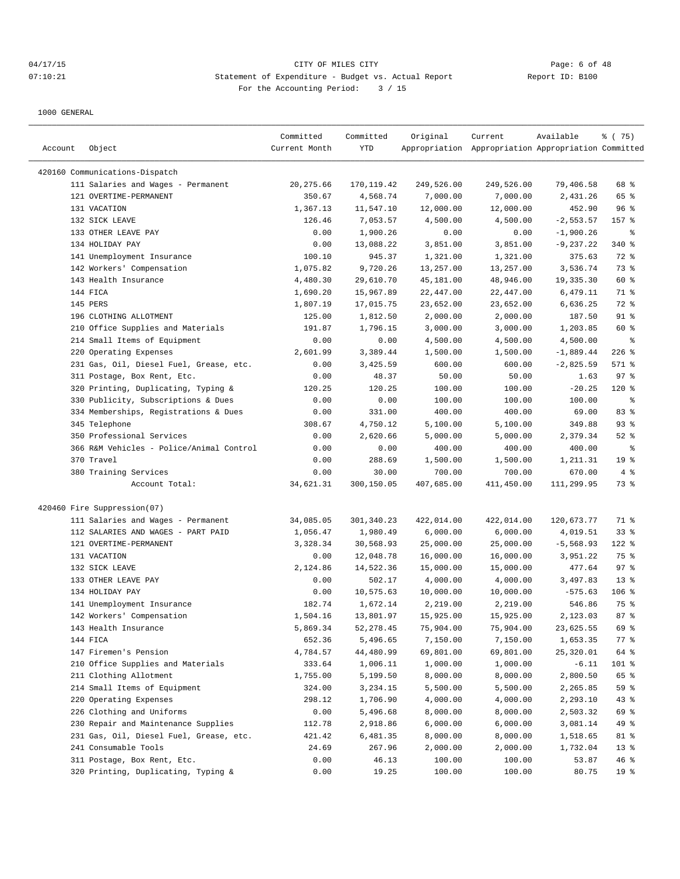## 04/17/15 CITY OF MILES CITY Page: 6 of 48 07:10:21 Statement of Expenditure - Budget vs. Actual Report Changer Report ID: B100 For the Accounting Period: 3 / 15

| Account | Object                                                             | Committed<br>Current Month | Committed<br>YTD     | Original         | Current<br>Appropriation Appropriation Appropriation Committed | Available       | ៖ (75)          |
|---------|--------------------------------------------------------------------|----------------------------|----------------------|------------------|----------------------------------------------------------------|-----------------|-----------------|
|         |                                                                    |                            |                      |                  |                                                                |                 |                 |
|         | 420160 Communications-Dispatch                                     |                            |                      |                  |                                                                |                 |                 |
|         | 111 Salaries and Wages - Permanent                                 | 20, 275.66                 | 170, 119.42          | 249,526.00       | 249,526.00                                                     | 79,406.58       | 68 %            |
|         | 121 OVERTIME-PERMANENT                                             | 350.67                     | 4,568.74             | 7,000.00         | 7,000.00                                                       | 2,431.26        | 65 %            |
|         | 131 VACATION                                                       | 1,367.13                   | 11,547.10            | 12,000.00        | 12,000.00                                                      | 452.90          | 96%             |
|         | 132 SICK LEAVE                                                     | 126.46                     | 7,053.57             | 4,500.00         | 4,500.00                                                       | $-2, 553.57$    | 157 %           |
|         | 133 OTHER LEAVE PAY                                                | 0.00                       | 1,900.26             | 0.00             | 0.00                                                           | $-1,900.26$     | ႜ               |
|         | 134 HOLIDAY PAY                                                    | 0.00                       | 13,088.22            | 3,851.00         | 3,851.00                                                       | $-9, 237.22$    | 340 %           |
|         | 141 Unemployment Insurance                                         | 100.10                     | 945.37               | 1,321.00         | 1,321.00                                                       | 375.63          | 72 %            |
|         | 142 Workers' Compensation                                          | 1,075.82                   | 9,720.26             | 13,257.00        | 13,257.00                                                      | 3,536.74        | 73 %            |
|         | 143 Health Insurance                                               | 4,480.30                   | 29,610.70            | 45,181.00        | 48,946.00                                                      | 19,335.30       | 60 %            |
|         | 144 FICA                                                           | 1,690.20                   | 15,967.89            | 22,447.00        | 22,447.00                                                      | 6,479.11        | 71 %            |
|         | 145 PERS                                                           | 1,807.19                   | 17,015.75            | 23,652.00        | 23,652.00                                                      | 6,636.25        | 72 %            |
|         | 196 CLOTHING ALLOTMENT                                             | 125.00                     | 1,812.50             | 2,000.00         | 2,000.00                                                       | 187.50          | $91$ %          |
|         | 210 Office Supplies and Materials                                  | 191.87                     | 1,796.15             | 3,000.00         | 3,000.00                                                       | 1,203.85        | 60 %            |
|         | 214 Small Items of Equipment                                       | 0.00                       | 0.00                 | 4,500.00         | 4,500.00                                                       | 4,500.00        | နွ<br>$226$ %   |
|         | 220 Operating Expenses                                             | 2,601.99                   | 3,389.44<br>3,425.59 | 1,500.00         | 1,500.00                                                       | $-1,889.44$     |                 |
|         | 231 Gas, Oil, Diesel Fuel, Grease, etc.                            | 0.00<br>0.00               | 48.37                | 600.00<br>50.00  | 600.00                                                         | $-2,825.59$     | 571 %<br>97%    |
|         | 311 Postage, Box Rent, Etc.<br>320 Printing, Duplicating, Typing & |                            | 120.25               |                  | 50.00                                                          | 1.63            |                 |
|         |                                                                    | 120.25                     |                      | 100.00           | 100.00                                                         | $-20.25$        | $120$ %         |
|         | 330 Publicity, Subscriptions & Dues                                | 0.00                       | 0.00<br>331.00       | 100.00<br>400.00 | 100.00<br>400.00                                               | 100.00<br>69.00 | ႜ<br>83 %       |
|         | 334 Memberships, Registrations & Dues<br>345 Telephone             | 0.00<br>308.67             | 4,750.12             | 5,100.00         | 5,100.00                                                       | 349.88          | $93$ $%$        |
|         | 350 Professional Services                                          | 0.00                       | 2,620.66             | 5,000.00         | 5,000.00                                                       | 2,379.34        | $52$ $%$        |
|         | 366 R&M Vehicles - Police/Animal Control                           | 0.00                       | 0.00                 | 400.00           | 400.00                                                         | 400.00          | နွ              |
|         | 370 Travel                                                         | 0.00                       | 288.69               | 1,500.00         | 1,500.00                                                       | 1,211.31        | 19 <sup>°</sup> |
|         | 380 Training Services                                              | 0.00                       | 30.00                | 700.00           | 700.00                                                         | 670.00          | 4%              |
|         | Account Total:                                                     | 34,621.31                  | 300,150.05           | 407,685.00       | 411,450.00                                                     | 111,299.95      | 73 %            |
|         | 420460 Fire Suppression(07)                                        |                            |                      |                  |                                                                |                 |                 |
|         | 111 Salaries and Wages - Permanent                                 | 34,085.05                  | 301,340.23           | 422,014.00       | 422,014.00                                                     | 120,673.77      | 71 %            |
|         | 112 SALARIES AND WAGES - PART PAID                                 | 1,056.47                   | 1,980.49             | 6,000.00         | 6,000.00                                                       | 4,019.51        | $33$ $%$        |
|         | 121 OVERTIME-PERMANENT                                             | 3,328.34                   | 30,568.93            | 25,000.00        | 25,000.00                                                      | $-5,568.93$     | 122 %           |
|         | 131 VACATION                                                       | 0.00                       | 12,048.78            | 16,000.00        | 16,000.00                                                      | 3,951.22        | 75 %            |
|         | 132 SICK LEAVE                                                     | 2,124.86                   | 14,522.36            | 15,000.00        | 15,000.00                                                      | 477.64          | 97%             |
|         | 133 OTHER LEAVE PAY                                                | 0.00                       | 502.17               | 4,000.00         | 4,000.00                                                       | 3,497.83        | $13*$           |
|         | 134 HOLIDAY PAY                                                    | 0.00                       | 10,575.63            | 10,000.00        | 10,000.00                                                      | $-575.63$       | $106$ %         |
|         | 141 Unemployment Insurance                                         | 182.74                     | 1,672.14             | 2,219.00         | 2,219.00                                                       | 546.86          | 75 %            |
|         | 142 Workers' Compensation                                          | 1,504.16                   | 13,801.97            | 15,925.00        | 15,925.00                                                      | 2,123.03        | 87 <sup>8</sup> |
|         | 143 Health Insurance                                               | 5,869.34                   | 52, 278.45           | 75,904.00        | 75,904.00                                                      | 23,625.55       | 69 %            |
|         | 144 FICA                                                           | 652.36                     | 5,496.65             | 7,150.00         | 7,150.00                                                       | 1,653.35        | $77$ %          |
|         | 147 Firemen's Pension                                              | 4,784.57                   | 44,480.99            | 69,801.00        | 69,801.00                                                      | 25,320.01       | 64 %            |
|         | 210 Office Supplies and Materials                                  | 333.64                     | 1,006.11             | 1,000.00         | 1,000.00                                                       | $-6.11$         | 101 %           |
|         | 211 Clothing Allotment                                             | 1,755.00                   | 5,199.50             | 8,000.00         | 8,000.00                                                       | 2,800.50        | 65 %            |
|         | 214 Small Items of Equipment                                       | 324.00                     | 3,234.15             | 5,500.00         | 5,500.00                                                       | 2,265.85        | 59 %            |
|         | 220 Operating Expenses                                             | 298.12                     | 1,706.90             | 4,000.00         | 4,000.00                                                       | 2,293.10        | 43 %            |
|         | 226 Clothing and Uniforms                                          | 0.00                       | 5,496.68             | 8,000.00         | 8,000.00                                                       | 2,503.32        | 69 %            |
|         | 230 Repair and Maintenance Supplies                                | 112.78                     | 2,918.86             | 6,000.00         | 6,000.00                                                       | 3,081.14        | 49 %            |
|         | 231 Gas, Oil, Diesel Fuel, Grease, etc.                            | 421.42                     | 6,481.35             | 8,000.00         | 8,000.00                                                       | 1,518.65        | 81 %            |
|         | 241 Consumable Tools                                               | 24.69                      | 267.96               | 2,000.00         | 2,000.00                                                       | 1,732.04        | 13 <sub>8</sub> |
|         | 311 Postage, Box Rent, Etc.                                        | 0.00                       | 46.13                | 100.00           | 100.00                                                         | 53.87           | 46%             |
|         | 320 Printing, Duplicating, Typing &                                | 0.00                       | 19.25                | 100.00           | 100.00                                                         | 80.75           | 19 <sup>°</sup> |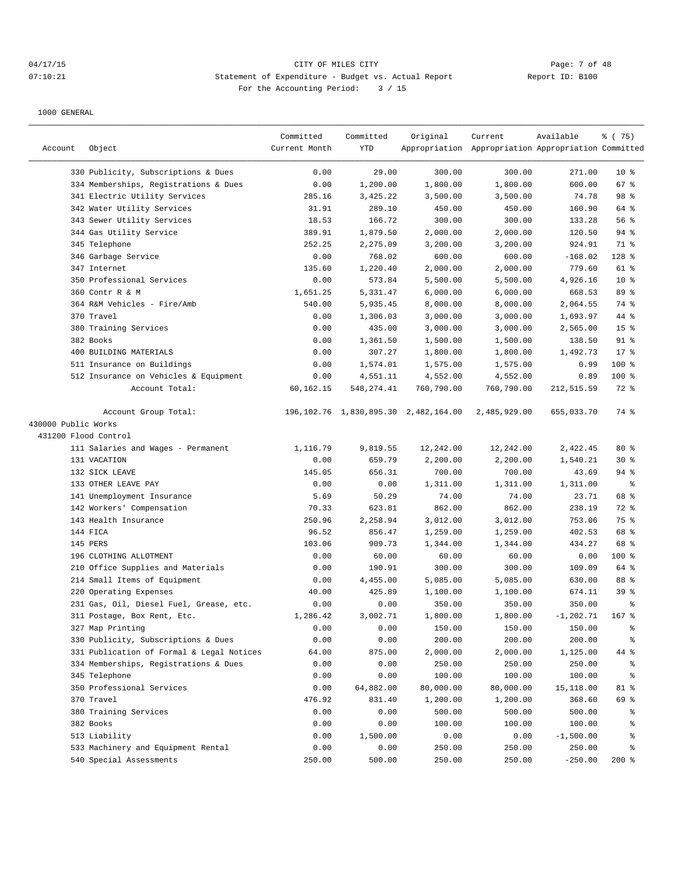## 04/17/15 CITY OF MILES CITY Page: 7 of 48 07:10:21 Statement of Expenditure - Budget vs. Actual Report Changer Report ID: B100 For the Accounting Period: 3 / 15

|                      |                                           | Committed     | Committed   | Original                                     | Current                                             | Available    | % (75)                   |
|----------------------|-------------------------------------------|---------------|-------------|----------------------------------------------|-----------------------------------------------------|--------------|--------------------------|
| Account              | Object                                    | Current Month | <b>YTD</b>  |                                              | Appropriation Appropriation Appropriation Committed |              |                          |
|                      | 330 Publicity, Subscriptions & Dues       | 0.00          | 29.00       | 300.00                                       | 300.00                                              | 271.00       | $10*$                    |
|                      | 334 Memberships, Registrations & Dues     | 0.00          | 1,200.00    | 1,800.00                                     | 1,800.00                                            | 600.00       | 67 %                     |
|                      | 341 Electric Utility Services             | 285.16        | 3,425.22    | 3,500.00                                     | 3,500.00                                            | 74.78        | 98 %                     |
|                      | 342 Water Utility Services                | 31.91         | 289.10      | 450.00                                       | 450.00                                              | 160.90       | 64 %                     |
|                      | 343 Sewer Utility Services                | 18.53         | 166.72      | 300.00                                       | 300.00                                              | 133.28       | 56 %                     |
|                      | 344 Gas Utility Service                   | 389.91        | 1,879.50    | 2,000.00                                     | 2,000.00                                            | 120.50       | 94%                      |
|                      | 345 Telephone                             | 252.25        | 2,275.09    | 3,200.00                                     | 3,200.00                                            | 924.91       | 71 %                     |
|                      | 346 Garbage Service                       | 0.00          | 768.02      | 600.00                                       | 600.00                                              | $-168.02$    | 128 %                    |
|                      | 347 Internet                              | 135.60        | 1,220.40    | 2,000.00                                     | 2,000.00                                            | 779.60       | $61$ %                   |
|                      | 350 Professional Services                 | 0.00          | 573.84      | 5,500.00                                     | 5,500.00                                            | 4,926.16     | 10 <sup>8</sup>          |
|                      | 360 Contr R & M                           | 1,651.25      | 5,331.47    | 6,000.00                                     | 6,000.00                                            | 668.53       | 89 %                     |
|                      | 364 R&M Vehicles - Fire/Amb               | 540.00        | 5,935.45    | 8,000.00                                     | 8,000.00                                            | 2,064.55     | 74 %                     |
|                      | 370 Travel                                | 0.00          | 1,306.03    | 3,000.00                                     | 3,000.00                                            | 1,693.97     | 44 %                     |
|                      | 380 Training Services                     | 0.00          | 435.00      | 3,000.00                                     | 3,000.00                                            | 2,565.00     | 15 <sup>°</sup>          |
|                      | 382 Books                                 | 0.00          | 1,361.50    | 1,500.00                                     | 1,500.00                                            | 138.50       | $91$ %                   |
|                      | 400 BUILDING MATERIALS                    | 0.00          | 307.27      | 1,800.00                                     | 1,800.00                                            | 1,492.73     | 17.8                     |
|                      | 511 Insurance on Buildings                | 0.00          | 1,574.01    | 1,575.00                                     | 1,575.00                                            | 0.99         | 100 %                    |
|                      | 512 Insurance on Vehicles & Equipment     | 0.00          | 4,551.11    | 4,552.00                                     | 4,552.00                                            | 0.89         | 100 %                    |
|                      | Account Total:                            | 60,162.15     | 548, 274.41 | 760,790.00                                   | 760,790.00                                          | 212,515.59   | 72 %                     |
|                      | Account Group Total:                      |               |             | 196, 102. 76 1, 830, 895. 30 2, 482, 164. 00 | 2,485,929.00                                        | 655,033.70   | 74 %                     |
| 430000 Public Works  |                                           |               |             |                                              |                                                     |              |                          |
| 431200 Flood Control |                                           |               |             |                                              |                                                     |              |                          |
|                      | 111 Salaries and Wages - Permanent        | 1,116.79      | 9,819.55    | 12,242.00                                    | 12,242.00                                           | 2,422.45     | $80*$                    |
|                      | 131 VACATION                              | 0.00          | 659.79      | 2,200.00                                     | 2,200.00                                            | 1,540.21     | $30*$                    |
|                      | 132 SICK LEAVE                            | 145.05        | 656.31      | 700.00                                       | 700.00                                              | 43.69        | $94$ %                   |
|                      | 133 OTHER LEAVE PAY                       | 0.00          | 0.00        | 1,311.00                                     | 1,311.00                                            | 1,311.00     | နွ                       |
|                      | 141 Unemployment Insurance                | 5.69          | 50.29       | 74.00                                        | 74.00                                               | 23.71        | 68 %                     |
|                      | 142 Workers' Compensation                 | 70.33         | 623.81      | 862.00                                       | 862.00                                              | 238.19       | 72 %                     |
|                      | 143 Health Insurance                      | 250.96        | 2,258.94    | 3,012.00                                     | 3,012.00                                            | 753.06       | 75 %                     |
|                      | 144 FICA                                  | 96.52         | 856.47      | 1,259.00                                     | 1,259.00                                            | 402.53       | 68 %                     |
|                      | 145 PERS                                  | 103.06        | 909.73      | 1,344.00                                     | 1,344.00                                            | 434.27       | 68 %                     |
|                      | 196 CLOTHING ALLOTMENT                    | 0.00          | 60.00       | 60.00                                        | 60.00                                               | 0.00         | 100 %                    |
|                      | 210 Office Supplies and Materials         | 0.00          | 190.91      | 300.00                                       | 300.00                                              | 109.09       | 64 %                     |
|                      | 214 Small Items of Equipment              | 0.00          | 4,455.00    | 5,085.00                                     | 5,085.00                                            | 630.00       | 88 %                     |
|                      | 220 Operating Expenses                    | 40.00         | 425.89      | 1,100.00                                     | 1,100.00                                            | 674.11       | 39%                      |
|                      | 231 Gas, Oil, Diesel Fuel, Grease, etc.   | 0.00          | 0.00        | 350.00                                       | 350.00                                              | 350.00       | ి                        |
|                      | 311 Postage, Box Rent, Etc.               | 1,286.42      | 3,002.71    | 1,800.00                                     | 1,800.00                                            | $-1, 202.71$ | $167$ $%$                |
|                      | 327 Map Printing                          | 0.00          | 0.00        | 150.00                                       | 150.00                                              | 150.00       | $\,{}^{\circ}\!\!\delta$ |
|                      | 330 Publicity, Subscriptions & Dues       | 0.00          | 0.00        | 200.00                                       | 200.00                                              | 200.00       | န္                       |
|                      | 331 Publication of Formal & Legal Notices | 64.00         | 875.00      | 2,000.00                                     | 2,000.00                                            | 1,125.00     | 44 %                     |
|                      | 334 Memberships, Registrations & Dues     | 0.00          | 0.00        | 250.00                                       | 250.00                                              | 250.00       | ိင                       |
|                      | 345 Telephone                             | 0.00          | 0.00        | 100.00                                       | 100.00                                              | 100.00       | ိင                       |
|                      | 350 Professional Services                 | 0.00          | 64,882.00   | 80,000.00                                    | 80,000.00                                           | 15,118.00    | 81 %                     |
|                      | 370 Travel                                | 476.92        | 831.40      | 1,200.00                                     | 1,200.00                                            | 368.60       | 69 %                     |
|                      | 380 Training Services                     | 0.00          | 0.00        | 500.00                                       | 500.00                                              | 500.00       | ွေ                       |
|                      | 382 Books                                 | 0.00          | 0.00        | 100.00                                       | 100.00                                              | 100.00       | ႜ                        |
|                      | 513 Liability                             | 0.00          | 1,500.00    | 0.00                                         | 0.00                                                | $-1,500.00$  | ႜ                        |
|                      | 533 Machinery and Equipment Rental        | 0.00          | 0.00        | 250.00                                       | 250.00                                              | 250.00       | g                        |
|                      | 540 Special Assessments                   | 250.00        | 500.00      | 250.00                                       | 250.00                                              | $-250.00$    | $200$ %                  |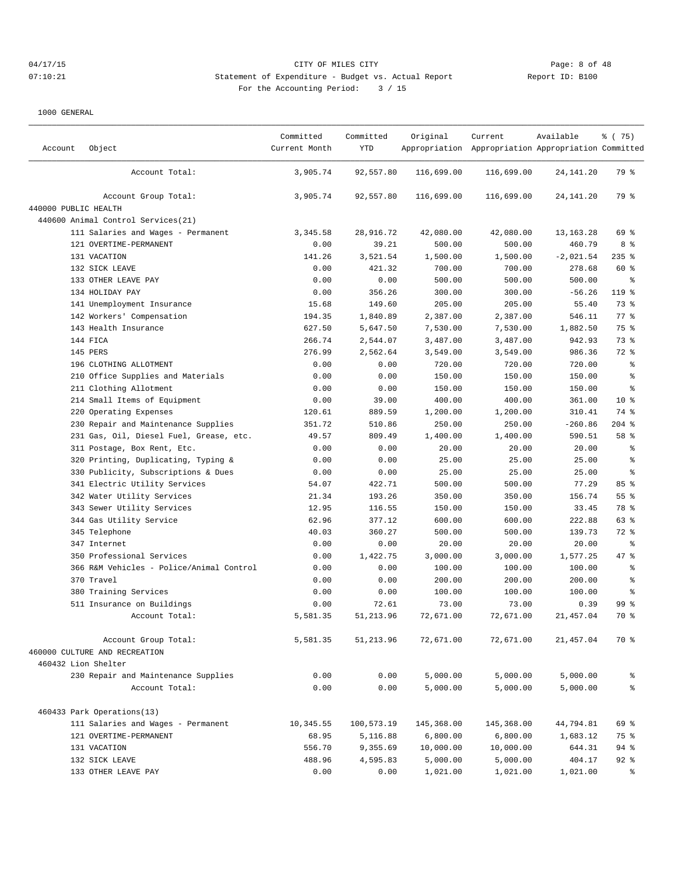# 04/17/15 CITY OF MILES CITY Page: 8 of 48 07:10:21 Statement of Expenditure - Budget vs. Actual Report Communication Report ID: B100 For the Accounting Period: 3 / 15

| Account              | Object                                   | Committed<br>Current Month | Committed<br><b>YTD</b> | Original   | Current<br>Appropriation Appropriation Appropriation Committed | Available   | % (75)          |
|----------------------|------------------------------------------|----------------------------|-------------------------|------------|----------------------------------------------------------------|-------------|-----------------|
|                      | Account Total:                           | 3,905.74                   | 92,557.80               | 116,699.00 | 116,699.00                                                     | 24,141.20   | 79 %            |
|                      | Account Group Total:                     | 3,905.74                   | 92,557.80               | 116,699.00 | 116,699.00                                                     | 24, 141. 20 | 79 %            |
| 440000 PUBLIC HEALTH |                                          |                            |                         |            |                                                                |             |                 |
|                      | 440600 Animal Control Services (21)      |                            |                         |            |                                                                |             |                 |
|                      | 111 Salaries and Wages - Permanent       | 3, 345.58                  | 28,916.72               | 42,080.00  | 42,080.00                                                      | 13, 163. 28 | 69 %            |
|                      | 121 OVERTIME-PERMANENT                   | 0.00                       | 39.21                   | 500.00     | 500.00                                                         | 460.79      | 8%              |
|                      | 131 VACATION                             | 141.26                     | 3,521.54                | 1,500.00   | 1,500.00                                                       | $-2,021.54$ | $235$ %         |
|                      | 132 SICK LEAVE                           | 0.00                       | 421.32                  | 700.00     | 700.00                                                         | 278.68      | 60 %            |
|                      | 133 OTHER LEAVE PAY                      | 0.00                       | 0.00                    | 500.00     | 500.00                                                         | 500.00      | နွ              |
|                      | 134 HOLIDAY PAY                          | 0.00                       | 356.26                  | 300.00     | 300.00                                                         | $-56.26$    | 119 %           |
|                      | 141 Unemployment Insurance               | 15.68                      | 149.60                  | 205.00     | 205.00                                                         | 55.40       | 73 %            |
|                      | 142 Workers' Compensation                | 194.35                     | 1,840.89                | 2,387.00   | 2,387.00                                                       | 546.11      | 77.8            |
|                      | 143 Health Insurance                     | 627.50                     | 5,647.50                | 7,530.00   | 7,530.00                                                       | 1,882.50    | 75 %            |
|                      | 144 FICA                                 | 266.74                     | 2,544.07                | 3,487.00   | 3,487.00                                                       | 942.93      | 73 %            |
|                      | 145 PERS                                 | 276.99                     | 2,562.64                | 3,549.00   | 3,549.00                                                       | 986.36      | 72 %            |
|                      | 196 CLOTHING ALLOTMENT                   | 0.00                       | 0.00                    | 720.00     | 720.00                                                         | 720.00      | $\epsilon$      |
|                      | 210 Office Supplies and Materials        | 0.00                       | 0.00                    | 150.00     | 150.00                                                         | 150.00      | နွ              |
|                      | 211 Clothing Allotment                   | 0.00                       | 0.00                    | 150.00     | 150.00                                                         | 150.00      | $\epsilon$      |
|                      | 214 Small Items of Equipment             | 0.00                       | 39.00                   | 400.00     | 400.00                                                         | 361.00      | $10*$           |
|                      | 220 Operating Expenses                   | 120.61                     | 889.59                  | 1,200.00   | 1,200.00                                                       | 310.41      | 74 %            |
|                      | 230 Repair and Maintenance Supplies      | 351.72                     | 510.86                  | 250.00     | 250.00                                                         | $-260.86$   | $204$ %         |
|                      | 231 Gas, Oil, Diesel Fuel, Grease, etc.  | 49.57                      | 809.49                  | 1,400.00   | 1,400.00                                                       | 590.51      | 58 %            |
|                      | 311 Postage, Box Rent, Etc.              | 0.00                       | 0.00                    | 20.00      | 20.00                                                          | 20.00       | ್ಠಿ             |
|                      | 320 Printing, Duplicating, Typing &      | 0.00                       | 0.00                    | 25.00      | 25.00                                                          | 25.00       | $\epsilon$      |
|                      | 330 Publicity, Subscriptions & Dues      | 0.00                       | 0.00                    | 25.00      | 25.00                                                          | 25.00       | နွ              |
|                      | 341 Electric Utility Services            | 54.07                      | 422.71                  | 500.00     | 500.00                                                         | 77.29       | 85 %            |
|                      | 342 Water Utility Services               | 21.34                      | 193.26                  | 350.00     | 350.00                                                         | 156.74      | 55 <sup>8</sup> |
|                      | 343 Sewer Utility Services               | 12.95                      | 116.55                  | 150.00     | 150.00                                                         | 33.45       | 78 %            |
|                      | 344 Gas Utility Service                  | 62.96                      | 377.12                  | 600.00     | 600.00                                                         | 222.88      | 63 %            |
|                      | 345 Telephone                            | 40.03                      | 360.27                  | 500.00     | 500.00                                                         | 139.73      | 72.8            |
|                      | 347 Internet                             | 0.00                       | 0.00                    | 20.00      | 20.00                                                          | 20.00       | န္              |
|                      | 350 Professional Services                | 0.00                       | 1,422.75                | 3,000.00   | 3,000.00                                                       | 1,577.25    | 47 %            |
|                      | 366 R&M Vehicles - Police/Animal Control | 0.00                       | 0.00                    | 100.00     | 100.00                                                         | 100.00      | $\epsilon$      |
|                      | 370 Travel                               | 0.00                       | 0.00                    | 200.00     | 200.00                                                         | 200.00      | နွ              |
|                      | 380 Training Services                    | 0.00                       | 0.00                    | 100.00     | 100.00                                                         | 100.00      | နွ              |
|                      | 511 Insurance on Buildings               | 0.00                       | 72.61                   | 73.00      | 73.00                                                          | 0.39        | 99 <sup>8</sup> |
|                      | Account Total:                           | 5,581.35                   | 51, 213.96              | 72,671.00  | 72,671.00                                                      | 21,457.04   | 70 %            |
|                      | Account Group Total:                     | 5,581.35                   | 51, 213.96              | 72,671.00  | 72,671.00                                                      | 21, 457.04  | 70 %            |
|                      | 460000 CULTURE AND RECREATION            |                            |                         |            |                                                                |             |                 |
|                      | 460432 Lion Shelter                      |                            |                         |            |                                                                |             |                 |
|                      | 230 Repair and Maintenance Supplies      | 0.00                       | 0.00                    | 5,000.00   | 5,000.00                                                       | 5,000.00    | နွ              |
|                      | Account Total:                           | 0.00                       | 0.00                    | 5,000.00   | 5,000.00                                                       | 5,000.00    | ್ಠಿ             |
|                      | 460433 Park Operations(13)               |                            |                         |            |                                                                |             |                 |
|                      | 111 Salaries and Wages - Permanent       | 10,345.55                  | 100,573.19              | 145,368.00 | 145,368.00                                                     | 44,794.81   | 69 %            |
|                      | 121 OVERTIME-PERMANENT                   | 68.95                      | 5,116.88                | 6,800.00   | 6,800.00                                                       | 1,683.12    | 75 %            |
|                      | 131 VACATION                             | 556.70                     | 9,355.69                | 10,000.00  | 10,000.00                                                      | 644.31      | $94$ %          |
|                      | 132 SICK LEAVE                           | 488.96                     | 4,595.83                | 5,000.00   | 5,000.00                                                       | 404.17      | $92$ $%$        |
|                      | 133 OTHER LEAVE PAY                      | 0.00                       | 0.00                    | 1,021.00   | 1,021.00                                                       | 1,021.00    | $\approx$       |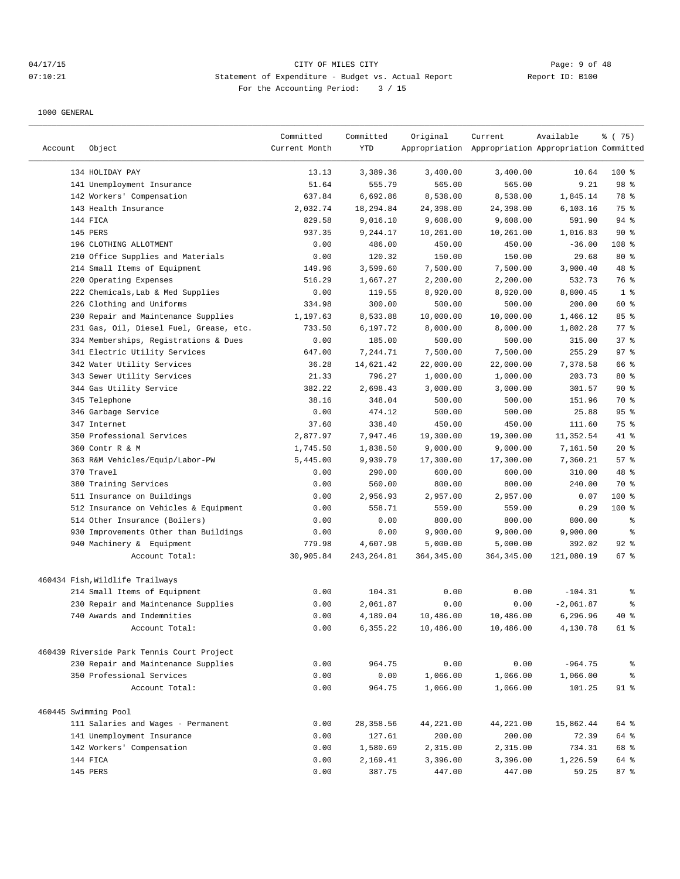## 04/17/15 CITY OF MILES CITY Page: 9 of 48 07:10:21 Statement of Expenditure - Budget vs. Actual Report Changer Report ID: B100 For the Accounting Period: 3 / 15

|                      |                                            | Committed     | Committed   | Original    | Current                                             | Available   | % (75)         |
|----------------------|--------------------------------------------|---------------|-------------|-------------|-----------------------------------------------------|-------------|----------------|
| Account              | Object                                     | Current Month | YTD         |             | Appropriation Appropriation Appropriation Committed |             |                |
|                      | 134 HOLIDAY PAY                            | 13.13         | 3,389.36    | 3,400.00    | 3,400.00                                            | 10.64       | $100$ %        |
|                      | 141 Unemployment Insurance                 | 51.64         | 555.79      | 565.00      | 565.00                                              | 9.21        | 98 %           |
|                      | 142 Workers' Compensation                  | 637.84        | 6,692.86    | 8,538.00    | 8,538.00                                            | 1,845.14    | 78 %           |
|                      | 143 Health Insurance                       | 2,032.74      | 18,294.84   | 24,398.00   | 24,398.00                                           | 6, 103.16   | 75 %           |
|                      | 144 FICA                                   | 829.58        | 9,016.10    | 9,608.00    | 9,608.00                                            | 591.90      | 94 %           |
|                      | 145 PERS                                   | 937.35        | 9,244.17    | 10,261.00   | 10,261.00                                           | 1,016.83    | 90%            |
|                      | 196 CLOTHING ALLOTMENT                     | 0.00          | 486.00      | 450.00      | 450.00                                              | $-36.00$    | 108 %          |
|                      | 210 Office Supplies and Materials          | 0.00          | 120.32      | 150.00      | 150.00                                              | 29.68       | $80*$          |
|                      | 214 Small Items of Equipment               | 149.96        | 3,599.60    | 7,500.00    | 7,500.00                                            | 3,900.40    | 48 %           |
| 220                  | Operating Expenses                         | 516.29        | 1,667.27    | 2,200.00    | 2,200.00                                            | 532.73      | 76 %           |
|                      | 222 Chemicals, Lab & Med Supplies          | 0.00          | 119.55      | 8,920.00    | 8,920.00                                            | 8,800.45    | 1 <sup>°</sup> |
|                      | 226 Clothing and Uniforms                  | 334.98        | 300.00      | 500.00      | 500.00                                              | 200.00      | 60 %           |
|                      | 230 Repair and Maintenance Supplies        | 1,197.63      | 8,533.88    | 10,000.00   | 10,000.00                                           | 1,466.12    | 85%            |
|                      | 231 Gas, Oil, Diesel Fuel, Grease, etc.    | 733.50        | 6,197.72    | 8,000.00    | 8,000.00                                            | 1,802.28    | 77.8           |
|                      | 334 Memberships, Registrations & Dues      | 0.00          | 185.00      | 500.00      | 500.00                                              | 315.00      | 37%            |
|                      | 341 Electric Utility Services              | 647.00        | 7,244.71    | 7,500.00    | 7,500.00                                            | 255.29      | 97%            |
|                      | 342 Water Utility Services                 | 36.28         | 14,621.42   | 22,000.00   | 22,000.00                                           | 7,378.58    | 66 %           |
|                      | 343 Sewer Utility Services                 | 21.33         | 796.27      | 1,000.00    | 1,000.00                                            | 203.73      | $80*$          |
|                      | 344 Gas Utility Service                    | 382.22        | 2,698.43    | 3,000.00    | 3,000.00                                            | 301.57      | 90%            |
|                      | 345 Telephone                              | 38.16         | 348.04      | 500.00      | 500.00                                              | 151.96      | 70 %           |
|                      | 346 Garbage Service                        | 0.00          | 474.12      | 500.00      | 500.00                                              | 25.88       | 95%            |
|                      | 347 Internet                               | 37.60         | 338.40      | 450.00      | 450.00                                              | 111.60      | 75 %           |
|                      | 350 Professional Services                  | 2,877.97      | 7,947.46    | 19,300.00   | 19,300.00                                           | 11,352.54   | 41 %           |
|                      | 360 Contr R & M                            | 1,745.50      | 1,838.50    | 9,000.00    | 9,000.00                                            | 7,161.50    | 20%            |
|                      | 363 R&M Vehicles/Equip/Labor-PW            | 5,445.00      | 9,939.79    | 17,300.00   | 17,300.00                                           | 7,360.21    | 57%            |
|                      | 370 Travel                                 | 0.00          | 290.00      | 600.00      | 600.00                                              | 310.00      | 48 %           |
|                      | 380 Training Services                      | 0.00          | 560.00      | 800.00      | 800.00                                              | 240.00      | 70 %           |
|                      | 511 Insurance on Buildings                 | 0.00          | 2,956.93    | 2,957.00    | 2,957.00                                            | 0.07        | $100$ %        |
|                      | 512 Insurance on Vehicles & Equipment      | 0.00          | 558.71      | 559.00      | 559.00                                              | 0.29        | $100$ %        |
|                      | 514 Other Insurance (Boilers)              | 0.00          | 0.00        | 800.00      | 800.00                                              | 800.00      | နွ             |
|                      | 930 Improvements Other than Buildings      | 0.00          | 0.00        | 9,900.00    | 9,900.00                                            | 9,900.00    | ి              |
|                      | 940 Machinery & Equipment                  | 779.98        | 4,607.98    | 5,000.00    | 5,000.00                                            | 392.02      | $92$ $%$       |
|                      | Account Total:                             | 30,905.84     | 243, 264.81 | 364, 345.00 | 364, 345.00                                         | 121,080.19  | 67 %           |
|                      | 460434 Fish, Wildlife Trailways            |               |             |             |                                                     |             |                |
|                      | 214 Small Items of Equipment               | 0.00          | 104.31      | 0.00        | 0.00                                                | $-104.31$   | ႜ              |
|                      | 230 Repair and Maintenance Supplies        | 0.00          | 2,061.87    | 0.00        | 0.00                                                | $-2,061.87$ | ి              |
|                      | 740 Awards and Indemnities                 | 0.00          | 4,189.04    | 10,486.00   | 10,486.00                                           | 6,296.96    | $40*$          |
|                      | Account Total:                             | 0.00          | 6,355.22    | 10,486.00   | 10,486.00                                           | 4,130.78    | 61 %           |
|                      | 460439 Riverside Park Tennis Court Project |               |             |             |                                                     |             |                |
|                      | 230 Repair and Maintenance Supplies        | 0.00          | 964.75      | 0.00        | 0.00                                                | $-964.75$   | ႜ              |
|                      | 350 Professional Services                  | 0.00          | 0.00        | 1,066.00    | 1,066.00                                            | 1,066.00    | န္             |
|                      | Account Total:                             | 0.00          | 964.75      | 1,066.00    | 1,066.00                                            | 101.25      | $91$ %         |
|                      |                                            |               |             |             |                                                     |             |                |
| 460445 Swimming Pool | 111 Salaries and Wages - Permanent         | 0.00          | 28,358.56   | 44,221.00   | 44,221.00                                           | 15,862.44   | 64 %           |
|                      | 141 Unemployment Insurance                 | 0.00          | 127.61      | 200.00      | 200.00                                              | 72.39       | 64 %           |
|                      | 142 Workers' Compensation                  | 0.00          | 1,580.69    | 2,315.00    | 2,315.00                                            | 734.31      | 68 %           |
|                      | 144 FICA                                   | 0.00          | 2,169.41    | 3,396.00    | 3,396.00                                            | 1,226.59    | 64 %           |
|                      | 145 PERS                                   | 0.00          | 387.75      | 447.00      | 447.00                                              | 59.25       | 87%            |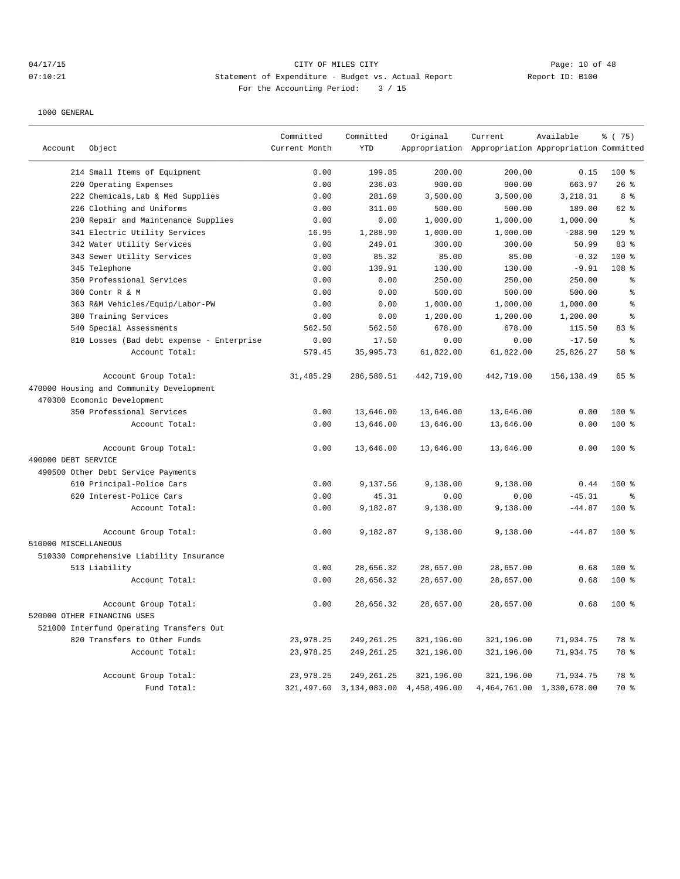# 04/17/15 **Page: 10 of 48** CITY OF MILES CITY **Page: 10 of 48** 07:10:21 Statement of Expenditure - Budget vs. Actual Report Changer Report ID: B100 For the Accounting Period: 3 / 15

|                      |                                           | Committed     | Committed   | Original                                  | Current                                             | Available                     | % (75)         |
|----------------------|-------------------------------------------|---------------|-------------|-------------------------------------------|-----------------------------------------------------|-------------------------------|----------------|
| Account              | Object                                    | Current Month | <b>YTD</b>  |                                           | Appropriation Appropriation Appropriation Committed |                               |                |
|                      | 214 Small Items of Equipment              | 0.00          | 199.85      | 200.00                                    | 200.00                                              | 0.15                          | 100 %          |
|                      | 220 Operating Expenses                    | 0.00          | 236.03      | 900.00                                    | 900.00                                              | 663.97                        | 26%            |
|                      | 222 Chemicals, Lab & Med Supplies         | 0.00          | 281.69      | 3,500.00                                  | 3,500.00                                            | 3,218.31                      | 8 %            |
|                      | 226 Clothing and Uniforms                 | 0.00          | 311.00      | 500.00                                    | 500.00                                              | 189.00                        | 62 %           |
|                      | 230 Repair and Maintenance Supplies       | 0.00          | 0.00        | 1,000.00                                  | 1,000.00                                            | 1,000.00                      | ÷              |
|                      | 341 Electric Utility Services             | 16.95         | 1,288.90    | 1,000.00                                  | 1,000.00                                            | $-288.90$                     | $129$ %        |
|                      | 342 Water Utility Services                | 0.00          | 249.01      | 300.00                                    | 300.00                                              | 50.99                         | 83%            |
|                      | 343 Sewer Utility Services                | 0.00          | 85.32       | 85.00                                     | 85.00                                               | $-0.32$                       | $100$ %        |
|                      | 345 Telephone                             | 0.00          | 139.91      | 130.00                                    | 130.00                                              | $-9.91$                       | 108 %          |
|                      | 350 Professional Services                 | 0.00          | 0.00        | 250.00                                    | 250.00                                              | 250.00                        | ి              |
|                      | 360 Contr R & M                           | 0.00          | 0.00        | 500.00                                    | 500.00                                              | 500.00                        | $\,$ $\,$ $\,$ |
|                      | 363 R&M Vehicles/Equip/Labor-PW           | 0.00          | 0.00        | 1,000.00                                  | 1,000.00                                            | 1,000.00                      | $\,$ $\,$ $\,$ |
|                      | 380 Training Services                     | 0.00          | 0.00        | 1,200.00                                  | 1,200.00                                            | 1,200.00                      | $\epsilon$     |
|                      | 540 Special Assessments                   | 562.50        | 562.50      | 678.00                                    | 678.00                                              | 115.50                        | 83 %           |
|                      | 810 Losses (Bad debt expense - Enterprise | 0.00          | 17.50       | 0.00                                      | 0.00                                                | $-17.50$                      | ి              |
|                      | Account Total:                            | 579.45        | 35,995.73   | 61,822.00                                 | 61,822.00                                           | 25,826.27                     | 58 %           |
|                      | Account Group Total:                      | 31,485.29     | 286,580.51  | 442,719.00                                | 442,719.00                                          | 156, 138.49                   | 65 %           |
|                      | 470000 Housing and Community Development  |               |             |                                           |                                                     |                               |                |
|                      | 470300 Ecomonic Development               |               |             |                                           |                                                     |                               |                |
|                      | 350 Professional Services                 | 0.00          | 13,646.00   | 13,646.00                                 | 13,646.00                                           | 0.00                          | $100*$         |
|                      | Account Total:                            | 0.00          | 13,646.00   | 13,646.00                                 | 13,646.00                                           | 0.00                          | 100 %          |
|                      |                                           |               |             |                                           |                                                     |                               |                |
|                      | Account Group Total:                      | 0.00          | 13,646.00   | 13,646.00                                 | 13,646.00                                           | 0.00                          | 100 %          |
| 490000 DEBT SERVICE  |                                           |               |             |                                           |                                                     |                               |                |
|                      | 490500 Other Debt Service Payments        |               |             |                                           |                                                     |                               |                |
|                      | 610 Principal-Police Cars                 | 0.00          | 9,137.56    | 9,138.00                                  | 9,138.00                                            | 0.44                          | 100 %          |
|                      | 620 Interest-Police Cars                  | 0.00          | 45.31       | 0.00                                      | 0.00                                                | $-45.31$                      | °              |
|                      | Account Total:                            | 0.00          | 9,182.87    | 9,138.00                                  | 9,138.00                                            | $-44.87$                      | $100*$         |
|                      | Account Group Total:                      | 0.00          | 9,182.87    | 9,138.00                                  | 9,138.00                                            | $-44.87$                      | $100*$         |
| 510000 MISCELLANEOUS |                                           |               |             |                                           |                                                     |                               |                |
|                      | 510330 Comprehensive Liability Insurance  |               |             |                                           |                                                     |                               |                |
|                      | 513 Liability                             | 0.00          | 28,656.32   | 28,657.00                                 | 28,657.00                                           | 0.68                          | 100 %          |
|                      | Account Total:                            | 0.00          | 28,656.32   | 28,657.00                                 | 28,657.00                                           | 0.68                          | 100 %          |
|                      |                                           |               |             |                                           |                                                     |                               |                |
|                      | Account Group Total:                      | 0.00          | 28,656.32   | 28,657.00                                 | 28,657.00                                           | 0.68                          | 100 %          |
|                      | 520000 OTHER FINANCING USES               |               |             |                                           |                                                     |                               |                |
|                      | 521000 Interfund Operating Transfers Out  |               |             |                                           |                                                     |                               |                |
|                      | 820 Transfers to Other Funds              | 23,978.25     | 249, 261.25 | 321,196.00                                | 321,196.00                                          | 71,934.75                     | 78 %           |
|                      | Account Total:                            | 23,978.25     | 249, 261.25 | 321,196.00                                | 321,196.00                                          | 71,934.75                     | 78 %           |
|                      | Account Group Total:                      | 23,978.25     | 249, 261.25 | 321,196.00                                | 321,196.00                                          | 71,934.75                     | 78 %           |
|                      | Fund Total:                               |               |             | 321, 497.60 3, 134, 083.00 4, 458, 496.00 |                                                     | 4, 464, 761.00 1, 330, 678.00 | 70 %           |
|                      |                                           |               |             |                                           |                                                     |                               |                |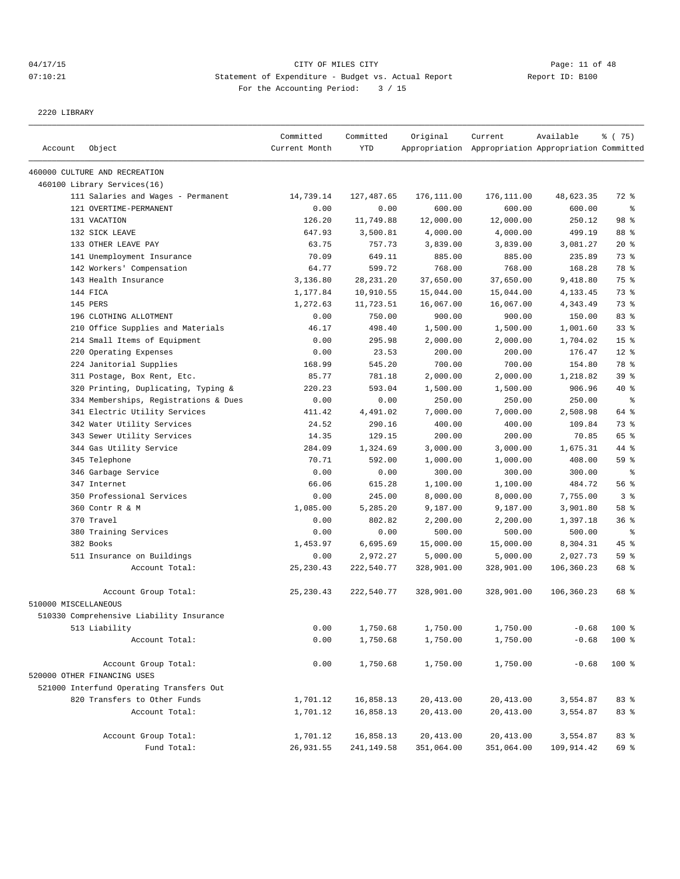## 04/17/15 Page: 11 of 48 07:10:21 Statement of Expenditure - Budget vs. Actual Report Changer Report ID: B100 For the Accounting Period: 3 / 15

2220 LIBRARY

| Account              | Object                                   | Committed<br>Current Month | Committed<br><b>YTD</b> | Original   | Current<br>Appropriation Appropriation Appropriation Committed | Available  | % (75)          |
|----------------------|------------------------------------------|----------------------------|-------------------------|------------|----------------------------------------------------------------|------------|-----------------|
|                      |                                          |                            |                         |            |                                                                |            |                 |
|                      | 460000 CULTURE AND RECREATION            |                            |                         |            |                                                                |            |                 |
|                      | 460100 Library Services(16)              |                            |                         |            |                                                                |            |                 |
|                      | 111 Salaries and Wages - Permanent       | 14,739.14                  | 127,487.65              | 176,111.00 | 176,111.00                                                     | 48,623.35  | 72 %            |
|                      | 121 OVERTIME-PERMANENT                   | 0.00                       | 0.00                    | 600.00     | 600.00                                                         | 600.00     | နွ              |
|                      | 131 VACATION                             | 126.20                     | 11,749.88               | 12,000.00  | 12,000.00                                                      | 250.12     | 98 %            |
|                      | 132 SICK LEAVE                           | 647.93                     | 3,500.81                | 4,000.00   | 4,000.00                                                       | 499.19     | 88 %            |
|                      | 133 OTHER LEAVE PAY                      | 63.75                      | 757.73                  | 3,839.00   | 3,839.00                                                       | 3,081.27   | 20%             |
|                      | 141 Unemployment Insurance               | 70.09                      | 649.11                  | 885.00     | 885.00                                                         | 235.89     | 73 %            |
|                      | 142 Workers' Compensation                | 64.77                      | 599.72                  | 768.00     | 768.00                                                         | 168.28     | 78 %            |
|                      | 143 Health Insurance                     | 3,136.80                   | 28, 231. 20             | 37,650.00  | 37,650.00                                                      | 9,418.80   | 75 %            |
|                      | 144 FICA                                 | 1,177.84                   | 10,910.55               | 15,044.00  | 15,044.00                                                      | 4,133.45   | 73 %            |
|                      | 145 PERS                                 | 1,272.63                   | 11,723.51               | 16,067.00  | 16,067.00                                                      | 4,343.49   | 73 %            |
|                      | 196 CLOTHING ALLOTMENT                   | 0.00                       | 750.00                  | 900.00     | 900.00                                                         | 150.00     | 83%             |
|                      | 210 Office Supplies and Materials        | 46.17                      | 498.40                  | 1,500.00   | 1,500.00                                                       | 1,001.60   | 33%             |
|                      | 214 Small Items of Equipment             | 0.00                       | 295.98                  | 2,000.00   | 2,000.00                                                       | 1,704.02   | 15 <sup>°</sup> |
|                      | 220 Operating Expenses                   | 0.00                       | 23.53                   | 200.00     | 200.00                                                         | 176.47     | 12 <sup>°</sup> |
|                      | 224 Janitorial Supplies                  | 168.99                     | 545.20                  | 700.00     | 700.00                                                         | 154.80     | 78 %            |
|                      | 311 Postage, Box Rent, Etc.              | 85.77                      | 781.18                  | 2,000.00   | 2,000.00                                                       | 1,218.82   | 39%             |
|                      | 320 Printing, Duplicating, Typing &      | 220.23                     | 593.04                  | 1,500.00   | 1,500.00                                                       | 906.96     | 40 %            |
|                      | 334 Memberships, Registrations & Dues    | 0.00                       | 0.00                    | 250.00     | 250.00                                                         | 250.00     | $\epsilon$      |
|                      | 341 Electric Utility Services            | 411.42                     | 4,491.02                | 7,000.00   | 7,000.00                                                       | 2,508.98   | 64 %            |
|                      | 342 Water Utility Services               | 24.52                      | 290.16                  | 400.00     | 400.00                                                         | 109.84     | 73 %            |
|                      | 343 Sewer Utility Services               | 14.35                      | 129.15                  | 200.00     | 200.00                                                         | 70.85      | 65 %            |
|                      | 344 Gas Utility Service                  | 284.09                     | 1,324.69                | 3,000.00   | 3,000.00                                                       | 1,675.31   | 44 %            |
|                      | 345 Telephone                            | 70.71                      | 592.00                  | 1,000.00   | 1,000.00                                                       | 408.00     | 59 %            |
|                      | 346 Garbage Service                      | 0.00                       | 0.00                    | 300.00     | 300.00                                                         | 300.00     | နွ              |
|                      | 347 Internet                             | 66.06                      | 615.28                  | 1,100.00   | 1,100.00                                                       | 484.72     | 56 %            |
|                      | 350 Professional Services                | 0.00                       | 245.00                  | 8,000.00   | 8,000.00                                                       | 7,755.00   | 3 <sup>°</sup>  |
|                      | 360 Contr R & M                          | 1,085.00                   | 5,285.20                | 9,187.00   | 9,187.00                                                       | 3,901.80   | 58 %            |
|                      | 370 Travel                               | 0.00                       | 802.82                  | 2,200.00   | 2,200.00                                                       | 1,397.18   | 36%             |
|                      | 380 Training Services                    | 0.00                       | 0.00                    | 500.00     | 500.00                                                         | 500.00     | နွ              |
|                      | 382 Books                                | 1,453.97                   | 6,695.69                | 15,000.00  | 15,000.00                                                      | 8,304.31   | 45%             |
|                      | 511 Insurance on Buildings               | 0.00                       | 2,972.27                | 5,000.00   | 5,000.00                                                       | 2,027.73   | 59 %            |
|                      | Account Total:                           | 25, 230.43                 | 222,540.77              | 328,901.00 | 328,901.00                                                     | 106,360.23 | 68 %            |
|                      | Account Group Total:                     | 25, 230.43                 | 222,540.77              | 328,901.00 | 328,901.00                                                     | 106,360.23 | 68 %            |
| 510000 MISCELLANEOUS |                                          |                            |                         |            |                                                                |            |                 |
|                      | 510330 Comprehensive Liability Insurance |                            |                         |            |                                                                |            |                 |
|                      | 513 Liability                            | 0.00                       | 1,750.68                | 1,750.00   | 1,750.00                                                       | $-0.68$    | 100 %           |
|                      | Account Total:                           | 0.00                       | 1,750.68                | 1,750.00   | 1,750.00                                                       | $-0.68$    | 100 %           |
|                      | Account Group Total:                     | 0.00                       | 1,750.68                | 1,750.00   | 1,750.00                                                       | $-0.68$    | 100 %           |
|                      | 520000 OTHER FINANCING USES              |                            |                         |            |                                                                |            |                 |
|                      | 521000 Interfund Operating Transfers Out |                            |                         |            |                                                                |            |                 |
|                      | 820 Transfers to Other Funds             | 1,701.12                   | 16,858.13               | 20,413.00  | 20,413.00                                                      | 3,554.87   | 83%             |
|                      | Account Total:                           | 1,701.12                   | 16,858.13               | 20,413.00  | 20, 413.00                                                     | 3,554.87   | 83 %            |
|                      | Account Group Total:                     | 1,701.12                   | 16,858.13               | 20, 413.00 | 20, 413.00                                                     | 3,554.87   | 83 %            |
|                      | Fund Total:                              | 26,931.55                  | 241, 149.58             | 351,064.00 | 351,064.00                                                     | 109,914.42 | 69 %            |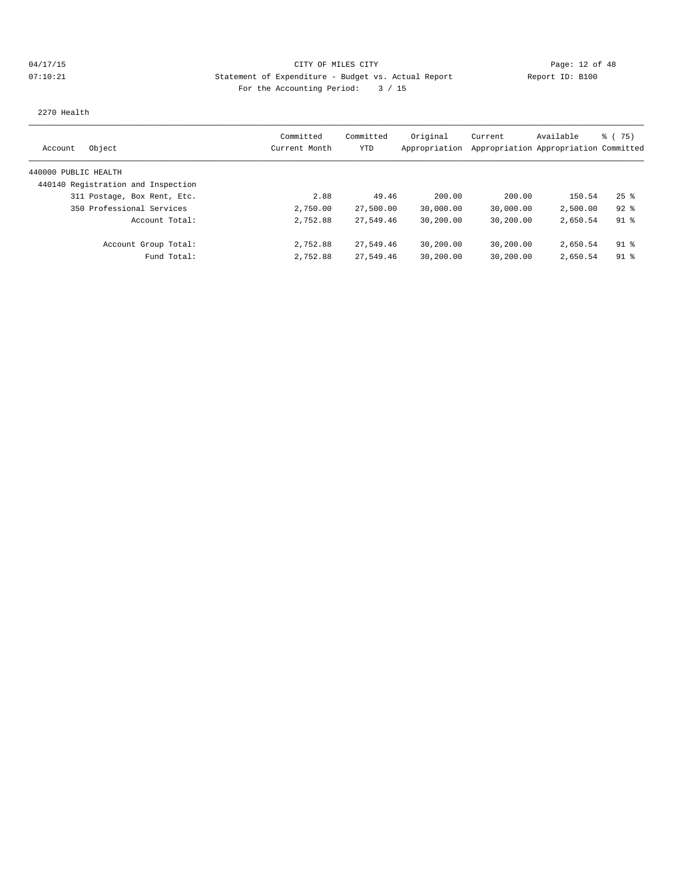# 04/17/15 **Page: 12 of 48** CITY OF MILES CITY **Page: 12 of 48** 07:10:21 Statement of Expenditure - Budget vs. Actual Report Changery Report ID: B100 For the Accounting Period: 3 / 15

2270 Health

| Object<br>Account                  | Committed<br>Current Month | Committed<br>YTD | Original<br>Appropriation | Current   | Available<br>Appropriation Appropriation Committed | % (75)   |
|------------------------------------|----------------------------|------------------|---------------------------|-----------|----------------------------------------------------|----------|
| 440000 PUBLIC HEALTH               |                            |                  |                           |           |                                                    |          |
| 440140 Registration and Inspection |                            |                  |                           |           |                                                    |          |
| 311 Postage, Box Rent, Etc.        | 2.88                       | 49.46            | 200.00                    | 200.00    | 150.54                                             | $25$ $%$ |
| 350 Professional Services          | 2,750.00                   | 27,500.00        | 30,000.00                 | 30,000.00 | 2,500.00                                           | $92$ $%$ |
| Account Total:                     | 2,752.88                   | 27,549.46        | 30,200.00                 | 30,200.00 | 2,650.54                                           | 91 %     |
| Account Group Total:               | 2,752.88                   | 27,549.46        | 30,200.00                 | 30,200.00 | 2,650.54                                           | $91$ %   |
| Fund Total:                        | 2,752.88                   | 27,549.46        | 30,200.00                 | 30,200.00 | 2,650.54                                           | $91$ %   |
|                                    |                            |                  |                           |           |                                                    |          |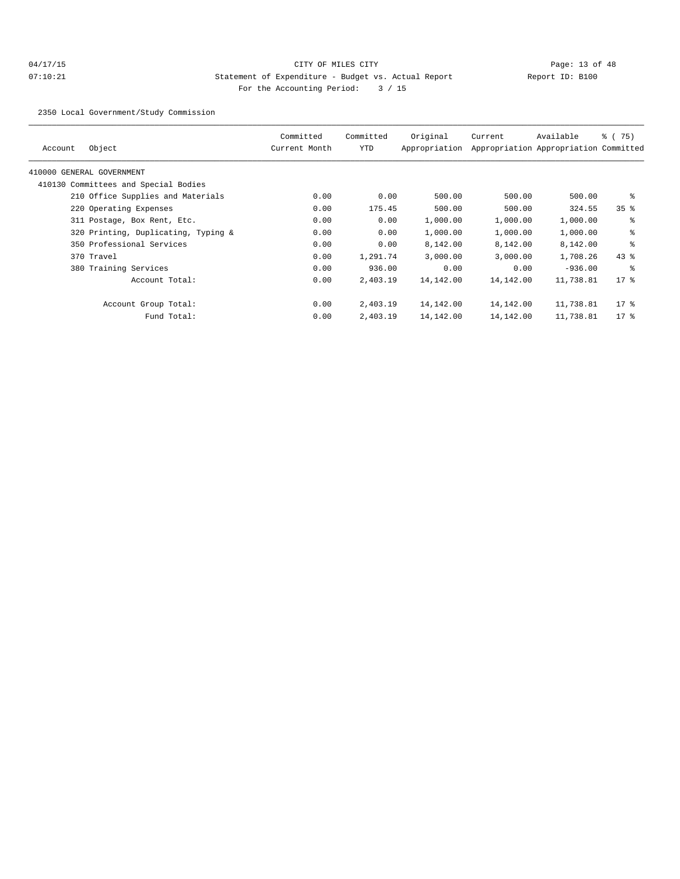## 04/17/15 Page: 13 of 48 07:10:21 Statement of Expenditure - Budget vs. Actual Report Changer Report ID: B100 For the Accounting Period: 3 / 15

2350 Local Government/Study Commission

| Object<br>Account                    | Committed<br>Current Month | Committed<br>YTD | Original<br>Appropriation | Current   | Available<br>Appropriation Appropriation Committed | 8 (75)          |
|--------------------------------------|----------------------------|------------------|---------------------------|-----------|----------------------------------------------------|-----------------|
| 410000 GENERAL GOVERNMENT            |                            |                  |                           |           |                                                    |                 |
| 410130 Committees and Special Bodies |                            |                  |                           |           |                                                    |                 |
| 210 Office Supplies and Materials    | 0.00                       | 0.00             | 500.00                    | 500.00    | 500.00                                             | နွ              |
| 220 Operating Expenses               | 0.00                       | 175.45           | 500.00                    | 500.00    | 324.55                                             | 35 <sup>8</sup> |
| 311 Postage, Box Rent, Etc.          | 0.00                       | 0.00             | 1,000.00                  | 1,000.00  | 1,000.00                                           | နွ              |
| 320 Printing, Duplicating, Typing &  | 0.00                       | 0.00             | 1,000.00                  | 1,000.00  | 1,000.00                                           | နွ              |
| 350 Professional Services            | 0.00                       | 0.00             | 8,142.00                  | 8,142.00  | 8,142.00                                           | နွ              |
| 370 Travel                           | 0.00                       | 1,291.74         | 3,000.00                  | 3,000.00  | 1,708.26                                           | $43$ %          |
| 380 Training Services                | 0.00                       | 936.00           | 0.00                      | 0.00      | $-936.00$                                          | နွ              |
| Account Total:                       | 0.00                       | 2,403.19         | 14,142.00                 | 14,142.00 | 11,738.81                                          | $17*$           |
| Account Group Total:                 | 0.00                       | 2,403.19         | 14,142.00                 | 14,142.00 | 11,738.81                                          | $17$ %          |
| Fund Total:                          | 0.00                       | 2,403.19         | 14,142.00                 | 14,142.00 | 11,738.81                                          | $17*$           |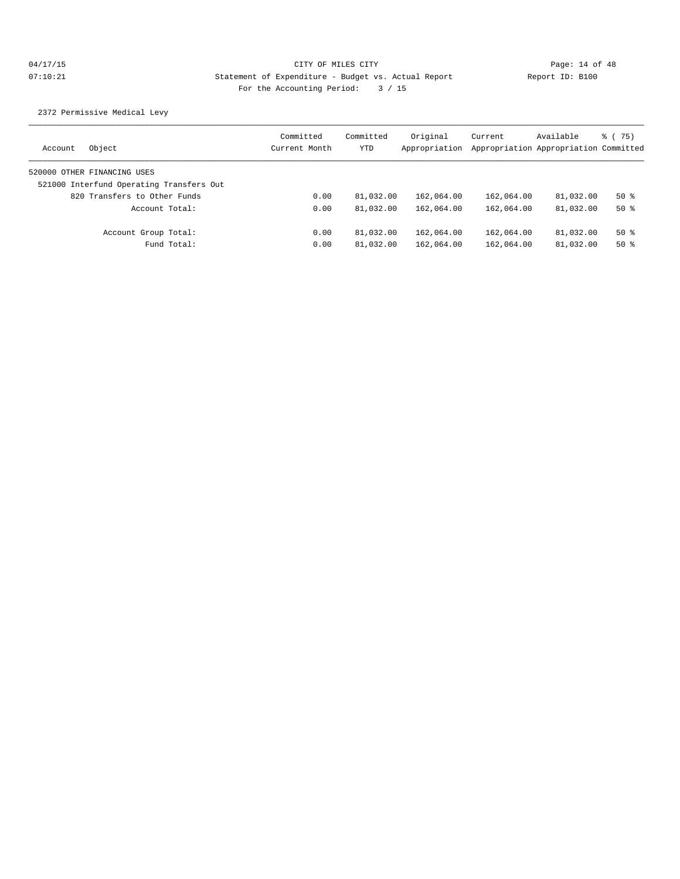2372 Permissive Medical Levy

| Object<br>Account                        | Committed<br>Current Month | Committed<br>YTD | Original<br>Appropriation | Current    | Available<br>Appropriation Appropriation Committed | 8 (75) |
|------------------------------------------|----------------------------|------------------|---------------------------|------------|----------------------------------------------------|--------|
| 520000 OTHER FINANCING USES              |                            |                  |                           |            |                                                    |        |
| 521000 Interfund Operating Transfers Out |                            |                  |                           |            |                                                    |        |
| 820 Transfers to Other Funds             | 0.00                       | 81,032.00        | 162,064.00                | 162,064.00 | 81,032.00                                          | $50*$  |
| Account Total:                           | 0.00                       | 81,032.00        | 162,064.00                | 162,064.00 | 81,032.00                                          | $50*$  |
| Account Group Total:                     | 0.00                       | 81,032.00        | 162,064.00                | 162,064.00 | 81,032.00                                          | $50*$  |
| Fund Total:                              | 0.00                       | 81,032.00        | 162,064.00                | 162,064.00 | 81,032.00                                          | $50*$  |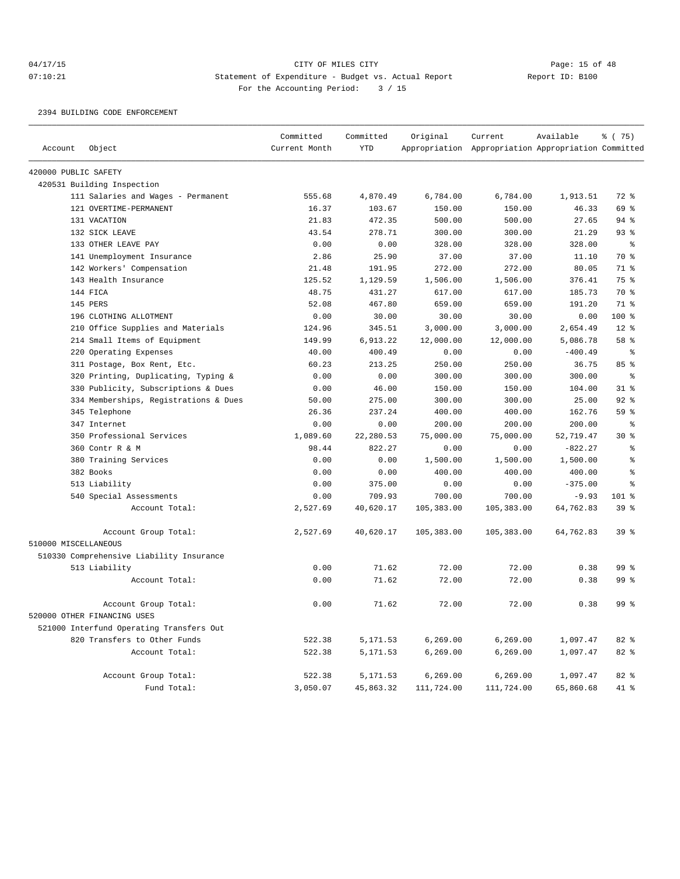## 04/17/15 **Page: 15 of 48** CITY OF MILES CITY **Page: 15 of 48** 07:10:21 Statement of Expenditure - Budget vs. Actual Report Changer Report ID: B100 For the Accounting Period: 3 / 15

#### 2394 BUILDING CODE ENFORCEMENT

|                      |                                          | Committed     | Committed  | Original   | Current                                             | Available | % (75)          |
|----------------------|------------------------------------------|---------------|------------|------------|-----------------------------------------------------|-----------|-----------------|
| Account              | Object                                   | Current Month | <b>YTD</b> |            | Appropriation Appropriation Appropriation Committed |           |                 |
| 420000 PUBLIC SAFETY |                                          |               |            |            |                                                     |           |                 |
|                      | 420531 Building Inspection               |               |            |            |                                                     |           |                 |
|                      | 111 Salaries and Wages - Permanent       | 555.68        | 4,870.49   | 6,784.00   | 6,784.00                                            | 1,913.51  | $72$ $%$        |
|                      | 121 OVERTIME-PERMANENT                   | 16.37         | 103.67     | 150.00     | 150.00                                              | 46.33     | 69 %            |
|                      | 131 VACATION                             | 21.83         | 472.35     | 500.00     | 500.00                                              | 27.65     | 94%             |
|                      | 132 SICK LEAVE                           | 43.54         | 278.71     | 300.00     | 300.00                                              | 21.29     | 93%             |
|                      | 133 OTHER LEAVE PAY                      | 0.00          | 0.00       | 328.00     | 328.00                                              | 328.00    | ႜ               |
|                      | 141 Unemployment Insurance               | 2.86          | 25.90      | 37.00      | 37.00                                               | 11.10     | 70 %            |
|                      | 142 Workers' Compensation                | 21.48         | 191.95     | 272.00     | 272.00                                              | 80.05     | 71 %            |
|                      | 143 Health Insurance                     | 125.52        | 1,129.59   | 1,506.00   | 1,506.00                                            | 376.41    | 75 %            |
|                      | 144 FICA                                 | 48.75         | 431.27     | 617.00     | 617.00                                              | 185.73    | 70 %            |
|                      | 145 PERS                                 | 52.08         | 467.80     | 659.00     | 659.00                                              | 191.20    | 71.8            |
|                      | 196 CLOTHING ALLOTMENT                   | 0.00          | 30.00      | 30.00      | 30.00                                               | 0.00      | 100 %           |
|                      | 210 Office Supplies and Materials        | 124.96        | 345.51     | 3,000.00   | 3,000.00                                            | 2,654.49  | $12*$           |
|                      | 214 Small Items of Equipment             | 149.99        | 6,913.22   | 12,000.00  | 12,000.00                                           | 5,086.78  | 58 <sup>8</sup> |
|                      | 220 Operating Expenses                   | 40.00         | 400.49     | 0.00       | 0.00                                                | $-400.49$ | $\epsilon$      |
|                      | 311 Postage, Box Rent, Etc.              | 60.23         | 213.25     | 250.00     | 250.00                                              | 36.75     | 85%             |
|                      | 320 Printing, Duplicating, Typing &      | 0.00          | 0.00       | 300.00     | 300.00                                              | 300.00    | $\approx$       |
|                      | 330 Publicity, Subscriptions & Dues      | 0.00          | 46.00      | 150.00     | 150.00                                              | 104.00    | 31.8            |
|                      | 334 Memberships, Registrations & Dues    | 50.00         | 275.00     | 300.00     | 300.00                                              | 25.00     | 92 <sup>8</sup> |
|                      | 345 Telephone                            | 26.36         | 237.24     | 400.00     | 400.00                                              | 162.76    | 59 <sup>°</sup> |
|                      | 347 Internet                             | 0.00          | 0.00       | 200.00     | 200.00                                              | 200.00    | နွ              |
|                      | 350 Professional Services                | 1,089.60      | 22,280.53  | 75,000.00  | 75,000.00                                           | 52,719.47 | $30*$           |
|                      | 360 Contr R & M                          | 98.44         | 822.27     | 0.00       | 0.00                                                | $-822.27$ | š               |
|                      | 380 Training Services                    | 0.00          | 0.00       | 1,500.00   | 1,500.00                                            | 1,500.00  | š               |
|                      | 382 Books                                | 0.00          | 0.00       | 400.00     | 400.00                                              | 400.00    | š               |
|                      | 513 Liability                            | 0.00          | 375.00     | 0.00       | 0.00                                                | $-375.00$ | ٥Ŗ              |
|                      | 540 Special Assessments                  | 0.00          | 709.93     | 700.00     | 700.00                                              | $-9.93$   | 101 %           |
|                      | Account Total:                           | 2,527.69      | 40,620.17  | 105,383.00 | 105,383.00                                          | 64,762.83 | 39 <sup>8</sup> |
| 510000 MISCELLANEOUS | Account Group Total:                     | 2,527.69      | 40,620.17  | 105,383.00 | 105,383.00                                          | 64,762.83 | 39 %            |
|                      | 510330 Comprehensive Liability Insurance |               |            |            |                                                     |           |                 |
|                      | 513 Liability                            | 0.00          | 71.62      | 72.00      | 72.00                                               | 0.38      | 99 <sup>8</sup> |
|                      | Account Total:                           | 0.00          | 71.62      | 72.00      | 72.00                                               | 0.38      | 99 <sup>°</sup> |
|                      | Account Group Total:                     | 0.00          | 71.62      | 72.00      | 72.00                                               | 0.38      | 99 <sup>°</sup> |
|                      | 520000 OTHER FINANCING USES              |               |            |            |                                                     |           |                 |
|                      | 521000 Interfund Operating Transfers Out |               |            |            |                                                     |           |                 |
|                      | 820 Transfers to Other Funds             | 522.38        | 5, 171.53  | 6,269.00   | 6,269.00                                            | 1,097.47  | 82%             |
|                      | Account Total:                           | 522.38        | 5,171.53   | 6, 269.00  | 6, 269.00                                           | 1,097.47  | 82 %            |
|                      | Account Group Total:                     | 522.38        | 5, 171.53  | 6, 269.00  | 6, 269.00                                           | 1,097.47  | 82 %            |
|                      | Fund Total:                              | 3,050.07      | 45,863.32  | 111,724.00 | 111,724.00                                          | 65,860.68 | 41.8            |
|                      |                                          |               |            |            |                                                     |           |                 |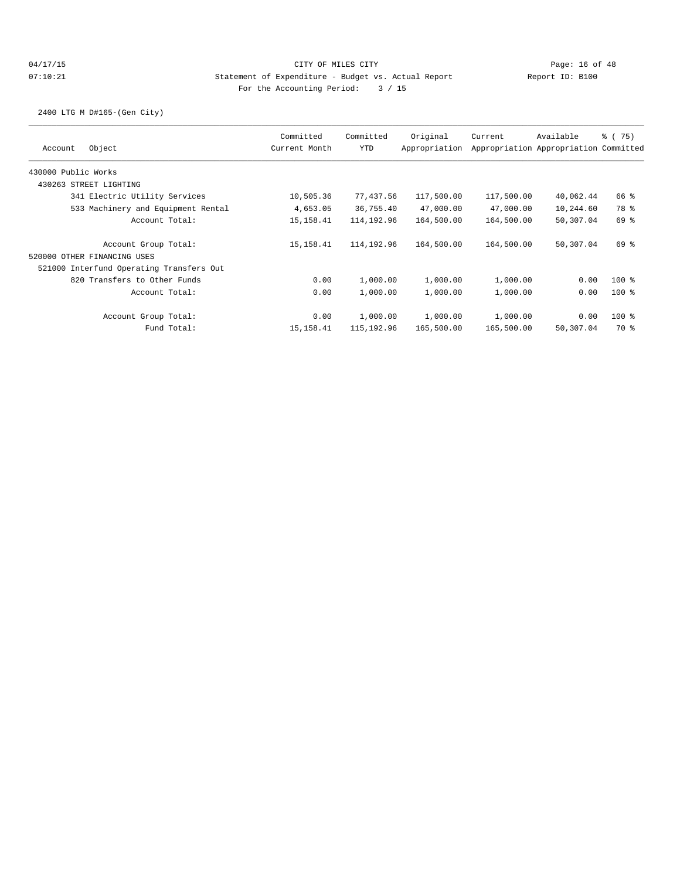2400 LTG M D#165-(Gen City)

| Object<br>Account                        | Committed<br>Current Month | Committed<br>YTD | Original<br>Appropriation | Current    | Available<br>Appropriation Appropriation Committed | $\frac{1}{6}$ ( 75) |
|------------------------------------------|----------------------------|------------------|---------------------------|------------|----------------------------------------------------|---------------------|
| 430000 Public Works                      |                            |                  |                           |            |                                                    |                     |
| 430263 STREET LIGHTING                   |                            |                  |                           |            |                                                    |                     |
| 341 Electric Utility Services            | 10,505.36                  | 77,437.56        | 117,500.00                | 117,500.00 | 40,062.44                                          | 66 %                |
| 533 Machinery and Equipment Rental       | 4,653.05                   | 36,755.40        | 47,000.00                 | 47,000.00  | 10,244.60                                          | 78 %                |
| Account Total:                           | 15, 158.41                 | 114,192.96       | 164,500.00                | 164,500.00 | 50,307.04                                          | 69 %                |
| Account Group Total:                     | 15, 158.41                 | 114,192.96       | 164,500.00                | 164,500.00 | 50,307.04                                          | 69 %                |
| 520000 OTHER FINANCING USES              |                            |                  |                           |            |                                                    |                     |
| 521000 Interfund Operating Transfers Out |                            |                  |                           |            |                                                    |                     |
| 820 Transfers to Other Funds             | 0.00                       | 1,000.00         | 1,000.00                  | 1,000.00   | 0.00                                               | $100$ %             |
| Account Total:                           | 0.00                       | 1,000.00         | 1,000.00                  | 1,000.00   | 0.00                                               | $100$ %             |
| Account Group Total:                     | 0.00                       | 1,000.00         | 1,000.00                  | 1,000.00   | 0.00                                               | $100$ %             |
| Fund Total:                              | 15, 158.41                 | 115,192.96       | 165,500.00                | 165,500.00 | 50,307.04                                          | 70 %                |
|                                          |                            |                  |                           |            |                                                    |                     |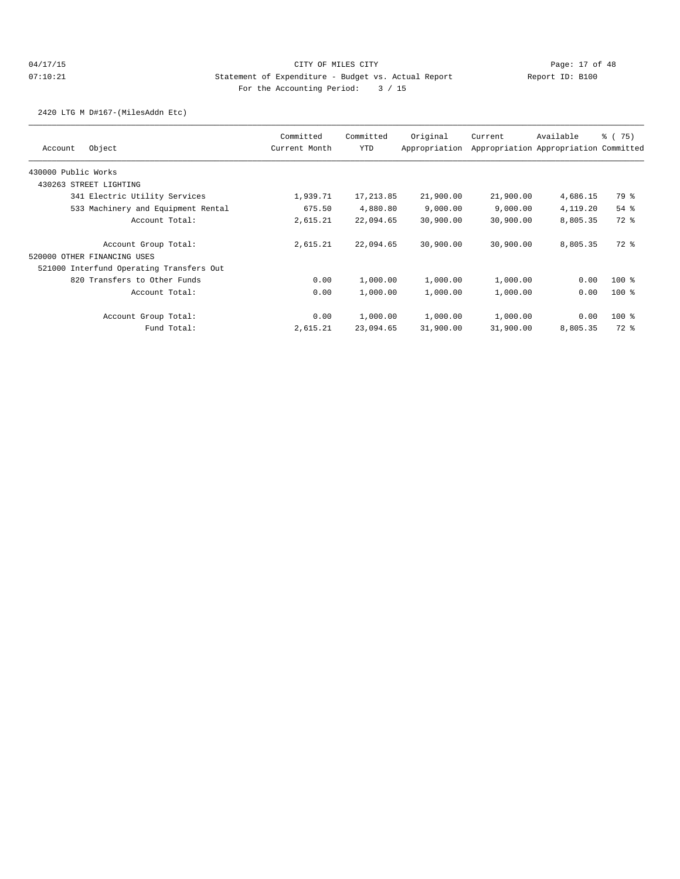2420 LTG M D#167-(MilesAddn Etc)

| Object<br>Account                        | Committed<br>Current Month | Committed<br><b>YTD</b> | Original<br>Appropriation | Current   | Available<br>Appropriation Appropriation Committed | % (75)  |
|------------------------------------------|----------------------------|-------------------------|---------------------------|-----------|----------------------------------------------------|---------|
| 430000 Public Works                      |                            |                         |                           |           |                                                    |         |
| 430263 STREET LIGHTING                   |                            |                         |                           |           |                                                    |         |
| 341 Electric Utility Services            | 1,939.71                   | 17, 213.85              | 21,900.00                 | 21,900.00 | 4,686.15                                           | 79 %    |
| 533 Machinery and Equipment Rental       | 675.50                     | 4,880.80                | 9,000.00                  | 9,000.00  | 4,119.20                                           | 54 %    |
| Account Total:                           | 2,615.21                   | 22,094.65               | 30,900.00                 | 30,900.00 | 8,805.35                                           | 72 %    |
| Account Group Total:                     | 2,615.21                   | 22,094.65               | 30,900.00                 | 30,900.00 | 8,805.35                                           | 72 %    |
| 520000 OTHER FINANCING USES              |                            |                         |                           |           |                                                    |         |
| 521000 Interfund Operating Transfers Out |                            |                         |                           |           |                                                    |         |
| 820 Transfers to Other Funds             | 0.00                       | 1,000.00                | 1,000.00                  | 1,000.00  | 0.00                                               | $100$ % |
| Account Total:                           | 0.00                       | 1,000.00                | 1,000.00                  | 1,000.00  | 0.00                                               | $100$ % |
| Account Group Total:                     | 0.00                       | 1,000.00                | 1,000.00                  | 1,000.00  | 0.00                                               | $100$ % |
| Fund Total:                              | 2,615.21                   | 23,094.65               | 31,900.00                 | 31,900.00 | 8,805.35                                           | 72 %    |
|                                          |                            |                         |                           |           |                                                    |         |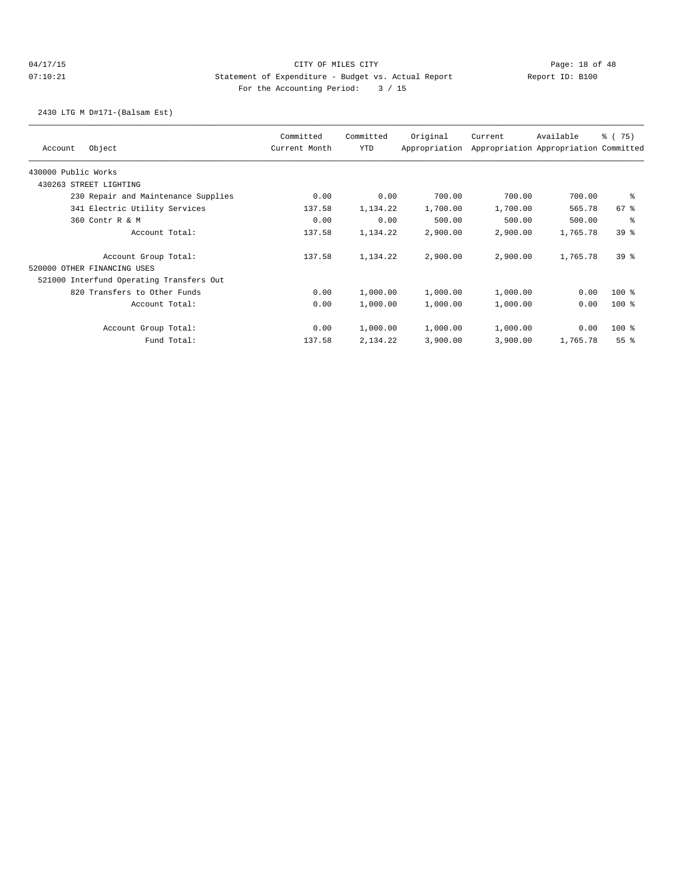# 04/17/15 **Page: 18 of 48** CITY OF MILES CITY **Page: 18 of 48** 07:10:21 Statement of Expenditure - Budget vs. Actual Report Changery Report ID: B100 For the Accounting Period: 3 / 15

2430 LTG M D#171-(Balsam Est)

| Account             | Object                                   | Committed<br>Current Month | Committed<br>YTD | Original<br>Appropriation | Current  | Available<br>Appropriation Appropriation Committed | % (75)          |
|---------------------|------------------------------------------|----------------------------|------------------|---------------------------|----------|----------------------------------------------------|-----------------|
| 430000 Public Works |                                          |                            |                  |                           |          |                                                    |                 |
|                     | 430263 STREET LIGHTING                   |                            |                  |                           |          |                                                    |                 |
|                     | 230 Repair and Maintenance Supplies      | 0.00                       | 0.00             | 700.00                    | 700.00   | 700.00                                             | ႜ               |
|                     | 341 Electric Utility Services            | 137.58                     | 1,134.22         | 1,700.00                  | 1,700.00 | 565.78                                             | $67$ $%$        |
|                     | 360 Contr R & M                          | 0.00                       | 0.00             | 500.00                    | 500.00   | 500.00                                             | ి               |
|                     | Account Total:                           | 137.58                     | 1,134.22         | 2,900.00                  | 2,900.00 | 1,765.78                                           | 398             |
|                     | Account Group Total:                     | 137.58                     | 1,134.22         | 2,900.00                  | 2,900.00 | 1,765.78                                           | 398             |
|                     | 520000 OTHER FINANCING USES              |                            |                  |                           |          |                                                    |                 |
|                     | 521000 Interfund Operating Transfers Out |                            |                  |                           |          |                                                    |                 |
|                     | 820 Transfers to Other Funds             | 0.00                       | 1,000.00         | 1,000.00                  | 1,000.00 | 0.00                                               | $100$ %         |
|                     | Account Total:                           | 0.00                       | 1,000.00         | 1,000.00                  | 1,000.00 | 0.00                                               | $100$ %         |
|                     | Account Group Total:                     | 0.00                       | 1,000.00         | 1,000.00                  | 1,000.00 | 0.00                                               | $100$ %         |
|                     | Fund Total:                              | 137.58                     | 2,134.22         | 3,900.00                  | 3,900.00 | 1,765.78                                           | 55 <sup>8</sup> |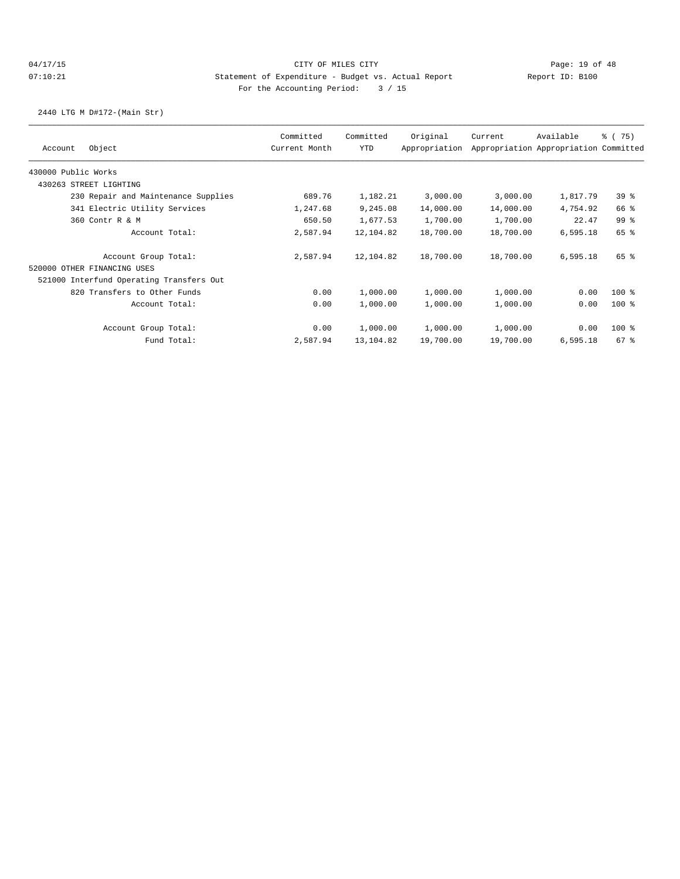2440 LTG M D#172-(Main Str)

|                                          | Committed     | Committed | Original      | Current   | Available                             | % (75)          |
|------------------------------------------|---------------|-----------|---------------|-----------|---------------------------------------|-----------------|
| Object<br>Account                        | Current Month | YTD       | Appropriation |           | Appropriation Appropriation Committed |                 |
| 430000 Public Works                      |               |           |               |           |                                       |                 |
| 430263 STREET LIGHTING                   |               |           |               |           |                                       |                 |
| 230 Repair and Maintenance Supplies      | 689.76        | 1,182.21  | 3,000.00      | 3,000.00  | 1,817.79                              | 39 <sup>8</sup> |
| 341 Electric Utility Services            | 1,247.68      | 9,245.08  | 14,000.00     | 14,000.00 | 4,754.92                              | 66 %            |
| 360 Contr R & M                          | 650.50        | 1,677.53  | 1,700.00      | 1,700.00  | 22.47                                 | 99 <sub>8</sub> |
| Account Total:                           | 2,587.94      | 12,104.82 | 18,700.00     | 18,700.00 | 6,595.18                              | 65 %            |
| Account Group Total:                     | 2,587.94      | 12,104.82 | 18,700.00     | 18,700.00 | 6,595.18                              | 65 %            |
| 520000 OTHER FINANCING USES              |               |           |               |           |                                       |                 |
| 521000 Interfund Operating Transfers Out |               |           |               |           |                                       |                 |
| 820 Transfers to Other Funds             | 0.00          | 1,000.00  | 1,000.00      | 1,000.00  | 0.00                                  | $100$ %         |
| Account Total:                           | 0.00          | 1,000.00  | 1,000.00      | 1,000.00  | 0.00                                  | $100$ %         |
| Account Group Total:                     | 0.00          | 1,000.00  | 1,000.00      | 1,000.00  | 0.00                                  | $100$ %         |
| Fund Total:                              | 2,587.94      | 13,104.82 | 19,700.00     | 19,700.00 | 6,595.18                              | $67$ $%$        |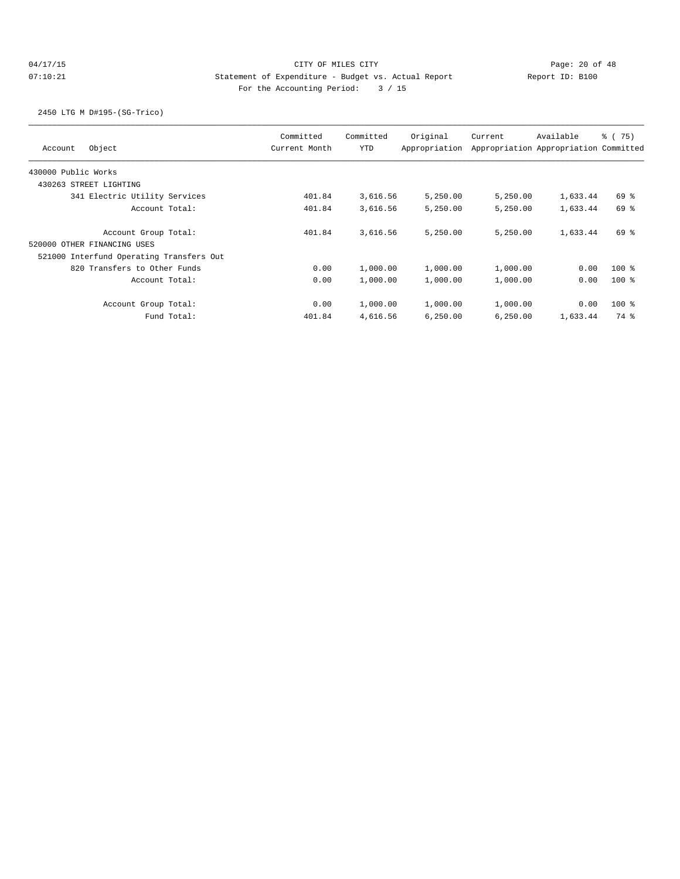# 04/17/15 Page: 20 of 48 07:10:21 Statement of Expenditure - Budget vs. Actual Report Changery Report ID: B100 For the Accounting Period: 3 / 15

2450 LTG M D#195-(SG-Trico)

| Object<br>Account                        | Committed<br>Current Month | Committed<br><b>YTD</b> | Original<br>Appropriation | Current  | Available<br>Appropriation Appropriation Committed | 8 (75)  |
|------------------------------------------|----------------------------|-------------------------|---------------------------|----------|----------------------------------------------------|---------|
| 430000 Public Works                      |                            |                         |                           |          |                                                    |         |
| 430263 STREET LIGHTING                   |                            |                         |                           |          |                                                    |         |
| 341 Electric Utility Services            | 401.84                     | 3,616.56                | 5,250.00                  | 5,250.00 | 1,633.44                                           | 69 %    |
| Account Total:                           | 401.84                     | 3,616.56                | 5,250.00                  | 5,250.00 | 1,633.44                                           | 69 %    |
| Account Group Total:                     | 401.84                     | 3,616.56                | 5,250.00                  | 5.250.00 | 1,633.44                                           | 69 %    |
| 520000 OTHER FINANCING USES              |                            |                         |                           |          |                                                    |         |
| 521000 Interfund Operating Transfers Out |                            |                         |                           |          |                                                    |         |
| 820 Transfers to Other Funds             | 0.00                       | 1,000.00                | 1,000.00                  | 1,000.00 | 0.00                                               | $100*$  |
| Account Total:                           | 0.00                       | 1,000.00                | 1,000.00                  | 1,000.00 | 0.00                                               | $100$ % |
| Account Group Total:                     | 0.00                       | 1,000.00                | 1,000.00                  | 1,000.00 | 0.00                                               | $100$ % |
| Fund Total:                              | 401.84                     | 4,616.56                | 6,250.00                  | 6,250.00 | 1,633.44                                           | 74 %    |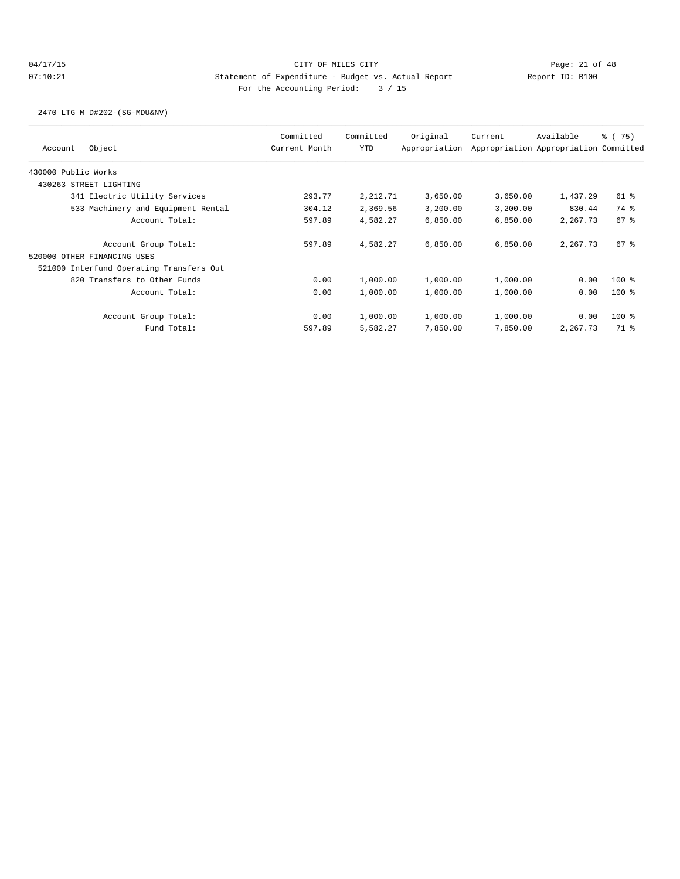2470 LTG M D#202-(SG-MDU&NV)

| Committed<br><b>YTD</b> | Original                                                               | Current                                                                                                                        | Available | % (75)                                                                                            |
|-------------------------|------------------------------------------------------------------------|--------------------------------------------------------------------------------------------------------------------------------|-----------|---------------------------------------------------------------------------------------------------|
|                         |                                                                        |                                                                                                                                |           |                                                                                                   |
|                         |                                                                        |                                                                                                                                |           |                                                                                                   |
|                         |                                                                        |                                                                                                                                |           |                                                                                                   |
|                         | 3,650.00                                                               | 3,650.00                                                                                                                       | 1,437.29  | 61 %                                                                                              |
|                         | 3,200.00                                                               |                                                                                                                                | 830.44    | 74 %                                                                                              |
|                         | 6,850.00                                                               |                                                                                                                                | 2,267.73  | $67$ %                                                                                            |
|                         | 6,850.00                                                               |                                                                                                                                | 2,267.73  | $67$ %                                                                                            |
|                         |                                                                        |                                                                                                                                |           |                                                                                                   |
|                         |                                                                        |                                                                                                                                |           |                                                                                                   |
|                         | 1,000.00                                                               | 1,000.00                                                                                                                       | 0.00      | $100$ %                                                                                           |
|                         | 1,000.00                                                               |                                                                                                                                | 0.00      | $100$ %                                                                                           |
|                         | 1,000.00                                                               | 1,000.00                                                                                                                       | 0.00      | $100$ %                                                                                           |
|                         | 7,850.00                                                               |                                                                                                                                | 2,267.73  | 71 %                                                                                              |
|                         | 293.77<br>304.12<br>597.89<br>597.89<br>0.00<br>0.00<br>0.00<br>597.89 | Current Month<br>Appropriation<br>2,212.71<br>2,369.56<br>4,582.27<br>4,582.27<br>1,000.00<br>1,000.00<br>1,000.00<br>5,582.27 |           | Appropriation Appropriation Committed<br>3,200.00<br>6,850.00<br>6,850.00<br>1,000.00<br>7,850.00 |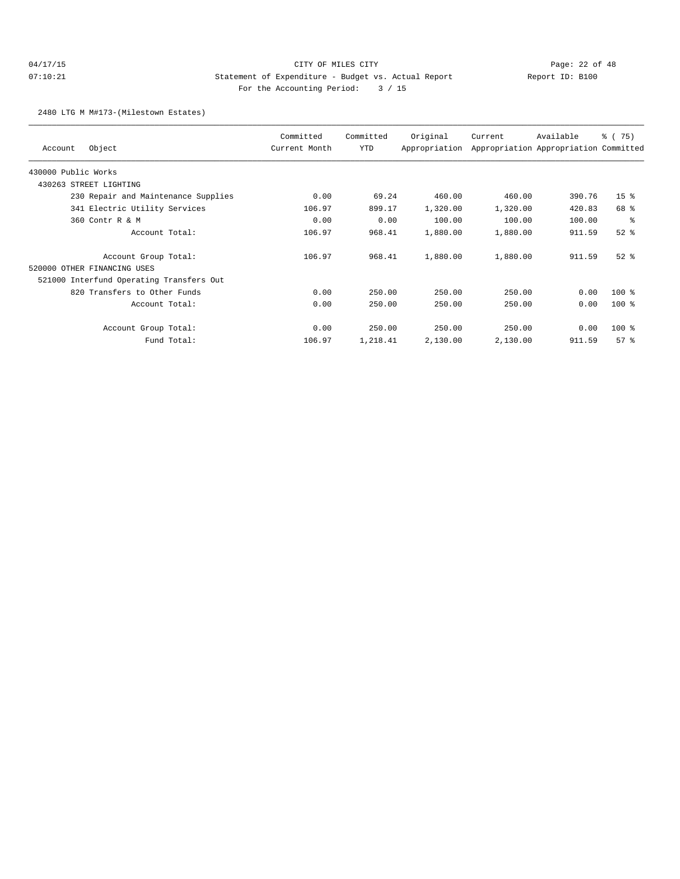## 04/17/15 Page: 22 of 48 07:10:21 Statement of Expenditure - Budget vs. Actual Report Changery Report ID: B100 For the Accounting Period: 3 / 15

2480 LTG M M#173-(Milestown Estates)

| Object<br>Account                        | Committed<br>Current Month | Committed<br>YTD | Original<br>Appropriation | Current  | Available<br>Appropriation Appropriation Committed | % (75)          |
|------------------------------------------|----------------------------|------------------|---------------------------|----------|----------------------------------------------------|-----------------|
| 430000 Public Works                      |                            |                  |                           |          |                                                    |                 |
| STREET LIGHTING<br>430263                |                            |                  |                           |          |                                                    |                 |
| 230 Repair and Maintenance Supplies      | 0.00                       | 69.24            | 460.00                    | 460.00   | 390.76                                             | 15 <sup>8</sup> |
| 341 Electric Utility Services            | 106.97                     | 899.17           | 1,320.00                  | 1,320.00 | 420.83                                             | 68 %            |
| 360 Contr R & M                          | 0.00                       | 0.00             | 100.00                    | 100.00   | 100.00                                             | နွ              |
| Account Total:                           | 106.97                     | 968.41           | 1,880.00                  | 1,880.00 | 911.59                                             | $52$ $%$        |
| Account Group Total:                     | 106.97                     | 968.41           | 1,880.00                  | 1,880.00 | 911.59                                             | $52$ $%$        |
| 520000 OTHER FINANCING USES              |                            |                  |                           |          |                                                    |                 |
| 521000 Interfund Operating Transfers Out |                            |                  |                           |          |                                                    |                 |
| 820 Transfers to Other Funds             | 0.00                       | 250.00           | 250.00                    | 250.00   | 0.00                                               | $100$ %         |
| Account Total:                           | 0.00                       | 250.00           | 250.00                    | 250.00   | 0.00                                               | $100$ %         |
| Account Group Total:                     | 0.00                       | 250.00           | 250.00                    | 250.00   | 0.00                                               | $100$ %         |
| Fund Total:                              | 106.97                     | 1,218.41         | 2,130.00                  | 2,130.00 | 911.59                                             | 57%             |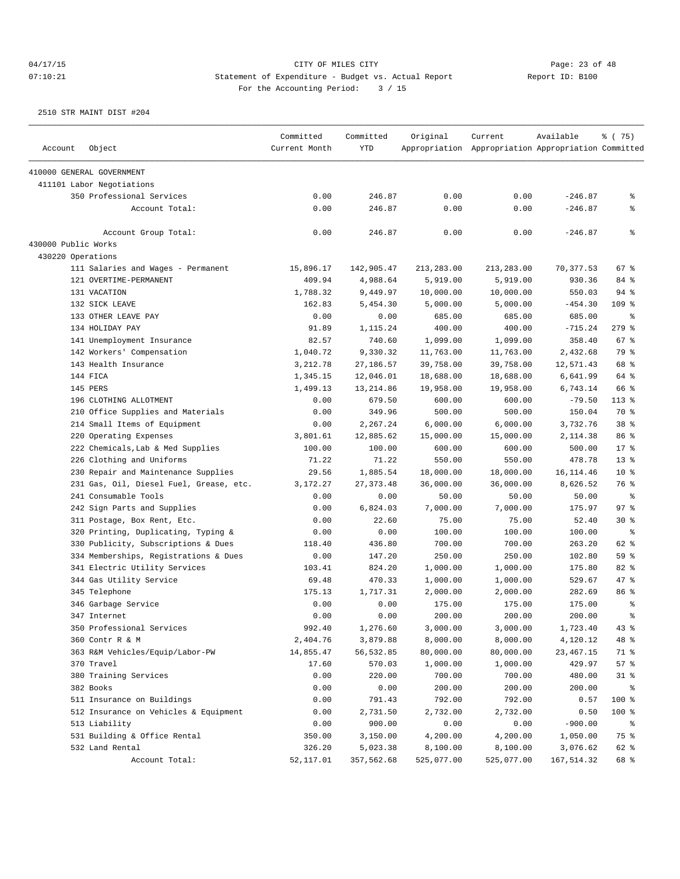04/17/15 Page: 23 of 48

07:10:21 Statement of Expenditure - Budget vs. Actual Report Changer Report ID: B100 For the Accounting Period: 3 / 15

|                     |                                         | Committed     | Committed  | Original   | Current                                             | Available   | % (75)          |
|---------------------|-----------------------------------------|---------------|------------|------------|-----------------------------------------------------|-------------|-----------------|
| Account             | Object                                  | Current Month | <b>YTD</b> |            | Appropriation Appropriation Appropriation Committed |             |                 |
|                     | 410000 GENERAL GOVERNMENT               |               |            |            |                                                     |             |                 |
|                     | 411101 Labor Negotiations               |               |            |            |                                                     |             |                 |
|                     | 350 Professional Services               | 0.00          | 246.87     | 0.00       | 0.00                                                | $-246.87$   | နွ              |
|                     | Account Total:                          | 0.00          | 246.87     | 0.00       | 0.00                                                | $-246.87$   | နွ              |
|                     | Account Group Total:                    | 0.00          | 246.87     | 0.00       | 0.00                                                | $-246.87$   | ៖               |
| 430000 Public Works |                                         |               |            |            |                                                     |             |                 |
| 430220 Operations   |                                         |               |            |            |                                                     |             |                 |
|                     | 111 Salaries and Wages - Permanent      | 15,896.17     | 142,905.47 | 213,283.00 | 213,283.00                                          | 70, 377.53  | 67%             |
|                     | 121 OVERTIME-PERMANENT                  | 409.94        | 4,988.64   | 5,919.00   | 5,919.00                                            | 930.36      | 84 %            |
|                     | 131 VACATION                            | 1,788.32      | 9,449.97   | 10,000.00  | 10,000.00                                           | 550.03      | $94$ %          |
|                     | 132 SICK LEAVE                          | 162.83        | 5,454.30   | 5,000.00   | 5,000.00                                            | $-454.30$   | $109$ %         |
|                     | 133 OTHER LEAVE PAY                     | 0.00          | 0.00       | 685.00     | 685.00                                              | 685.00      | ႜ               |
|                     | 134 HOLIDAY PAY                         | 91.89         | 1,115.24   | 400.00     | 400.00                                              | $-715.24$   | $279$ %         |
|                     | 141 Unemployment Insurance              | 82.57         | 740.60     | 1,099.00   | 1,099.00                                            | 358.40      | 67%             |
|                     | 142 Workers' Compensation               | 1,040.72      | 9,330.32   | 11,763.00  | 11,763.00                                           | 2,432.68    | 79 %            |
|                     | 143 Health Insurance                    | 3,212.78      | 27,186.57  | 39,758.00  | 39,758.00                                           | 12,571.43   | 68 %            |
|                     | 144 FICA                                | 1,345.15      | 12,046.01  | 18,688.00  | 18,688.00                                           | 6,641.99    | 64 %            |
|                     | 145 PERS                                | 1,499.13      | 13, 214.86 | 19,958.00  | 19,958.00                                           | 6,743.14    | 66 %            |
|                     | 196 CLOTHING ALLOTMENT                  | 0.00          | 679.50     | 600.00     | 600.00                                              | $-79.50$    | 113 %           |
|                     | 210 Office Supplies and Materials       | 0.00          | 349.96     | 500.00     | 500.00                                              | 150.04      | 70 %            |
|                     | 214 Small Items of Equipment            | 0.00          | 2,267.24   | 6,000.00   | 6,000.00                                            | 3,732.76    | 38 %            |
|                     | 220 Operating Expenses                  | 3,801.61      | 12,885.62  | 15,000.00  | 15,000.00                                           | 2,114.38    | 86 %            |
|                     | 222 Chemicals, Lab & Med Supplies       | 100.00        | 100.00     | 600.00     | 600.00                                              | 500.00      | 17.8            |
|                     | 226 Clothing and Uniforms               | 71.22         | 71.22      | 550.00     | 550.00                                              | 478.78      | $13*$           |
|                     | 230 Repair and Maintenance Supplies     | 29.56         | 1,885.54   | 18,000.00  | 18,000.00                                           | 16, 114.46  | 10 <sup>8</sup> |
|                     | 231 Gas, Oil, Diesel Fuel, Grease, etc. | 3,172.27      | 27, 373.48 | 36,000.00  | 36,000.00                                           | 8,626.52    | 76 %            |
|                     | 241 Consumable Tools                    | 0.00          | 0.00       | 50.00      | 50.00                                               | 50.00       | နွ              |
|                     | 242 Sign Parts and Supplies             | 0.00          | 6,824.03   | 7,000.00   | 7,000.00                                            | 175.97      | 97%             |
|                     | 311 Postage, Box Rent, Etc.             | 0.00          | 22.60      | 75.00      | 75.00                                               | 52.40       | $30*$           |
|                     | 320 Printing, Duplicating, Typing &     | 0.00          | 0.00       | 100.00     | 100.00                                              | 100.00      | နွ              |
|                     | 330 Publicity, Subscriptions & Dues     | 118.40        | 436.80     | 700.00     | 700.00                                              | 263.20      | 62 %            |
|                     | 334 Memberships, Registrations & Dues   | 0.00          | 147.20     | 250.00     | 250.00                                              | 102.80      | 59 %            |
|                     | 341 Electric Utility Services           | 103.41        | 824.20     | 1,000.00   | 1,000.00                                            | 175.80      | 82 %            |
|                     | 344 Gas Utility Service                 | 69.48         | 470.33     | 1,000.00   | 1,000.00                                            | 529.67      | 47 %            |
|                     | 345 Telephone                           | 175.13        | 1,717.31   | 2,000.00   |                                                     | 282.69      | 86 <sup>8</sup> |
|                     | 346 Garbage Service                     | 0.00          | 0.00       | 175.00     | 2,000.00<br>175.00                                  | 175.00      | နွ              |
|                     | 347 Internet                            | 0.00          | 0.00       | 200.00     | 200.00                                              | 200.00      | ÷               |
|                     |                                         |               | 1,276.60   |            |                                                     |             |                 |
|                     | 350 Professional Services               | 992.40        |            | 3,000.00   | 3,000.00                                            | 1,723.40    | 43%             |
|                     | 360 Contr R & M                         | 2,404.76      | 3,879.88   | 8,000.00   | 8,000.00                                            | 4,120.12    | 48 %            |
|                     | 363 R&M Vehicles/Equip/Labor-PW         | 14,855.47     | 56, 532.85 | 80,000.00  | 80,000.00                                           | 23, 467. 15 | 71 %            |
|                     | 370 Travel                              | 17.60         | 570.03     | 1,000.00   | 1,000.00                                            | 429.97      | 57%             |
|                     | 380 Training Services                   | 0.00          | 220.00     | 700.00     | 700.00                                              | 480.00      | $31$ %          |
|                     | 382 Books                               | 0.00          | 0.00       | 200.00     | 200.00                                              | 200.00      | နွ              |
|                     | 511 Insurance on Buildings              | 0.00          | 791.43     | 792.00     | 792.00                                              | 0.57        | 100 %           |
|                     | 512 Insurance on Vehicles & Equipment   | 0.00          | 2,731.50   | 2,732.00   | 2,732.00                                            | 0.50        | 100 %           |
|                     | 513 Liability                           | 0.00          | 900.00     | 0.00       | 0.00                                                | $-900.00$   | နွ              |
|                     | 531 Building & Office Rental            | 350.00        | 3,150.00   | 4,200.00   | 4,200.00                                            | 1,050.00    | 75 %            |
|                     | 532 Land Rental                         | 326.20        | 5,023.38   | 8,100.00   | 8,100.00                                            | 3,076.62    | 62 %            |
|                     | Account Total:                          | 52,117.01     | 357,562.68 | 525,077.00 | 525,077.00                                          | 167,514.32  | 68 %            |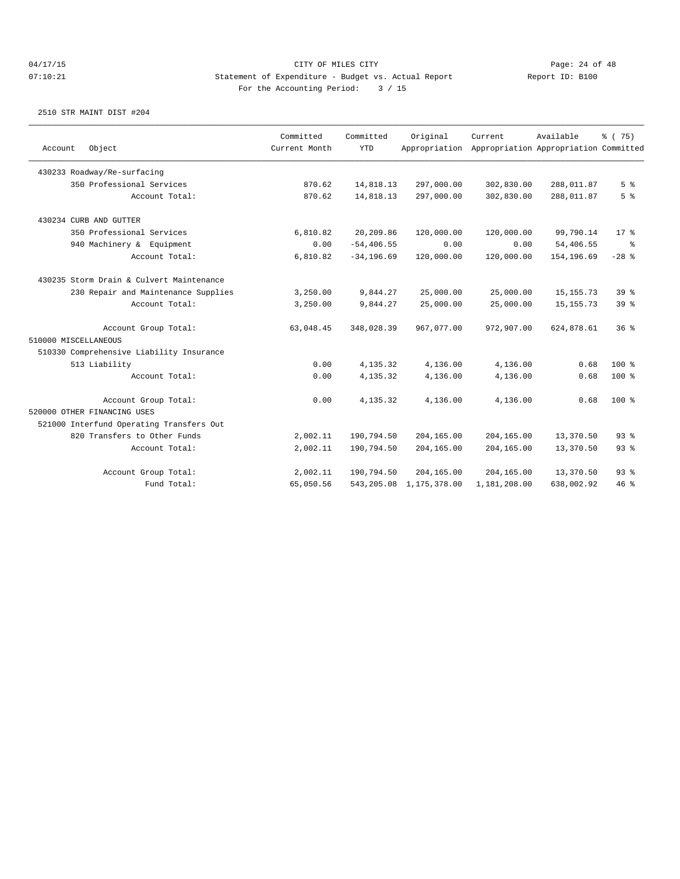| Object<br>Account                        | Committed<br>Current Month | Committed<br><b>YTD</b> | Original<br>Appropriation  | Current      | Available<br>Appropriation Appropriation Committed | % (75)         |
|------------------------------------------|----------------------------|-------------------------|----------------------------|--------------|----------------------------------------------------|----------------|
| 430233 Roadway/Re-surfacing              |                            |                         |                            |              |                                                    |                |
| 350 Professional Services                | 870.62                     | 14,818.13               | 297,000.00                 | 302,830.00   | 288,011.87                                         | 5 <sup>8</sup> |
| Account Total:                           | 870.62                     | 14,818.13               | 297,000.00                 | 302,830.00   | 288,011.87                                         | 5 <sup>8</sup> |
| 430234 CURB AND GUTTER                   |                            |                         |                            |              |                                                    |                |
| 350 Professional Services                | 6,810.82                   | 20,209.86               | 120,000.00                 | 120,000.00   | 99,790.14                                          | $17*$          |
| 940 Machinery & Equipment                | 0.00                       | $-54, 406.55$           | 0.00                       | 0.00         | 54,406.55                                          | ႜ              |
| Account Total:                           | 6,810.82                   | $-34, 196.69$           | 120,000.00                 | 120,000.00   | 154,196.69                                         | $-28$ %        |
| 430235 Storm Drain & Culvert Maintenance |                            |                         |                            |              |                                                    |                |
| 230 Repair and Maintenance Supplies      | 3,250.00                   | 9,844.27                | 25,000.00                  | 25,000.00    | 15, 155. 73                                        | 39%            |
| Account Total:                           | 3,250.00                   | 9,844.27                | 25,000.00                  | 25,000.00    | 15, 155. 73                                        | 39%            |
| Account Group Total:                     | 63,048.45                  | 348,028.39              | 967,077.00                 | 972,907.00   | 624,878.61                                         | 36%            |
| 510000 MISCELLANEOUS                     |                            |                         |                            |              |                                                    |                |
| 510330 Comprehensive Liability Insurance |                            |                         |                            |              |                                                    |                |
| 513 Liability                            | 0.00                       | 4,135.32                | 4,136.00                   | 4,136.00     | 0.68                                               | $100*$         |
| Account Total:                           | 0.00                       | 4,135.32                | 4,136.00                   | 4,136.00     | 0.68                                               | 100 %          |
| Account Group Total:                     | 0.00                       | 4,135.32                | 4,136.00                   | 4,136.00     | 0.68                                               | $100*$         |
| 520000 OTHER FINANCING USES              |                            |                         |                            |              |                                                    |                |
| 521000 Interfund Operating Transfers Out |                            |                         |                            |              |                                                    |                |
| 820 Transfers to Other Funds             | 2,002.11                   | 190,794.50              | 204,165.00                 | 204,165.00   | 13,370.50                                          | $93$ $%$       |
| Account Total:                           | 2,002.11                   | 190,794.50              | 204,165.00                 | 204,165.00   | 13,370.50                                          | 93%            |
| Account Group Total:                     | 2,002.11                   | 190,794.50              | 204,165.00                 | 204,165.00   | 13,370.50                                          | 93%            |
| Fund Total:                              | 65,050.56                  |                         | 543, 205.08 1, 175, 378.00 | 1,181,208.00 | 638,002.92                                         | 46%            |
|                                          |                            |                         |                            |              |                                                    |                |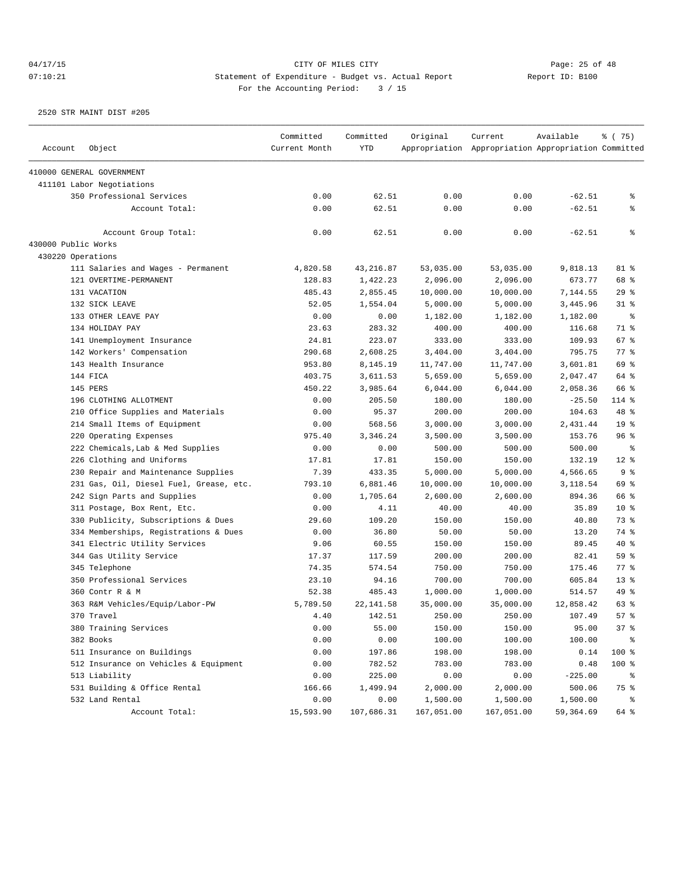## 04/17/15 Page: 25 of 48 07:10:21 Statement of Expenditure - Budget vs. Actual Report Changer Report ID: B100 For the Accounting Period: 3 / 15

| Account             | Object                                  | Committed<br>Current Month | Committed<br><b>YTD</b> | Original   | Current<br>Appropriation Appropriation Appropriation Committed | Available | % (75)          |
|---------------------|-----------------------------------------|----------------------------|-------------------------|------------|----------------------------------------------------------------|-----------|-----------------|
|                     |                                         |                            |                         |            |                                                                |           |                 |
|                     | 410000 GENERAL GOVERNMENT               |                            |                         |            |                                                                |           |                 |
|                     | 411101 Labor Negotiations               |                            |                         |            |                                                                |           |                 |
|                     | 350 Professional Services               | 0.00                       | 62.51                   | 0.00       | 0.00                                                           | $-62.51$  | ి               |
|                     | Account Total:                          | 0.00                       | 62.51                   | 0.00       | 0.00                                                           | $-62.51$  | နွ              |
|                     | Account Group Total:                    | 0.00                       | 62.51                   | 0.00       | 0.00                                                           | $-62.51$  | ៖               |
| 430000 Public Works |                                         |                            |                         |            |                                                                |           |                 |
| 430220 Operations   |                                         |                            |                         |            |                                                                |           |                 |
|                     | 111 Salaries and Wages - Permanent      | 4,820.58                   | 43, 216.87              | 53,035.00  | 53,035.00                                                      | 9,818.13  | 81 %            |
|                     | 121 OVERTIME-PERMANENT                  | 128.83                     | 1,422.23                | 2,096.00   | 2,096.00                                                       | 673.77    | 68 %            |
|                     | 131 VACATION                            | 485.43                     | 2,855.45                | 10,000.00  | 10,000.00                                                      | 7,144.55  | 29%             |
|                     | 132 SICK LEAVE                          | 52.05                      | 1,554.04                | 5,000.00   | 5,000.00                                                       | 3,445.96  | $31$ %          |
|                     | 133 OTHER LEAVE PAY                     | 0.00                       | 0.00                    | 1,182.00   | 1,182.00                                                       | 1,182.00  | ႜ               |
|                     | 134 HOLIDAY PAY                         | 23.63                      | 283.32                  | 400.00     | 400.00                                                         | 116.68    | 71 %            |
|                     | 141 Unemployment Insurance              | 24.81                      | 223.07                  | 333.00     | 333.00                                                         | 109.93    | 67 %            |
|                     | 142 Workers' Compensation               | 290.68                     | 2,608.25                | 3,404.00   | 3,404.00                                                       | 795.75    | 77.8            |
|                     | 143 Health Insurance                    | 953.80                     | 8,145.19                | 11,747.00  | 11,747.00                                                      | 3,601.81  | 69 %            |
|                     | 144 FICA                                | 403.75                     | 3,611.53                | 5,659.00   | 5,659.00                                                       | 2,047.47  | 64 %            |
|                     | 145 PERS                                | 450.22                     | 3,985.64                | 6,044.00   | 6,044.00                                                       | 2,058.36  | 66 %            |
|                     | 196 CLOTHING ALLOTMENT                  | 0.00                       | 205.50                  | 180.00     | 180.00                                                         | $-25.50$  | $114$ %         |
|                     | 210 Office Supplies and Materials       | 0.00                       | 95.37                   | 200.00     | 200.00                                                         | 104.63    | 48 %            |
|                     | 214 Small Items of Equipment            | 0.00                       | 568.56                  | 3,000.00   | 3,000.00                                                       | 2,431.44  | 19 <sup>°</sup> |
|                     | 220 Operating Expenses                  | 975.40                     | 3,346.24                | 3,500.00   | 3,500.00                                                       | 153.76    | 96%             |
|                     | 222 Chemicals, Lab & Med Supplies       | 0.00                       | 0.00                    | 500.00     | 500.00                                                         | 500.00    | နွ              |
|                     | 226 Clothing and Uniforms               | 17.81                      | 17.81                   | 150.00     | 150.00                                                         | 132.19    | $12*$           |
|                     | 230 Repair and Maintenance Supplies     | 7.39                       | 433.35                  | 5,000.00   | 5,000.00                                                       | 4,566.65  | 9%              |
|                     | 231 Gas, Oil, Diesel Fuel, Grease, etc. | 793.10                     | 6,881.46                | 10,000.00  | 10,000.00                                                      | 3,118.54  | 69 %            |
|                     | 242 Sign Parts and Supplies             | 0.00                       | 1,705.64                | 2,600.00   | 2,600.00                                                       | 894.36    | 66 %            |
|                     | 311 Postage, Box Rent, Etc.             | 0.00                       | 4.11                    | 40.00      | 40.00                                                          | 35.89     | 10 <sup>8</sup> |
|                     | 330 Publicity, Subscriptions & Dues     | 29.60                      | 109.20                  | 150.00     | 150.00                                                         | 40.80     | 73 %            |
|                     | 334 Memberships, Registrations & Dues   | 0.00                       | 36.80                   | 50.00      | 50.00                                                          | 13.20     | 74 %            |
|                     | 341 Electric Utility Services           | 9.06                       | 60.55                   | 150.00     | 150.00                                                         | 89.45     | $40*$           |
|                     | 344 Gas Utility Service                 | 17.37                      | 117.59                  | 200.00     | 200.00                                                         | 82.41     | 59%             |
|                     | 345 Telephone                           | 74.35                      | 574.54                  | 750.00     | 750.00                                                         | 175.46    | 77 %            |
|                     | 350 Professional Services               | 23.10                      | 94.16                   | 700.00     | 700.00                                                         | 605.84    | $13*$           |
|                     | 360 Contr R & M                         | 52.38                      | 485.43                  | 1,000.00   | 1,000.00                                                       | 514.57    | 49 %            |
|                     | 363 R&M Vehicles/Equip/Labor-PW         | 5,789.50                   | 22, 141.58              | 35,000.00  | 35,000.00                                                      | 12,858.42 | 63 %            |
|                     | 370 Travel                              | 4.40                       | 142.51                  | 250.00     | 250.00                                                         | 107.49    | 57%             |
|                     | 380 Training Services                   | 0.00                       | 55.00                   | 150.00     | 150.00                                                         | 95.00     | 37%             |
|                     | 382 Books                               | 0.00                       | 0.00                    | 100.00     | 100.00                                                         | 100.00    | ိ               |
|                     | 511 Insurance on Buildings              | 0.00                       | 197.86                  | 198.00     | 198.00                                                         | 0.14      | 100 %           |
|                     | 512 Insurance on Vehicles & Equipment   | 0.00                       | 782.52                  | 783.00     | 783.00                                                         | 0.48      | 100 %           |
|                     | 513 Liability                           | 0.00                       | 225.00                  | 0.00       | 0.00                                                           | $-225.00$ | ိ               |
|                     | 531 Building & Office Rental            | 166.66                     | 1,499.94                | 2,000.00   | 2,000.00                                                       | 500.06    | 75 %            |
|                     | 532 Land Rental                         | 0.00                       | 0.00                    | 1,500.00   | 1,500.00                                                       | 1,500.00  | ိ               |
|                     | Account Total:                          | 15,593.90                  | 107,686.31              | 167,051.00 | 167,051.00                                                     | 59,364.69 | 64 %            |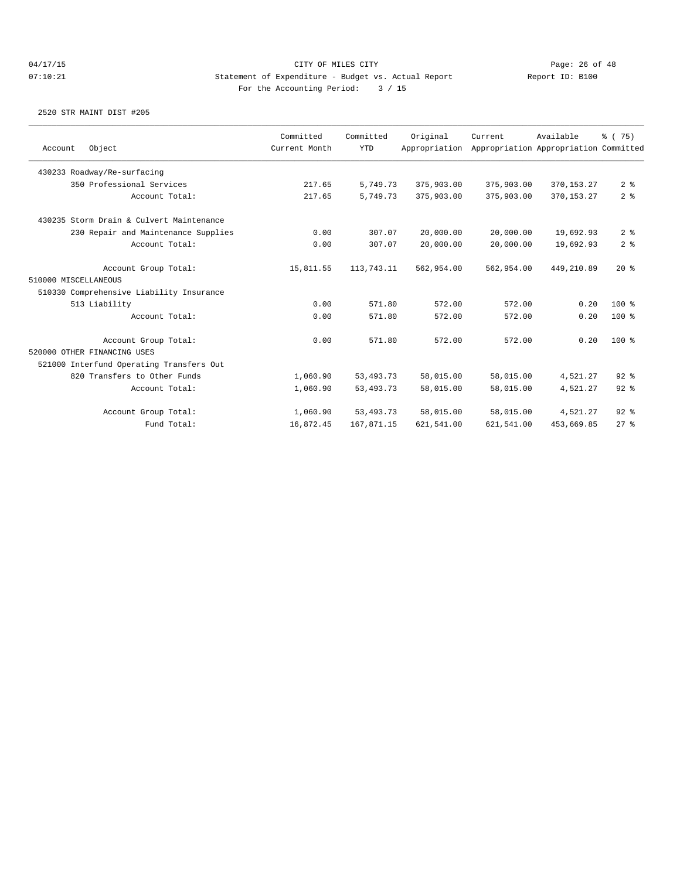|                      |                                          | Committed     | Committed   | Original      | Current    | Available                             | % (75)         |
|----------------------|------------------------------------------|---------------|-------------|---------------|------------|---------------------------------------|----------------|
| Account              | Object                                   | Current Month | <b>YTD</b>  | Appropriation |            | Appropriation Appropriation Committed |                |
|                      | 430233 Roadway/Re-surfacing              |               |             |               |            |                                       |                |
|                      | 350 Professional Services                | 217.65        | 5,749.73    | 375,903.00    | 375,903.00 | 370, 153. 27                          | 2 <sup>8</sup> |
|                      | Account Total:                           | 217.65        | 5,749.73    | 375,903.00    | 375,903.00 | 370, 153. 27                          | 2 <sup>8</sup> |
|                      | 430235 Storm Drain & Culvert Maintenance |               |             |               |            |                                       |                |
|                      | 230 Repair and Maintenance Supplies      | 0.00          | 307.07      | 20,000.00     | 20,000.00  | 19,692.93                             | 2 <sup>8</sup> |
|                      | Account Total:                           | 0.00          | 307.07      | 20,000.00     | 20,000.00  | 19,692.93                             | 2 <sup>8</sup> |
|                      | Account Group Total:                     | 15,811.55     | 113,743.11  | 562,954.00    | 562,954.00 | 449,210.89                            | $20*$          |
| 510000 MISCELLANEOUS |                                          |               |             |               |            |                                       |                |
|                      | 510330 Comprehensive Liability Insurance |               |             |               |            |                                       |                |
|                      | 513 Liability                            | 0.00          | 571.80      | 572.00        | 572.00     | 0.20                                  | $100*$         |
|                      | Account Total:                           | 0.00          | 571.80      | 572.00        | 572.00     | 0.20                                  | $100*$         |
|                      | Account Group Total:                     | 0.00          | 571.80      | 572.00        | 572.00     | 0.20                                  | $100*$         |
|                      | 520000 OTHER FINANCING USES              |               |             |               |            |                                       |                |
|                      | 521000 Interfund Operating Transfers Out |               |             |               |            |                                       |                |
|                      | 820 Transfers to Other Funds             | 1,060.90      | 53, 493. 73 | 58,015.00     | 58,015.00  | 4,521.27                              | $92$ $%$       |
|                      | Account Total:                           | 1,060.90      | 53, 493. 73 | 58,015.00     | 58,015.00  | 4.521.27                              | $92$ $%$       |
|                      | Account Group Total:                     | 1,060.90      | 53, 493. 73 | 58,015.00     | 58,015.00  | 4,521.27                              | $92$ $%$       |
|                      | Fund Total:                              | 16,872.45     | 167,871.15  | 621,541.00    | 621,541.00 | 453,669.85                            | 278            |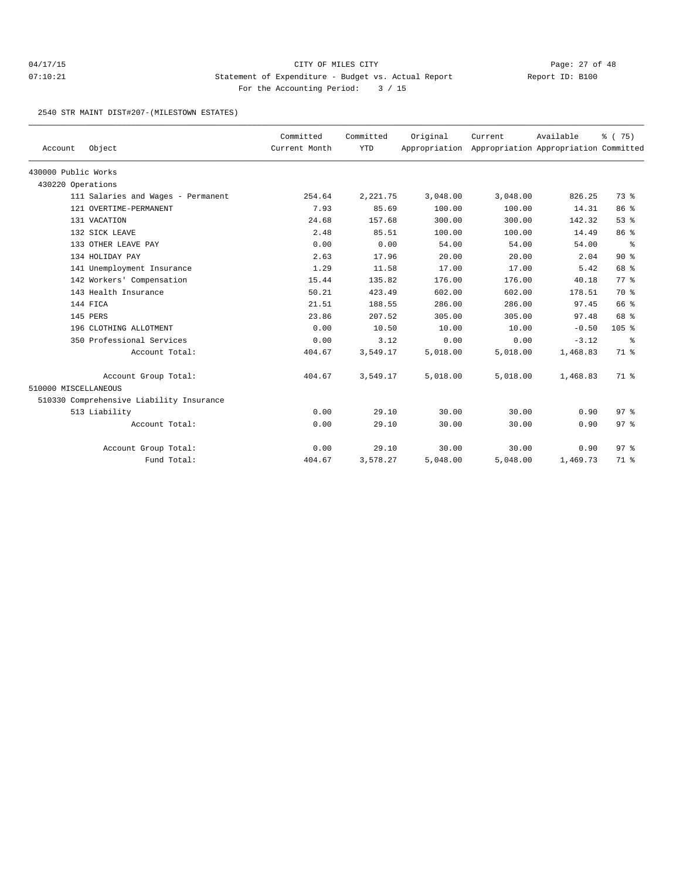## 04/17/15 Page: 27 of 48 07:10:21 Statement of Expenditure - Budget vs. Actual Report Changery Report ID: B100 For the Accounting Period: 3 / 15

2540 STR MAINT DIST#207-(MILESTOWN ESTATES)

| Account              | Object                                   | Committed<br>Current Month | Committed<br><b>YTD</b> | Original | Current<br>Appropriation Appropriation Appropriation Committed | Available | % (75)          |
|----------------------|------------------------------------------|----------------------------|-------------------------|----------|----------------------------------------------------------------|-----------|-----------------|
| 430000 Public Works  |                                          |                            |                         |          |                                                                |           |                 |
| 430220 Operations    |                                          |                            |                         |          |                                                                |           |                 |
|                      | 111 Salaries and Wages - Permanent       | 254.64                     | 2, 221.75               | 3,048.00 | 3,048.00                                                       | 826.25    | 73 %            |
|                      | 121 OVERTIME-PERMANENT                   | 7.93                       | 85.69                   | 100.00   | 100.00                                                         | 14.31     | 86 %            |
|                      | 131 VACATION                             | 24.68                      | 157.68                  | 300.00   | 300.00                                                         | 142.32    | 53%             |
|                      | 132 SICK LEAVE                           | 2.48                       | 85.51                   | 100.00   | 100.00                                                         | 14.49     | 86 %            |
|                      | 133 OTHER LEAVE PAY                      | 0.00                       | 0.00                    | 54.00    | 54.00                                                          | 54.00     | ႜ               |
|                      | 134 HOLIDAY PAY                          | 2.63                       | 17.96                   | 20.00    | 20.00                                                          | 2.04      | $90*$           |
|                      | 141 Unemployment Insurance               | 1.29                       | 11.58                   | 17.00    | 17.00                                                          | 5.42      | 68 %            |
|                      | 142 Workers' Compensation                | 15.44                      | 135.82                  | 176.00   | 176.00                                                         | 40.18     | 77.8            |
|                      | 143 Health Insurance                     | 50.21                      | 423.49                  | 602.00   | 602.00                                                         | 178.51    | 70 %            |
|                      | 144 FICA                                 | 21.51                      | 188.55                  | 286.00   | 286.00                                                         | 97.45     | 66 %            |
|                      | 145 PERS                                 | 23.86                      | 207.52                  | 305.00   | 305.00                                                         | 97.48     | 68 %            |
|                      | 196 CLOTHING ALLOTMENT                   | 0.00                       | 10.50                   | 10.00    | 10.00                                                          | $-0.50$   | $105$ %         |
|                      | 350 Professional Services                | 0.00                       | 3.12                    | 0.00     | 0.00                                                           | $-3.12$   | ႜ               |
|                      | Account Total:                           | 404.67                     | 3,549.17                | 5,018.00 | 5,018.00                                                       | 1,468.83  | 71 %            |
|                      | Account Group Total:                     | 404.67                     | 3,549.17                | 5,018.00 | 5,018.00                                                       | 1,468.83  | 71 %            |
| 510000 MISCELLANEOUS |                                          |                            |                         |          |                                                                |           |                 |
|                      | 510330 Comprehensive Liability Insurance |                            |                         |          |                                                                |           |                 |
|                      | 513 Liability                            | 0.00                       | 29.10                   | 30.00    | 30.00                                                          | 0.90      | 97 <sup>°</sup> |
|                      | Account Total:                           | 0.00                       | 29.10                   | 30.00    | 30.00                                                          | 0.90      | 97 <sub>8</sub> |
|                      | Account Group Total:                     | 0.00                       | 29.10                   | 30.00    | 30.00                                                          | 0.90      | 97 <sub>8</sub> |
|                      | Fund Total:                              | 404.67                     | 3,578.27                | 5,048.00 | 5,048.00                                                       | 1,469.73  | 71 %            |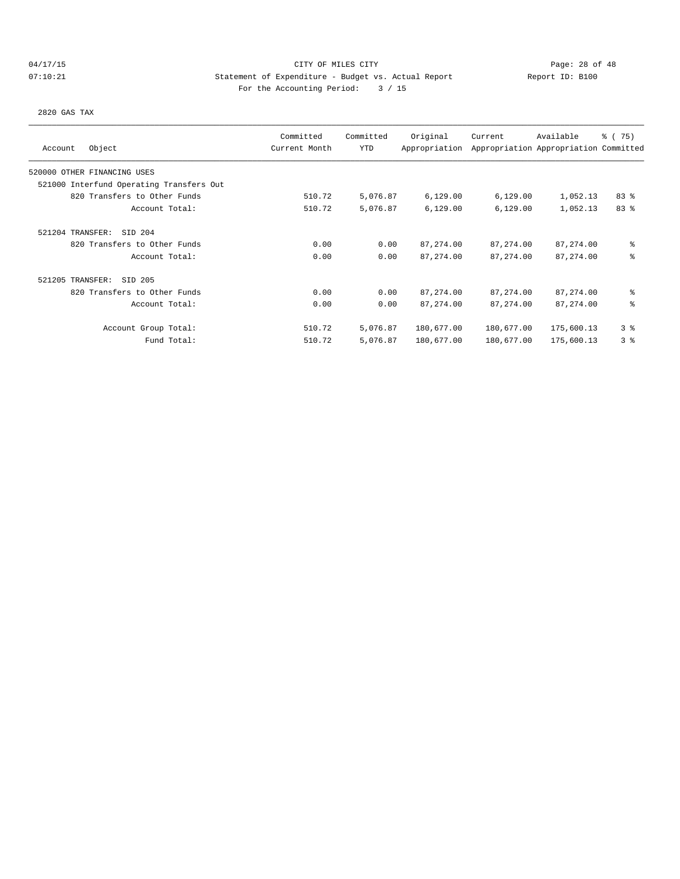# 04/17/15 Page: 28 of 48 07:10:21 Statement of Expenditure - Budget vs. Actual Report Changery Report ID: B100 For the Accounting Period: 3 / 15

2820 GAS TAX

|                                          | Committed     | Committed | Original      | Current    | Available                             | % (75)         |
|------------------------------------------|---------------|-----------|---------------|------------|---------------------------------------|----------------|
| Object<br>Account                        | Current Month | YTD       | Appropriation |            | Appropriation Appropriation Committed |                |
| 520000 OTHER FINANCING USES              |               |           |               |            |                                       |                |
| 521000 Interfund Operating Transfers Out |               |           |               |            |                                       |                |
| 820 Transfers to Other Funds             | 510.72        | 5,076.87  | 6,129.00      | 6,129.00   | 1,052.13                              | 83%            |
| Account Total:                           | 510.72        | 5,076.87  | 6,129.00      | 6,129.00   | 1,052.13                              | 83 %           |
| SID 204<br>521204 TRANSFER:              |               |           |               |            |                                       |                |
| 820 Transfers to Other Funds             | 0.00          | 0.00      | 87, 274.00    | 87, 274.00 | 87,274.00                             | နွ             |
| Account Total:                           | 0.00          | 0.00      | 87, 274.00    | 87, 274.00 | 87, 274.00                            | နွ             |
| 521205 TRANSFER:<br>SID 205              |               |           |               |            |                                       |                |
| 820 Transfers to Other Funds             | 0.00          | 0.00      | 87, 274.00    | 87,274.00  | 87,274.00                             | နွ             |
| Account Total:                           | 0.00          | 0.00      | 87, 274.00    | 87, 274.00 | 87, 274.00                            | နွ             |
| Account Group Total:                     | 510.72        | 5,076.87  | 180,677.00    | 180,677.00 | 175,600.13                            | 3 <sup>8</sup> |
| Fund Total:                              | 510.72        | 5,076.87  | 180,677.00    | 180,677.00 | 175,600.13                            | 3 <sup>8</sup> |
|                                          |               |           |               |            |                                       |                |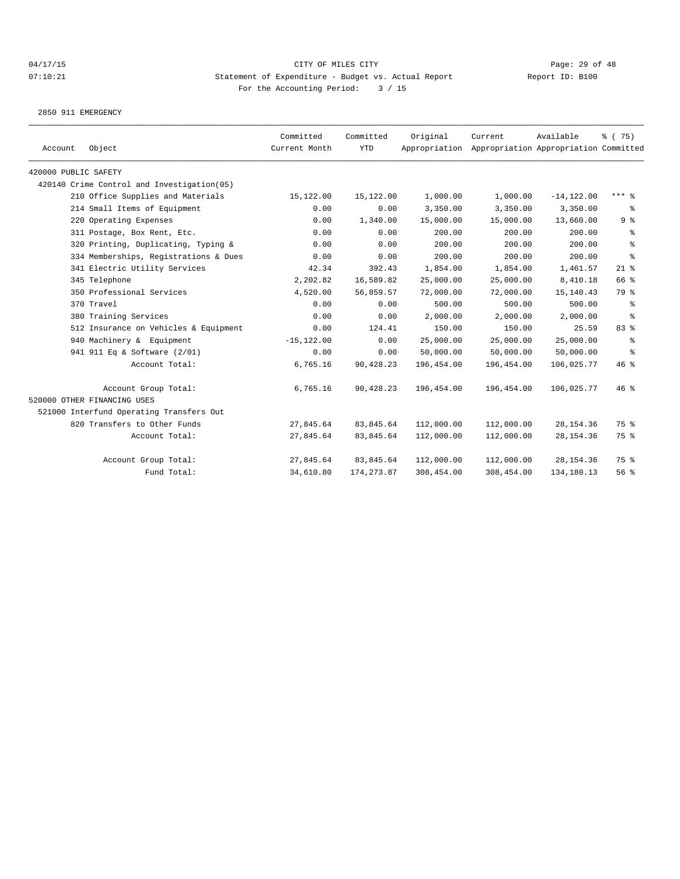2850 911 EMERGENCY

| Account              | Object                                     | Committed<br>Current Month | Committed<br><b>YTD</b> | Original   | Current<br>Appropriation Appropriation Appropriation Committed | Available     | % (75)           |
|----------------------|--------------------------------------------|----------------------------|-------------------------|------------|----------------------------------------------------------------|---------------|------------------|
| 420000 PUBLIC SAFETY |                                            |                            |                         |            |                                                                |               |                  |
|                      | 420140 Crime Control and Investigation(05) |                            |                         |            |                                                                |               |                  |
|                      | 210 Office Supplies and Materials          | 15,122.00                  | 15,122.00               | 1,000.00   | 1,000.00                                                       | $-14, 122.00$ | $***$ $%$        |
|                      | 214 Small Items of Equipment               | 0.00                       | 0.00                    | 3,350.00   | 3,350.00                                                       | 3,350.00      | ႜ                |
|                      | 220 Operating Expenses                     | 0.00                       | 1,340.00                | 15,000.00  | 15,000.00                                                      | 13,660.00     | 9%               |
|                      | 311 Postage, Box Rent, Etc.                | 0.00                       | 0.00                    | 200.00     | 200.00                                                         | 200.00        | နွ               |
|                      | 320 Printing, Duplicating, Typing &        | 0.00                       | 0.00                    | 200.00     | 200.00                                                         | 200.00        | $\,$ %           |
|                      | 334 Memberships, Registrations & Dues      | 0.00                       | 0.00                    | 200.00     | 200.00                                                         | 200.00        | $\,{}^{\circ}\!$ |
|                      | 341 Electric Utility Services              | 42.34                      | 392.43                  | 1,854.00   | 1,854.00                                                       | 1,461.57      | $21$ %           |
|                      | 345 Telephone                              | 2,202.82                   | 16,589.82               | 25,000.00  | 25,000.00                                                      | 8,410.18      | 66 %             |
|                      | 350 Professional Services                  | 4,520.00                   | 56,859.57               | 72,000.00  | 72,000.00                                                      | 15, 140. 43   | 79 %             |
|                      | 370 Travel                                 | 0.00                       | 0.00                    | 500.00     | 500.00                                                         | 500.00        | နွ               |
|                      | 380 Training Services                      | 0.00                       | 0.00                    | 2,000.00   | 2,000.00                                                       | 2,000.00      | နွ               |
|                      | 512 Insurance on Vehicles & Equipment      | 0.00                       | 124.41                  | 150.00     | 150.00                                                         | 25.59         | 83 %             |
|                      | 940 Machinery & Equipment                  | $-15, 122.00$              | 0.00                    | 25,000.00  | 25,000.00                                                      | 25,000.00     | န္               |
|                      | 941 911 Eq & Software (2/01)               | 0.00                       | 0.00                    | 50,000.00  | 50,000.00                                                      | 50,000.00     | နွ               |
|                      | Account Total:                             | 6,765.16                   | 90,428.23               | 196,454.00 | 196,454.00                                                     | 106,025.77    | 46%              |
|                      | Account Group Total:                       | 6,765.16                   | 90,428.23               | 196,454.00 | 196,454.00                                                     | 106,025.77    | $46$ %           |
|                      | 520000 OTHER FINANCING USES                |                            |                         |            |                                                                |               |                  |
|                      | 521000 Interfund Operating Transfers Out   |                            |                         |            |                                                                |               |                  |
|                      | 820 Transfers to Other Funds               | 27,845.64                  | 83, 845.64              | 112,000.00 | 112,000.00                                                     | 28, 154.36    | 75 %             |
|                      | Account Total:                             | 27,845.64                  | 83,845.64               | 112,000.00 | 112,000.00                                                     | 28, 154.36    | 75 %             |
|                      | Account Group Total:                       | 27,845.64                  | 83, 845.64              | 112,000.00 | 112,000.00                                                     | 28, 154.36    | 75 %             |
|                      | Fund Total:                                | 34,610.80                  | 174, 273.87             | 308,454.00 | 308,454.00                                                     | 134,180.13    | 56%              |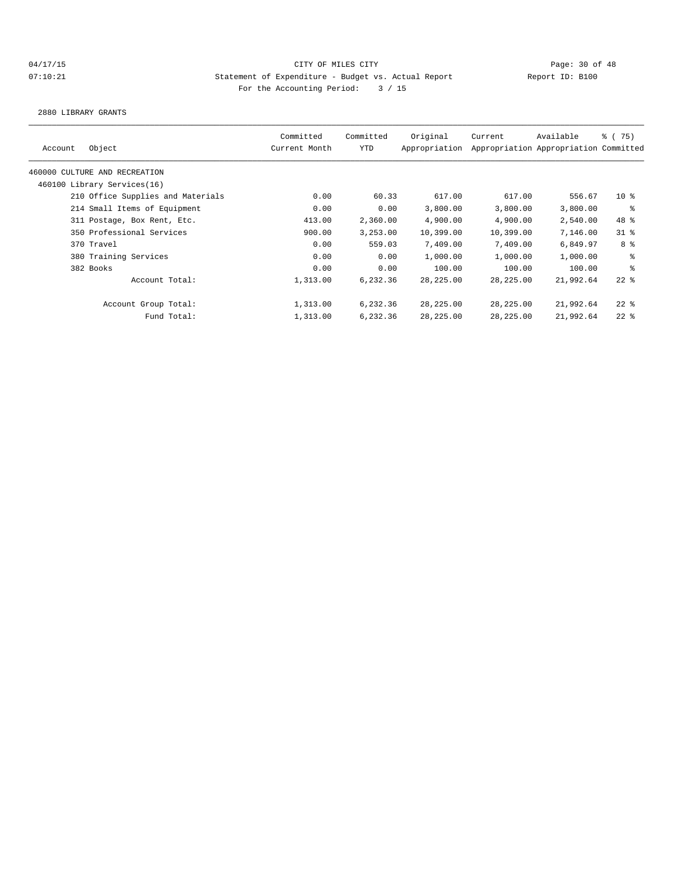2880 LIBRARY GRANTS

| Account | Object                            | Committed<br>Current Month | Committed<br>YTD | Original<br>Appropriation | Current   | Available<br>Appropriation Appropriation Committed | % (75)          |
|---------|-----------------------------------|----------------------------|------------------|---------------------------|-----------|----------------------------------------------------|-----------------|
|         | 460000 CULTURE AND RECREATION     |                            |                  |                           |           |                                                    |                 |
|         | 460100 Library Services(16)       |                            |                  |                           |           |                                                    |                 |
|         | 210 Office Supplies and Materials | 0.00                       | 60.33            | 617.00                    | 617.00    | 556.67                                             | 10 <sup>8</sup> |
|         | 214 Small Items of Equipment      | 0.00                       | 0.00             | 3,800.00                  | 3,800.00  | 3,800.00                                           | ႜ               |
|         | 311 Postage, Box Rent, Etc.       | 413.00                     | 2,360.00         | 4,900.00                  | 4,900.00  | 2,540.00                                           | 48 %            |
|         | 350 Professional Services         | 900.00                     | 3,253.00         | 10,399.00                 | 10,399.00 | 7,146.00                                           | $31$ %          |
|         | 370 Travel                        | 0.00                       | 559.03           | 7,409.00                  | 7,409.00  | 6,849.97                                           | 8 %             |
|         | 380 Training Services             | 0.00                       | 0.00             | 1,000.00                  | 1,000.00  | 1,000.00                                           | နွ              |
|         | 382 Books                         | 0.00                       | 0.00             | 100.00                    | 100.00    | 100.00                                             | နွ              |
|         | Account Total:                    | 1,313.00                   | 6,232.36         | 28,225.00                 | 28,225.00 | 21,992.64                                          | $22$ $%$        |
|         | Account Group Total:              | 1,313.00                   | 6,232.36         | 28,225.00                 | 28,225.00 | 21,992.64                                          | $22$ %          |
|         | Fund Total:                       | 1,313.00                   | 6,232.36         | 28,225.00                 | 28,225.00 | 21,992.64                                          | $22$ %          |
|         |                                   |                            |                  |                           |           |                                                    |                 |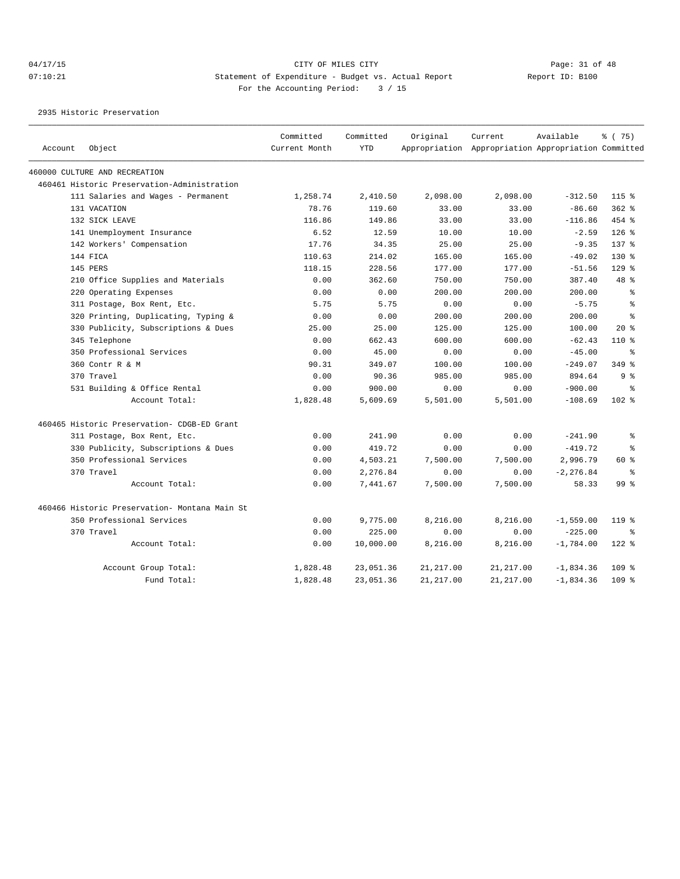2935 Historic Preservation

| Account | Object                                        | Committed<br>Current Month | Committed<br>YTD | Original   | Current<br>Appropriation Appropriation Appropriation Committed | Available    | % (75)           |
|---------|-----------------------------------------------|----------------------------|------------------|------------|----------------------------------------------------------------|--------------|------------------|
|         |                                               |                            |                  |            |                                                                |              |                  |
|         | 460000 CULTURE AND RECREATION                 |                            |                  |            |                                                                |              |                  |
|         | 460461 Historic Preservation-Administration   |                            |                  |            |                                                                |              |                  |
|         | 111 Salaries and Wages - Permanent            | 1,258.74                   | 2,410.50         | 2,098.00   | 2,098.00                                                       | $-312.50$    | $115$ %          |
|         | 131 VACATION                                  | 78.76                      | 119.60           | 33.00      | 33.00                                                          | $-86.60$     | $362$ %          |
|         | 132 SICK LEAVE                                | 116.86                     | 149.86           | 33.00      | 33.00                                                          | $-116.86$    | 454 %            |
|         | 141 Unemployment Insurance                    | 6.52                       | 12.59            | 10.00      | 10.00                                                          | $-2.59$      | $126$ %          |
|         | 142 Workers' Compensation                     | 17.76                      | 34.35            | 25.00      | 25.00                                                          | $-9.35$      | $137$ $%$        |
|         | 144 FICA                                      | 110.63                     | 214.02           | 165.00     | 165.00                                                         | $-49.02$     | 130 %            |
|         | 145 PERS                                      | 118.15                     | 228.56           | 177.00     | 177.00                                                         | $-51.56$     | $129$ %          |
|         | 210 Office Supplies and Materials             | 0.00                       | 362.60           | 750.00     | 750.00                                                         | 387.40       | 48 %             |
|         | 220 Operating Expenses                        | 0.00                       | 0.00             | 200.00     | 200.00                                                         | 200.00       | ి                |
|         | 311 Postage, Box Rent, Etc.                   | 5.75                       | 5.75             | 0.00       | 0.00                                                           | $-5.75$      | ి                |
|         | 320 Printing, Duplicating, Typing &           | 0.00                       | 0.00             | 200.00     | 200.00                                                         | 200.00       | $\approx$        |
|         | 330 Publicity, Subscriptions & Dues           | 25.00                      | 25.00            | 125.00     | 125.00                                                         | 100.00       | $20*$            |
|         | 345 Telephone                                 | 0.00                       | 662.43           | 600.00     | 600.00                                                         | $-62.43$     | $110*$           |
|         | 350 Professional Services                     | 0.00                       | 45.00            | 0.00       | 0.00                                                           | $-45.00$     | ွေ               |
|         | 360 Contr R & M                               | 90.31                      | 349.07           | 100.00     | 100.00                                                         | $-249.07$    | 349 %            |
|         | 370 Travel                                    | 0.00                       | 90.36            | 985.00     | 985.00                                                         | 894.64       | 9 %              |
|         | 531 Building & Office Rental                  | 0.00                       | 900.00           | 0.00       | 0.00                                                           | $-900.00$    | ွေ               |
|         | Account Total:                                | 1,828.48                   | 5,609.69         | 5,501.00   | 5,501.00                                                       | $-108.69$    | $102$ %          |
|         | 460465 Historic Preservation- CDGB-ED Grant   |                            |                  |            |                                                                |              |                  |
|         | 311 Postage, Box Rent, Etc.                   | 0.00                       | 241.90           | 0.00       | 0.00                                                           | $-241.90$    | ႜ                |
|         | 330 Publicity, Subscriptions & Dues           | 0.00                       | 419.72           | 0.00       | 0.00                                                           | $-419.72$    | $\approx$        |
|         | 350 Professional Services                     | 0.00                       | 4,503.21         | 7,500.00   | 7,500.00                                                       | 2,996.79     | $60*$            |
|         | 370 Travel                                    | 0.00                       | 2,276.84         | 0.00       | 0.00                                                           | $-2, 276.84$ | နွ               |
|         | Account Total:                                | 0.00                       | 7,441.67         | 7,500.00   | 7,500.00                                                       | 58.33        | 99 <sub>8</sub>  |
|         | 460466 Historic Preservation- Montana Main St |                            |                  |            |                                                                |              |                  |
|         | 350 Professional Services                     | 0.00                       | 9,775.00         | 8,216.00   | 8,216.00                                                       | $-1,559.00$  | 119 %            |
|         | 370 Travel                                    | 0.00                       | 225.00           | 0.00       | 0.00                                                           | $-225.00$    | ႜ                |
|         | Account Total:                                | 0.00                       | 10,000.00        | 8,216.00   | 8,216.00                                                       | $-1,784.00$  | $122$ %          |
|         | Account Group Total:                          | 1,828.48                   | 23,051.36        | 21, 217.00 | 21, 217.00                                                     | $-1,834.36$  | 109 <sub>8</sub> |
|         | Fund Total:                                   | 1,828.48                   | 23,051.36        | 21, 217.00 | 21, 217.00                                                     | $-1,834.36$  | $109$ $%$        |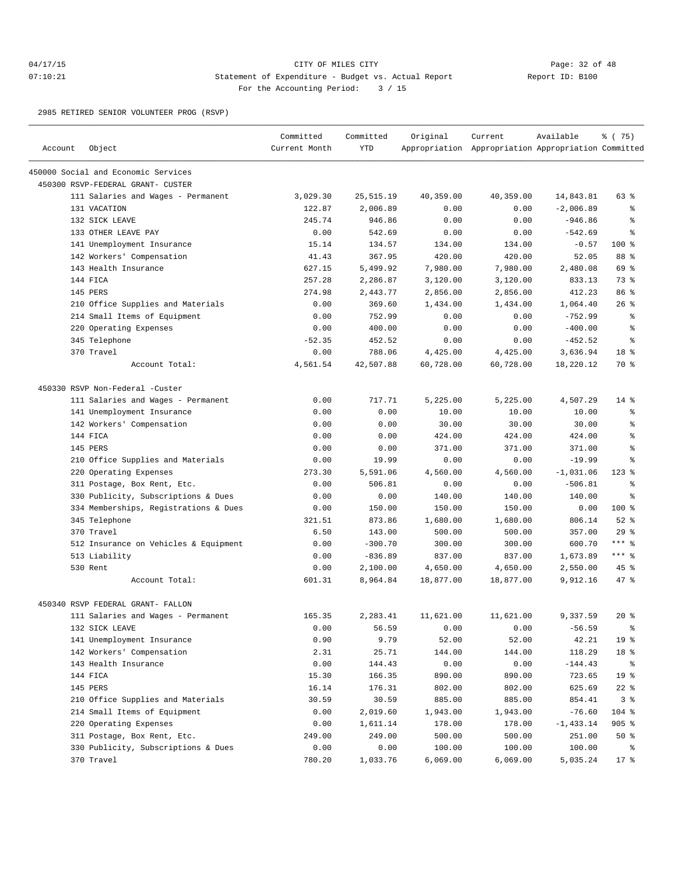## 04/17/15 Page: 32 of 48 07:10:21 Statement of Expenditure - Budget vs. Actual Report Report ID: B100 For the Accounting Period: 3 / 15

2985 RETIRED SENIOR VOLUNTEER PROG (RSVP)

|         |                                       | Committed     | Committed  | Original  | Current                                             | Available   | % (75)          |
|---------|---------------------------------------|---------------|------------|-----------|-----------------------------------------------------|-------------|-----------------|
| Account | Object                                | Current Month | <b>YTD</b> |           | Appropriation Appropriation Appropriation Committed |             |                 |
|         | 450000 Social and Economic Services   |               |            |           |                                                     |             |                 |
|         | 450300 RSVP-FEDERAL GRANT- CUSTER     |               |            |           |                                                     |             |                 |
|         | 111 Salaries and Wages - Permanent    | 3,029.30      | 25, 515.19 | 40,359.00 | 40,359.00                                           | 14,843.81   | 63 %            |
|         | 131 VACATION                          | 122.87        | 2,006.89   | 0.00      | 0.00                                                | $-2,006.89$ | န္              |
|         | 132 SICK LEAVE                        | 245.74        | 946.86     | 0.00      | 0.00                                                | $-946.86$   | ి               |
|         | 133 OTHER LEAVE PAY                   | 0.00          | 542.69     | 0.00      | 0.00                                                | $-542.69$   | ి               |
|         | 141 Unemployment Insurance            | 15.14         | 134.57     | 134.00    | 134.00                                              | $-0.57$     | 100 %           |
|         | 142 Workers' Compensation             | 41.43         | 367.95     | 420.00    | 420.00                                              | 52.05       | 88 %            |
|         | 143 Health Insurance                  | 627.15        | 5,499.92   | 7,980.00  | 7,980.00                                            | 2,480.08    | 69 %            |
|         | 144 FICA                              | 257.28        | 2,286.87   | 3,120.00  | 3,120.00                                            | 833.13      | 73 %            |
|         | 145 PERS                              | 274.98        | 2,443.77   | 2,856.00  | 2,856.00                                            | 412.23      | 86 %            |
|         | 210 Office Supplies and Materials     | 0.00          | 369.60     | 1,434.00  | 1,434.00                                            | 1,064.40    | $26$ %          |
|         | 214 Small Items of Equipment          | 0.00          | 752.99     | 0.00      | 0.00                                                | $-752.99$   | ႜ               |
|         | 220 Operating Expenses                | 0.00          | 400.00     | 0.00      | 0.00                                                | $-400.00$   | န္              |
|         | 345 Telephone                         | $-52.35$      | 452.52     | 0.00      | 0.00                                                | $-452.52$   | ి               |
|         | 370 Travel                            | 0.00          | 788.06     | 4,425.00  | 4,425.00                                            | 3,636.94    | 18 %            |
|         | Account Total:                        | 4,561.54      | 42,507.88  | 60,728.00 | 60,728.00                                           | 18,220.12   | 70 %            |
|         | 450330 RSVP Non-Federal -Custer       |               |            |           |                                                     |             |                 |
|         | 111 Salaries and Wages - Permanent    | 0.00          | 717.71     | 5,225.00  | 5,225.00                                            | 4,507.29    | $14*$           |
|         | 141 Unemployment Insurance            | 0.00          | 0.00       | 10.00     | 10.00                                               | 10.00       | ႜ               |
|         | 142 Workers' Compensation             | 0.00          | 0.00       | 30.00     | 30.00                                               | 30.00       | ి               |
|         | 144 FICA                              | 0.00          | 0.00       | 424.00    | 424.00                                              | 424.00      | ి               |
|         | 145 PERS                              | 0.00          | 0.00       | 371.00    | 371.00                                              | 371.00      | ి               |
|         | 210 Office Supplies and Materials     | 0.00          | 19.99      | 0.00      | 0.00                                                | $-19.99$    | ి               |
|         | 220 Operating Expenses                | 273.30        | 5,591.06   | 4,560.00  | 4,560.00                                            | $-1,031.06$ | $123*$          |
|         | 311 Postage, Box Rent, Etc.           | 0.00          | 506.81     | 0.00      | 0.00                                                | $-506.81$   | ి               |
|         | 330 Publicity, Subscriptions & Dues   | 0.00          | 0.00       | 140.00    | 140.00                                              | 140.00      | နွ              |
|         | 334 Memberships, Registrations & Dues | 0.00          | 150.00     | 150.00    | 150.00                                              | 0.00        | 100 %           |
|         | 345 Telephone                         | 321.51        | 873.86     | 1,680.00  | 1,680.00                                            | 806.14      | $52$ $%$        |
|         | 370 Travel                            | 6.50          | 143.00     | 500.00    | 500.00                                              | 357.00      | 29%             |
|         | 512 Insurance on Vehicles & Equipment | 0.00          | $-300.70$  | 300.00    | 300.00                                              | 600.70      | $***$ $%$       |
|         | 513 Liability                         | 0.00          | $-836.89$  | 837.00    | 837.00                                              | 1,673.89    | $***$ $%$       |
|         | 530 Rent                              | 0.00          | 2,100.00   | 4,650.00  | 4,650.00                                            | 2,550.00    | $45$ %          |
|         | Account Total:                        | 601.31        | 8,964.84   | 18,877.00 | 18,877.00                                           | 9,912.16    | 47 %            |
|         | 450340 RSVP FEDERAL GRANT- FALLON     |               |            |           |                                                     |             |                 |
|         | 111 Salaries and Wages - Permanent    | 165.35        | 2,283.41   | 11,621.00 | 11,621.00                                           | 9.337.59    | 20%             |
|         | 132 SICK LEAVE                        | 0.00          | 56.59      | 0.00      | 0.00                                                | $-56.59$    | ႜ               |
|         | 141 Unemployment Insurance            | 0.90          | 9.79       | 52.00     | 52.00                                               | 42.21       | 19 <sup>°</sup> |
|         | 142 Workers' Compensation             | 2.31          | 25.71      | 144.00    | 144.00                                              | 118.29      | 18 %            |
|         | 143 Health Insurance                  | 0.00          | 144.43     | 0.00      | 0.00                                                | $-144.43$   | ိ               |
|         | 144 FICA                              | 15.30         | 166.35     | 890.00    | 890.00                                              | 723.65      | 19 <sup>°</sup> |
|         | 145 PERS                              | 16.14         | 176.31     | 802.00    | 802.00                                              | 625.69      | $22$ %          |
|         | 210 Office Supplies and Materials     | 30.59         | 30.59      | 885.00    | 885.00                                              | 854.41      | 3%              |
|         | 214 Small Items of Equipment          | 0.00          | 2,019.60   | 1,943.00  | 1,943.00                                            | $-76.60$    | $104$ %         |
|         | 220 Operating Expenses                | 0.00          | 1,611.14   | 178.00    | 178.00                                              | $-1,433.14$ | $905$ %         |
|         | 311 Postage, Box Rent, Etc.           | 249.00        | 249.00     | 500.00    | 500.00                                              | 251.00      | $50*$           |
|         | 330 Publicity, Subscriptions & Dues   | 0.00          | 0.00       | 100.00    | 100.00                                              | 100.00      | ိ               |
|         | 370 Travel                            | 780.20        | 1,033.76   | 6,069.00  | 6,069.00                                            | 5,035.24    | $17$ %          |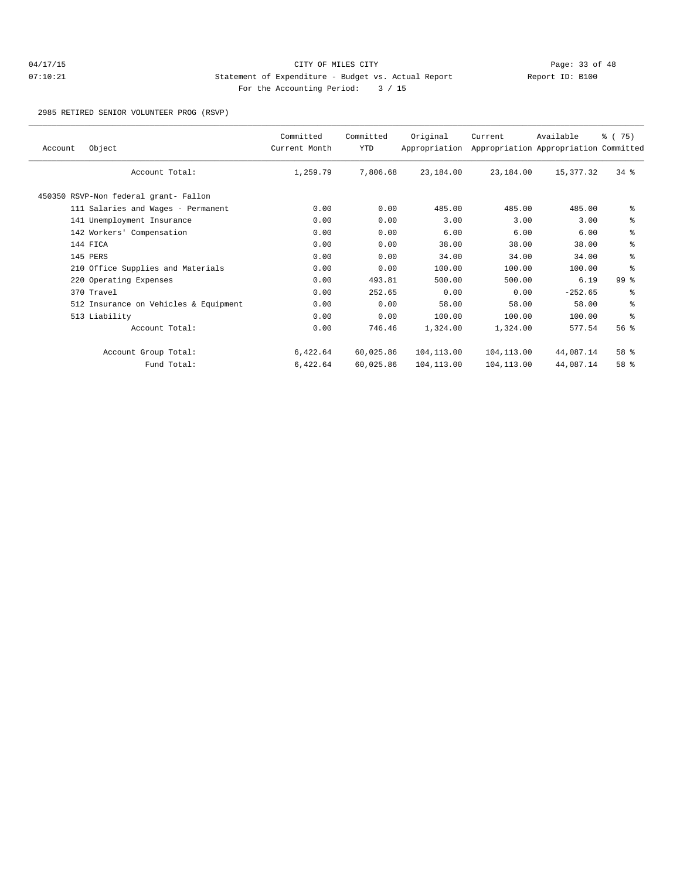## 04/17/15 Page: 33 of 48 07:10:21 Statement of Expenditure - Budget vs. Actual Report Changery Report ID: B100 For the Accounting Period: 3 / 15

2985 RETIRED SENIOR VOLUNTEER PROG (RSVP)

| Object<br>Account                     | Committed<br>Current Month | Committed<br><b>YTD</b> | Original<br>Appropriation | Current    | Available<br>Appropriation Appropriation Committed | % (75)          |
|---------------------------------------|----------------------------|-------------------------|---------------------------|------------|----------------------------------------------------|-----------------|
| Account Total:                        | 1,259.79                   | 7,806.68                | 23,184.00                 | 23,184.00  | 15,377.32                                          | $34*$           |
| 450350 RSVP-Non federal grant- Fallon |                            |                         |                           |            |                                                    |                 |
| 111 Salaries and Wages - Permanent    | 0.00                       | 0.00                    | 485.00                    | 485.00     | 485.00                                             | ႜ               |
| 141 Unemployment Insurance            | 0.00                       | 0.00                    | 3.00                      | 3.00       | 3.00                                               | နွ              |
| 142 Workers' Compensation             | 0.00                       | 0.00                    | 6.00                      | 6.00       | 6.00                                               | ៖               |
| 144 FICA                              | 0.00                       | 0.00                    | 38.00                     | 38.00      | 38.00                                              | ៖               |
| 145 PERS                              | 0.00                       | 0.00                    | 34.00                     | 34.00      | 34.00                                              | နွ              |
| 210 Office Supplies and Materials     | 0.00                       | 0.00                    | 100.00                    | 100.00     | 100.00                                             | ి               |
| 220 Operating Expenses                | 0.00                       | 493.81                  | 500.00                    | 500.00     | 6.19                                               | 99 <sup>8</sup> |
| 370 Travel                            | 0.00                       | 252.65                  | 0.00                      | 0.00       | $-252.65$                                          | နွ              |
| 512 Insurance on Vehicles & Equipment | 0.00                       | 0.00                    | 58.00                     | 58.00      | 58.00                                              | နွ              |
| 513 Liability                         | 0.00                       | 0.00                    | 100.00                    | 100.00     | 100.00                                             | ి               |
| Account Total:                        | 0.00                       | 746.46                  | 1,324.00                  | 1,324.00   | 577.54                                             | 56 <sup>8</sup> |
| Account Group Total:                  | 6,422.64                   | 60,025.86               | 104,113.00                | 104,113.00 | 44,087.14                                          | 58 %            |
| Fund Total:                           | 6,422.64                   | 60,025.86               | 104,113.00                | 104,113.00 | 44,087.14                                          | 58 %            |
|                                       |                            |                         |                           |            |                                                    |                 |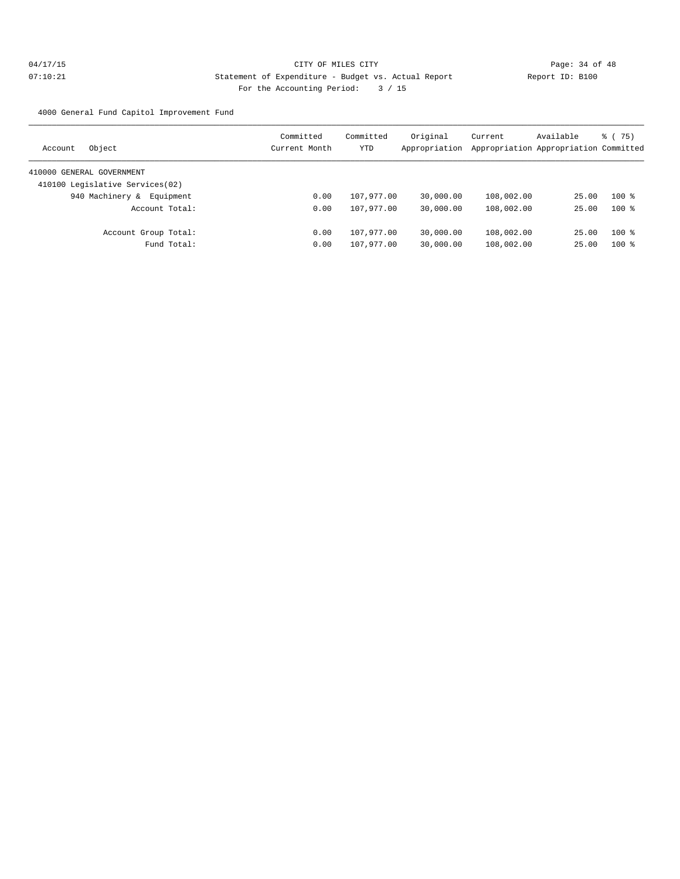4000 General Fund Capitol Improvement Fund

|                | Committed                                                                                               | Committed     | Original  | Current                     | Available | $\frac{3}{6}$ ( 75)                                                                                                               |
|----------------|---------------------------------------------------------------------------------------------------------|---------------|-----------|-----------------------------|-----------|-----------------------------------------------------------------------------------------------------------------------------------|
|                |                                                                                                         |               |           |                             |           |                                                                                                                                   |
|                |                                                                                                         |               |           |                             |           |                                                                                                                                   |
|                |                                                                                                         |               |           |                             |           |                                                                                                                                   |
| Equipment      | 0.00                                                                                                    | 107,977.00    | 30,000.00 |                             |           | $100$ %                                                                                                                           |
| Account Total: | 0.00                                                                                                    |               | 30,000.00 |                             |           | $100*$                                                                                                                            |
|                | 0.00                                                                                                    | 107,977.00    | 30,000.00 |                             |           | $100$ %                                                                                                                           |
| Fund Total:    | 0.00                                                                                                    | 107,977.00    | 30,000.00 |                             |           | $100*$                                                                                                                            |
|                | 410000 GENERAL GOVERNMENT<br>410100 Legislative Services(02)<br>940 Machinery &<br>Account Group Total: | Current Month | YTD       | Appropriation<br>107,977.00 |           | Appropriation Appropriation Committed<br>108,002.00<br>25.00<br>108,002.00<br>25.00<br>108,002.00<br>25.00<br>108,002.00<br>25.00 |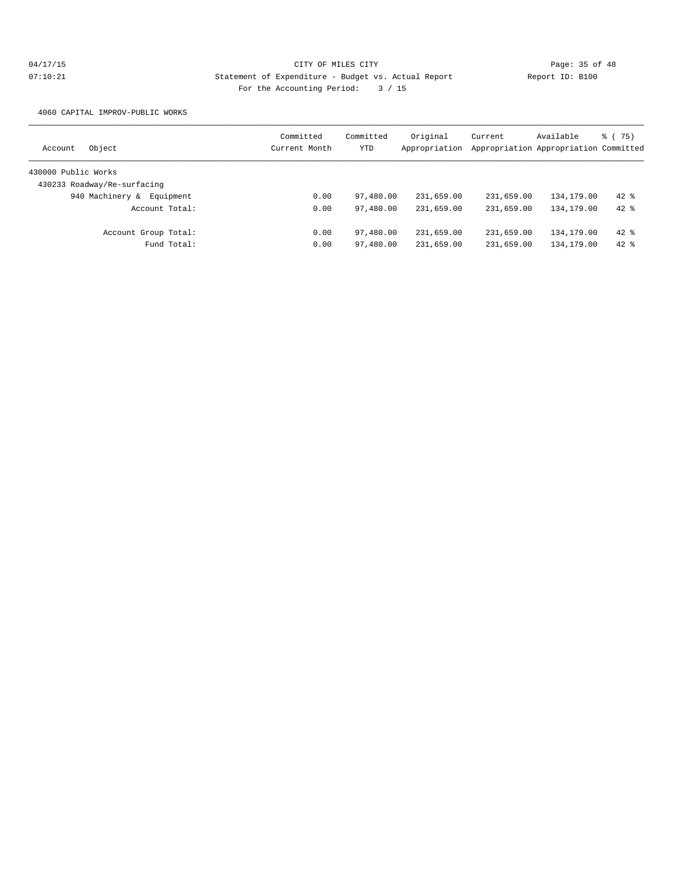4060 CAPITAL IMPROV-PUBLIC WORKS

| Object<br>Account            | Committed<br>Current Month | Committed<br>YTD | Original<br>Appropriation | Current    | Available<br>Appropriation Appropriation Committed | % (75) |
|------------------------------|----------------------------|------------------|---------------------------|------------|----------------------------------------------------|--------|
|                              |                            |                  |                           |            |                                                    |        |
| 430000 Public Works          |                            |                  |                           |            |                                                    |        |
| 430233 Roadway/Re-surfacing  |                            |                  |                           |            |                                                    |        |
| 940 Machinery &<br>Equipment | 0.00                       | 97,480.00        | 231,659.00                | 231,659.00 | 134,179.00                                         | $42*$  |
| Account Total:               | 0.00                       | 97,480.00        | 231,659.00                | 231,659.00 | 134, 179.00                                        | $42*$  |
| Account Group Total:         | 0.00                       | 97,480.00        | 231,659.00                | 231,659.00 | 134,179.00                                         | $42*$  |
| Fund Total:                  | 0.00                       | 97,480.00        | 231,659.00                | 231,659.00 | 134,179.00                                         | $42$ % |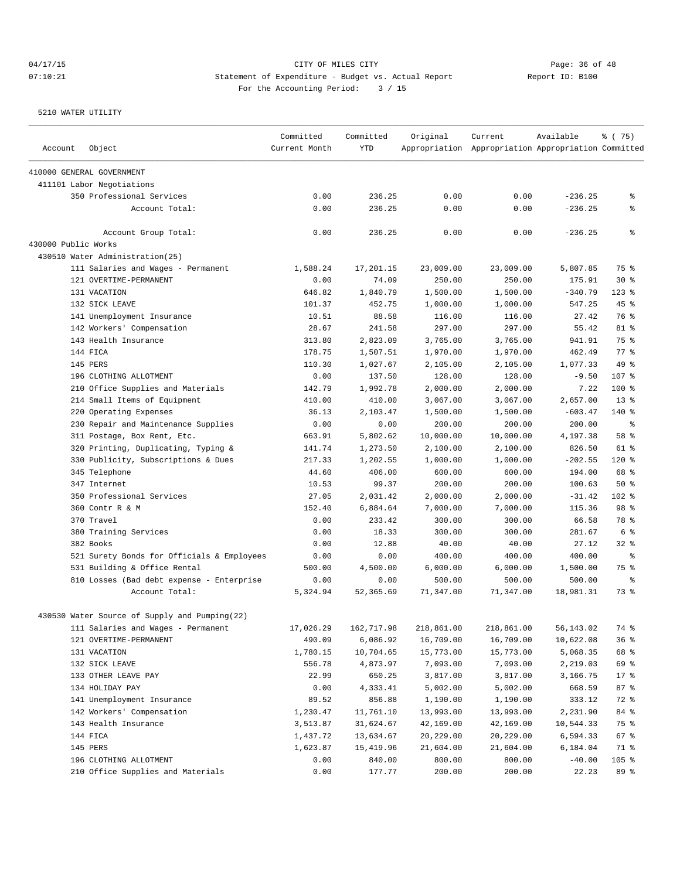## 04/17/15 Page: 36 of 48 07:10:21 Statement of Expenditure - Budget vs. Actual Report Changer Report ID: B100 For the Accounting Period: 3 / 15

| Account             | Object                                        | Committed<br>Current Month | Committed<br><b>YTD</b> | Original   | Current<br>Appropriation Appropriation Appropriation Committed | Available | 8 (75)             |
|---------------------|-----------------------------------------------|----------------------------|-------------------------|------------|----------------------------------------------------------------|-----------|--------------------|
|                     | 410000 GENERAL GOVERNMENT                     |                            |                         |            |                                                                |           |                    |
|                     | 411101 Labor Negotiations                     |                            |                         |            |                                                                |           |                    |
|                     | 350 Professional Services                     | 0.00                       | 236.25                  | 0.00       | 0.00                                                           | $-236.25$ | နွ                 |
|                     | Account Total:                                | 0.00                       | 236.25                  | 0.00       | 0.00                                                           | $-236.25$ | နွ                 |
|                     | Account Group Total:                          | 0.00                       | 236.25                  | 0.00       | 0.00                                                           | $-236.25$ | နွ                 |
| 430000 Public Works |                                               |                            |                         |            |                                                                |           |                    |
|                     | 430510 Water Administration(25)               |                            |                         |            |                                                                |           |                    |
|                     | 111 Salaries and Wages - Permanent            | 1,588.24                   | 17,201.15               | 23,009.00  | 23,009.00                                                      | 5,807.85  | 75 %               |
|                     | 121 OVERTIME-PERMANENT                        | 0.00                       | 74.09                   | 250.00     | 250.00                                                         | 175.91    | $30*$              |
|                     | 131 VACATION                                  | 646.82                     | 1,840.79                | 1,500.00   | 1,500.00                                                       | $-340.79$ | $123$ $%$          |
|                     | 132 SICK LEAVE                                | 101.37                     | 452.75                  | 1,000.00   | 1,000.00                                                       | 547.25    | $45$ $\frac{6}{3}$ |
|                     | 141 Unemployment Insurance                    | 10.51                      | 88.58                   | 116.00     | 116.00                                                         | 27.42     | 76 %               |
|                     | 142 Workers' Compensation                     | 28.67                      | 241.58                  | 297.00     | 297.00                                                         | 55.42     | 81 %               |
|                     | 143 Health Insurance                          | 313.80                     | 2,823.09                | 3,765.00   | 3,765.00                                                       | 941.91    | 75 %               |
|                     | 144 FICA                                      | 178.75                     | 1,507.51                | 1,970.00   | 1,970.00                                                       | 462.49    | 77.8               |
|                     | 145 PERS                                      | 110.30                     | 1,027.67                | 2,105.00   | 2,105.00                                                       | 1,077.33  | 49 %               |
|                     | 196 CLOTHING ALLOTMENT                        | 0.00                       | 137.50                  | 128.00     | 128.00                                                         | $-9.50$   | 107 %              |
|                     | 210 Office Supplies and Materials             | 142.79                     | 1,992.78                | 2,000.00   | 2,000.00                                                       | 7.22      | 100 %              |
|                     | 214 Small Items of Equipment                  | 410.00                     | 410.00                  | 3,067.00   | 3,067.00                                                       | 2,657.00  | $13*$              |
|                     | 220 Operating Expenses                        | 36.13                      | 2,103.47                | 1,500.00   | 1,500.00                                                       | $-603.47$ | $140$ %            |
|                     | 230 Repair and Maintenance Supplies           | 0.00                       | 0.00                    | 200.00     | 200.00                                                         | 200.00    | နွ                 |
|                     | 311 Postage, Box Rent, Etc.                   | 663.91                     | 5,802.62                | 10,000.00  | 10,000.00                                                      | 4,197.38  | 58 %               |
|                     | 320 Printing, Duplicating, Typing &           | 141.74                     | 1,273.50                | 2,100.00   | 2,100.00                                                       | 826.50    | $61$ %             |
|                     | 330 Publicity, Subscriptions & Dues           | 217.33                     | 1,202.55                | 1,000.00   | 1,000.00                                                       | $-202.55$ | $120$ %            |
|                     | 345 Telephone                                 | 44.60                      | 406.00                  | 600.00     | 600.00                                                         | 194.00    | 68 %               |
|                     | 347 Internet                                  | 10.53                      | 99.37                   | 200.00     | 200.00                                                         | 100.63    | 50%                |
|                     | 350 Professional Services                     | 27.05                      | 2,031.42                | 2,000.00   | 2,000.00                                                       | $-31.42$  | $102$ %            |
|                     | 360 Contr R & M                               | 152.40                     | 6,884.64                | 7,000.00   | 7,000.00                                                       | 115.36    | 98 %               |
|                     | 370 Travel                                    | 0.00                       | 233.42                  | 300.00     | 300.00                                                         | 66.58     | 78 %               |
|                     | 380 Training Services                         | 0.00                       | 18.33                   | 300.00     | 300.00                                                         | 281.67    | 6 %                |
|                     | 382 Books                                     | 0.00                       | 12.88                   | 40.00      | 40.00                                                          | 27.12     | $32$ $%$           |
|                     | 521 Surety Bonds for Officials & Employees    | 0.00                       | 0.00                    | 400.00     | 400.00                                                         | 400.00    | ႜ                  |
|                     | 531 Building & Office Rental                  | 500.00                     | 4,500.00                | 6,000.00   | 6,000.00                                                       | 1,500.00  | 75 %               |
|                     | 810 Losses (Bad debt expense - Enterprise     | 0.00                       | 0.00                    | 500.00     | 500.00                                                         | 500.00    | နွ                 |
|                     | Account Total:                                | 5,324.94                   | 52,365.69               | 71,347.00  | 71,347.00                                                      | 18,981.31 | 73.8               |
|                     | 430530 Water Source of Supply and Pumping(22) |                            |                         |            |                                                                |           |                    |
|                     | 111 Salaries and Wages - Permanent            | 17,026.29                  | 162,717.98              | 218,861.00 | 218,861.00                                                     | 56,143.02 | 74 %               |
|                     | 121 OVERTIME-PERMANENT                        | 490.09                     | 6,086.92                | 16,709.00  | 16,709.00                                                      | 10,622.08 | 36%                |
|                     | 131 VACATION                                  | 1,780.15                   | 10,704.65               | 15,773.00  | 15,773.00                                                      | 5,068.35  | 68 %               |
|                     | 132 SICK LEAVE                                | 556.78                     | 4,873.97                | 7,093.00   | 7,093.00                                                       | 2,219.03  | 69 %               |
|                     | 133 OTHER LEAVE PAY                           | 22.99                      | 650.25                  | 3,817.00   | 3,817.00                                                       | 3,166.75  | 17 <sub>8</sub>    |
|                     | 134 HOLIDAY PAY                               | 0.00                       | 4,333.41                | 5,002.00   | 5,002.00                                                       | 668.59    | 87 %               |
|                     | 141 Unemployment Insurance                    | 89.52                      | 856.88                  | 1,190.00   | 1,190.00                                                       | 333.12    | 72 %               |
|                     | 142 Workers' Compensation                     | 1,230.47                   | 11,761.10               | 13,993.00  | 13,993.00                                                      | 2,231.90  | 84 %               |
|                     | 143 Health Insurance                          | 3,513.87                   | 31,624.67               | 42,169.00  | 42,169.00                                                      | 10,544.33 | 75 %               |
|                     | 144 FICA                                      | 1,437.72                   | 13,634.67               | 20,229.00  | 20,229.00                                                      | 6,594.33  | 67 %               |
|                     | 145 PERS                                      | 1,623.87                   | 15,419.96               | 21,604.00  | 21,604.00                                                      | 6,184.04  | 71 %               |
|                     | 196 CLOTHING ALLOTMENT                        | 0.00                       | 840.00                  | 800.00     | 800.00                                                         | $-40.00$  | $105$ %            |
|                     | 210 Office Supplies and Materials             | 0.00                       | 177.77                  | 200.00     | 200.00                                                         | 22.23     | 89 %               |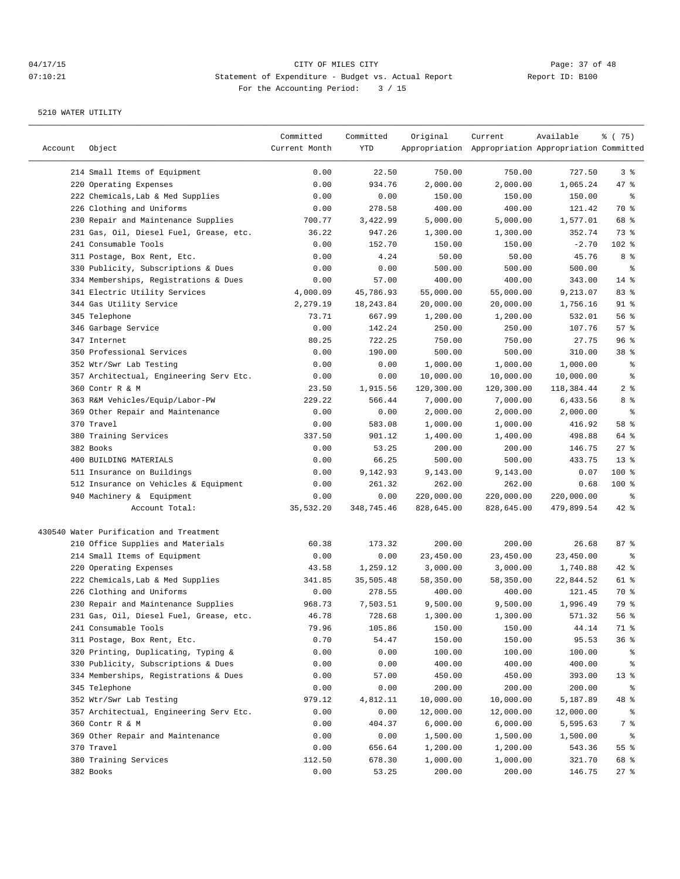| Account | Object                                  | Committed<br>Current Month | Committed<br>YTD | Original   | Current<br>Appropriation Appropriation Appropriation Committed | Available  | ៖ (75)          |
|---------|-----------------------------------------|----------------------------|------------------|------------|----------------------------------------------------------------|------------|-----------------|
|         | 214 Small Items of Equipment            | 0.00                       | 22.50            | 750.00     | 750.00                                                         | 727.50     | 3%              |
|         | 220 Operating Expenses                  | 0.00                       | 934.76           | 2,000.00   | 2,000.00                                                       | 1,065.24   | 47 %            |
|         | 222 Chemicals, Lab & Med Supplies       | 0.00                       | 0.00             | 150.00     | 150.00                                                         | 150.00     | နွ              |
|         | 226 Clothing and Uniforms               | 0.00                       | 278.58           | 400.00     | 400.00                                                         | 121.42     | 70 %            |
|         | 230 Repair and Maintenance Supplies     | 700.77                     | 3,422.99         | 5,000.00   | 5,000.00                                                       | 1,577.01   | 68 %            |
|         | 231 Gas, Oil, Diesel Fuel, Grease, etc. | 36.22                      | 947.26           | 1,300.00   | 1,300.00                                                       | 352.74     | 73 %            |
|         | 241 Consumable Tools                    | 0.00                       | 152.70           | 150.00     | 150.00                                                         | $-2.70$    | 102 %           |
|         | 311 Postage, Box Rent, Etc.             | 0.00                       | 4.24             | 50.00      | 50.00                                                          | 45.76      | 8 %             |
|         | 330 Publicity, Subscriptions & Dues     | 0.00                       | 0.00             | 500.00     | 500.00                                                         | 500.00     | နွ              |
|         | 334 Memberships, Registrations & Dues   | 0.00                       | 57.00            | 400.00     | 400.00                                                         | 343.00     | $14$ %          |
|         | 341 Electric Utility Services           | 4,000.09                   | 45,786.93        | 55,000.00  | 55,000.00                                                      | 9,213.07   | 83%             |
|         | 344 Gas Utility Service                 | 2,279.19                   | 18, 243.84       | 20,000.00  | 20,000.00                                                      | 1,756.16   | $91$ %          |
|         | 345 Telephone                           | 73.71                      | 667.99           | 1,200.00   | 1,200.00                                                       | 532.01     | 56%             |
|         | 346 Garbage Service                     | 0.00                       | 142.24           | 250.00     | 250.00                                                         | 107.76     | 57%             |
|         | 347 Internet                            | 80.25                      | 722.25           | 750.00     | 750.00                                                         | 27.75      | 96%             |
|         | 350 Professional Services               | 0.00                       | 190.00           | 500.00     | 500.00                                                         | 310.00     | 38 %            |
|         | 352 Wtr/Swr Lab Testing                 | 0.00                       | 0.00             | 1,000.00   | 1,000.00                                                       | 1,000.00   | နွ              |
|         | 357 Architectual, Engineering Serv Etc. | 0.00                       | 0.00             | 10,000.00  | 10,000.00                                                      | 10,000.00  | နွ              |
|         | 360 Contr R & M                         | 23.50                      | 1,915.56         | 120,300.00 | 120,300.00                                                     | 118,384.44 | 2 <sup>8</sup>  |
|         | 363 R&M Vehicles/Equip/Labor-PW         | 229.22                     | 566.44           | 7,000.00   | 7,000.00                                                       | 6,433.56   | 8 %             |
|         | 369 Other Repair and Maintenance        | 0.00                       | 0.00             | 2,000.00   | 2,000.00                                                       | 2,000.00   | ್ಠಿ             |
|         | 370 Travel                              | 0.00                       | 583.08           | 1,000.00   | 1,000.00                                                       | 416.92     | 58 %            |
|         | 380 Training Services                   | 337.50                     | 901.12           | 1,400.00   | 1,400.00                                                       | 498.88     | 64 %            |
|         | 382 Books                               | 0.00                       | 53.25            | 200.00     | 200.00                                                         | 146.75     | $27$ %          |
|         | 400 BUILDING MATERIALS                  | 0.00                       | 66.25            | 500.00     | 500.00                                                         | 433.75     | $13*$           |
|         | 511 Insurance on Buildings              | 0.00                       | 9,142.93         | 9,143.00   | 9,143.00                                                       | 0.07       | 100 %           |
|         | 512 Insurance on Vehicles & Equipment   | 0.00                       | 261.32           | 262.00     | 262.00                                                         | 0.68       | $100$ %         |
|         | 940 Machinery & Equipment               | 0.00                       | 0.00             | 220,000.00 | 220,000.00                                                     | 220,000.00 | ႜ               |
|         | Account Total:                          | 35,532.20                  | 348,745.46       | 828,645.00 | 828,645.00                                                     | 479,899.54 | 42 %            |
|         | 430540 Water Purification and Treatment |                            |                  |            |                                                                |            |                 |
|         | 210 Office Supplies and Materials       | 60.38                      | 173.32           | 200.00     | 200.00                                                         | 26.68      | 87%             |
|         | 214 Small Items of Equipment            | 0.00                       | 0.00             | 23,450.00  | 23,450.00                                                      | 23,450.00  | နွ              |
|         | 220 Operating Expenses                  | 43.58                      | 1,259.12         | 3,000.00   | 3,000.00                                                       | 1,740.88   | 42 %            |
|         | 222 Chemicals, Lab & Med Supplies       | 341.85                     | 35,505.48        | 58,350.00  | 58,350.00                                                      | 22,844.52  | 61 %            |
|         | 226 Clothing and Uniforms               | 0.00                       | 278.55           | 400.00     | 400.00                                                         | 121.45     | 70 %            |
|         | 230 Repair and Maintenance Supplies     | 968.73                     | 7,503.51         | 9,500.00   | 9,500.00                                                       | 1,996.49   | 79 %            |
|         | 231 Gas, Oil, Diesel Fuel, Grease, etc. | 46.78                      | 728.68           | 1,300.00   | 1,300.00                                                       | 571.32     | 56 %            |
|         | 241 Consumable Tools                    | 79.96                      | 105.86           | 150.00     | 150.00                                                         | 44.14      | 71 %            |
|         | 311 Postage, Box Rent, Etc.             | 0.70                       | 54.47            | 150.00     | 150.00                                                         | 95.53      | 36%             |
|         | 320 Printing, Duplicating, Typing &     | 0.00                       | 0.00             | 100.00     | 100.00                                                         | 100.00     | ွေ              |
|         | 330 Publicity, Subscriptions & Dues     | 0.00                       | 0.00             | 400.00     | 400.00                                                         | 400.00     | ွေ              |
|         | 334 Memberships, Registrations & Dues   | 0.00                       | 57.00            | 450.00     | 450.00                                                         | 393.00     | 13 <sub>8</sub> |
|         | 345 Telephone                           | 0.00                       | 0.00             | 200.00     | 200.00                                                         | 200.00     | ွေ              |
|         | 352 Wtr/Swr Lab Testing                 | 979.12                     | 4,812.11         | 10,000.00  | 10,000.00                                                      | 5,187.89   | 48 %            |
|         | 357 Architectual, Engineering Serv Etc. | 0.00                       | 0.00             | 12,000.00  | 12,000.00                                                      | 12,000.00  | ွေ              |
|         | 360 Contr R & M                         | 0.00                       | 404.37           | 6,000.00   | 6,000.00                                                       | 5,595.63   | $7\degree$      |
|         | 369 Other Repair and Maintenance        | 0.00                       | 0.00             | 1,500.00   | 1,500.00                                                       | 1,500.00   | ွေ              |
|         | 370 Travel                              | 0.00                       | 656.64           | 1,200.00   | 1,200.00                                                       | 543.36     | 55 %            |
|         | 380 Training Services                   | 112.50                     | 678.30           | 1,000.00   | 1,000.00                                                       | 321.70     | 68 %            |
|         | 382 Books                               | 0.00                       | 53.25            | 200.00     | 200.00                                                         | 146.75     | $27$ %          |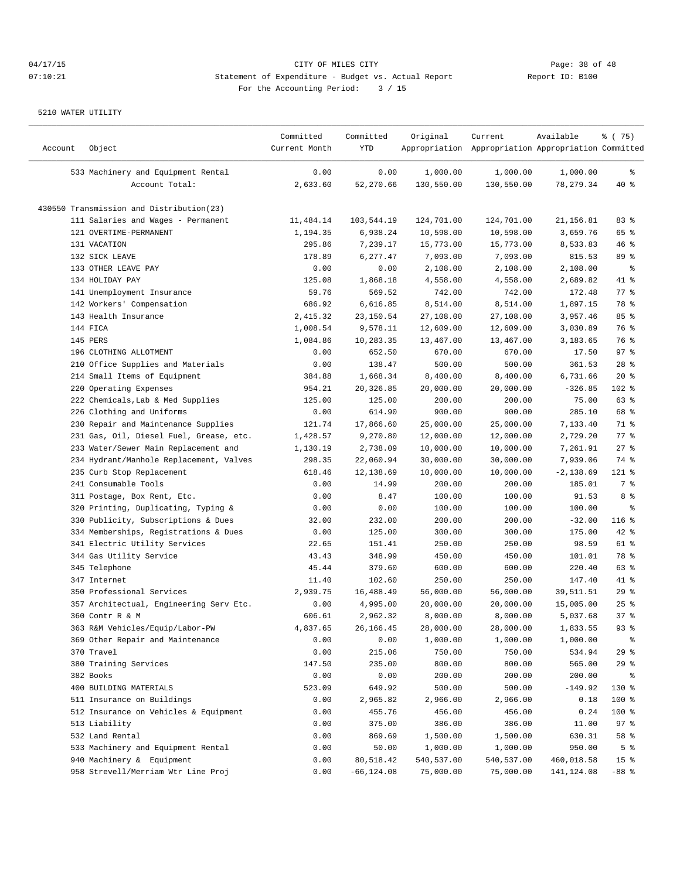| Account | Object                                   | Committed<br>Current Month | Committed<br>YTD | Original   | Current<br>Appropriation Appropriation Appropriation Committed | Available   | ៖ (75)             |
|---------|------------------------------------------|----------------------------|------------------|------------|----------------------------------------------------------------|-------------|--------------------|
|         | 533 Machinery and Equipment Rental       | 0.00                       | 0.00             | 1,000.00   | 1,000.00                                                       | 1,000.00    | နွ                 |
|         | Account Total:                           | 2,633.60                   | 52,270.66        | 130,550.00 | 130,550.00                                                     | 78, 279.34  | 40 %               |
|         | 430550 Transmission and Distribution(23) |                            |                  |            |                                                                |             |                    |
|         | 111 Salaries and Wages - Permanent       | 11,484.14                  | 103,544.19       | 124,701.00 | 124,701.00                                                     | 21,156.81   | 83%                |
|         | 121 OVERTIME-PERMANENT                   | 1,194.35                   | 6,938.24         | 10,598.00  | 10,598.00                                                      | 3,659.76    | 65 %               |
|         | 131 VACATION                             | 295.86                     | 7,239.17         | 15,773.00  | 15,773.00                                                      | 8,533.83    | 46%                |
|         | 132 SICK LEAVE                           | 178.89                     | 6,277.47         | 7,093.00   | 7,093.00                                                       | 815.53      | 89 %               |
|         | 133 OTHER LEAVE PAY                      | 0.00                       | 0.00             | 2,108.00   | 2,108.00                                                       | 2,108.00    | နွ                 |
|         | 134 HOLIDAY PAY                          | 125.08                     | 1,868.18         | 4,558.00   | 4,558.00                                                       | 2,689.82    | 41 %               |
|         | 141 Unemployment Insurance               | 59.76                      | 569.52           | 742.00     | 742.00                                                         | 172.48      | $77$ $\frac{6}{9}$ |
|         | 142 Workers' Compensation                | 686.92                     | 6,616.85         | 8,514.00   | 8,514.00                                                       | 1,897.15    | 78 %               |
|         | 143 Health Insurance                     | 2,415.32                   | 23,150.54        | 27,108.00  | 27,108.00                                                      | 3,957.46    | 85%                |
|         | 144 FICA                                 | 1,008.54                   | 9,578.11         | 12,609.00  | 12,609.00                                                      | 3,030.89    | 76 %               |
|         | 145 PERS                                 | 1,084.86                   | 10,283.35        | 13,467.00  | 13,467.00                                                      | 3,183.65    | 76 %               |
|         | 196 CLOTHING ALLOTMENT                   | 0.00                       | 652.50           | 670.00     | 670.00                                                         | 17.50       | 97%                |
|         | 210 Office Supplies and Materials        | 0.00                       | 138.47           | 500.00     | 500.00                                                         | 361.53      | $28$ %             |
|         | 214 Small Items of Equipment             | 384.88                     | 1,668.34         | 8,400.00   | 8,400.00                                                       | 6,731.66    | $20*$              |
|         | 220 Operating Expenses                   | 954.21                     | 20,326.85        | 20,000.00  | 20,000.00                                                      | $-326.85$   | 102 %              |
|         | 222 Chemicals, Lab & Med Supplies        | 125.00                     | 125.00           | 200.00     | 200.00                                                         | 75.00       | 63 %               |
|         | 226 Clothing and Uniforms                | 0.00                       | 614.90           | 900.00     | 900.00                                                         | 285.10      | 68 %               |
|         | 230 Repair and Maintenance Supplies      | 121.74                     | 17,866.60        | 25,000.00  | 25,000.00                                                      | 7,133.40    | 71 %               |
|         | 231 Gas, Oil, Diesel Fuel, Grease, etc.  | 1,428.57                   | 9,270.80         | 12,000.00  | 12,000.00                                                      | 2,729.20    | $77$ $%$           |
|         | 233 Water/Sewer Main Replacement and     | 1,130.19                   | 2,738.09         | 10,000.00  | 10,000.00                                                      | 7,261.91    | $27$ %             |
|         | 234 Hydrant/Manhole Replacement, Valves  | 298.35                     | 22,060.94        | 30,000.00  | 30,000.00                                                      | 7,939.06    | 74 %               |
|         | 235 Curb Stop Replacement                | 618.46                     | 12,138.69        | 10,000.00  | 10,000.00                                                      | $-2,138.69$ | 121 %              |
|         | 241 Consumable Tools                     | 0.00                       | 14.99            | 200.00     | 200.00                                                         | 185.01      | 7 %                |
|         | 311 Postage, Box Rent, Etc.              | 0.00                       | 8.47             | 100.00     | 100.00                                                         | 91.53       | 8 %                |
|         | 320 Printing, Duplicating, Typing &      | 0.00                       | 0.00             | 100.00     | 100.00                                                         | 100.00      | နွ                 |
| 330     | Publicity, Subscriptions & Dues          | 32.00                      | 232.00           | 200.00     | 200.00                                                         | $-32.00$    | $116$ %            |
|         | 334 Memberships, Registrations & Dues    | 0.00                       | 125.00           | 300.00     | 300.00                                                         | 175.00      | $42$ %             |
|         | 341 Electric Utility Services            | 22.65                      | 151.41           | 250.00     | 250.00                                                         | 98.59       | 61 %               |
|         | 344 Gas Utility Service                  | 43.43                      | 348.99           | 450.00     | 450.00                                                         | 101.01      | 78 %               |
|         | 345 Telephone                            | 45.44                      | 379.60           | 600.00     | 600.00                                                         | 220.40      | 63 %               |
|         | 347 Internet                             | 11.40                      | 102.60           | 250.00     | 250.00                                                         | 147.40      | 41 %               |
|         | 350 Professional Services                | 2,939.75                   | 16,488.49        | 56,000.00  | 56,000.00                                                      | 39,511.51   | 29%                |
|         | 357 Architectual, Engineering Serv Etc.  | 0.00                       | 4,995.00         | 20,000.00  | 20,000.00                                                      | 15,005.00   | 25%                |
|         | 360 Contr R & M                          | 606.61                     | 2,962.32         | 8,000.00   | 8,000.00                                                       | 5,037.68    | 37 <sup>8</sup>    |
|         | 363 R&M Vehicles/Equip/Labor-PW          | 4,837.65                   | 26,166.45        | 28,000.00  | 28,000.00                                                      | 1,833.55    | 93%                |
|         | 369 Other Repair and Maintenance         | 0.00                       | 0.00             | 1,000.00   | 1,000.00                                                       | 1,000.00    | ွေ                 |
|         | 370 Travel                               | 0.00                       | 215.06           | 750.00     | 750.00                                                         | 534.94      | 29%                |
|         | 380 Training Services                    | 147.50                     | 235.00           | 800.00     | 800.00                                                         | 565.00      | 29%                |
|         | 382 Books                                | 0.00                       | 0.00             | 200.00     | 200.00                                                         | 200.00      | ႜ                  |
|         | 400 BUILDING MATERIALS                   | 523.09                     | 649.92           | 500.00     | 500.00                                                         | $-149.92$   | 130 %              |
|         | 511 Insurance on Buildings               | 0.00                       | 2,965.82         | 2,966.00   | 2,966.00                                                       | 0.18        | 100 %              |
|         | 512 Insurance on Vehicles & Equipment    | 0.00                       | 455.76           | 456.00     | 456.00                                                         | 0.24        | 100 %              |
|         | 513 Liability                            | 0.00                       | 375.00           | 386.00     | 386.00                                                         | 11.00       | 97%                |
|         | 532 Land Rental                          | 0.00                       | 869.69           | 1,500.00   | 1,500.00                                                       | 630.31      | 58 %               |
|         | 533 Machinery and Equipment Rental       | 0.00                       | 50.00            | 1,000.00   | 1,000.00                                                       | 950.00      | 5 <sup>°</sup>     |
|         | 940 Machinery & Equipment                | 0.00                       | 80,518.42        | 540,537.00 | 540,537.00                                                     | 460,018.58  | 15 <sup>°</sup>    |
|         | 958 Strevell/Merriam Wtr Line Proj       | 0.00                       | $-66, 124.08$    | 75,000.00  | 75,000.00                                                      | 141, 124.08 | $-88$ %            |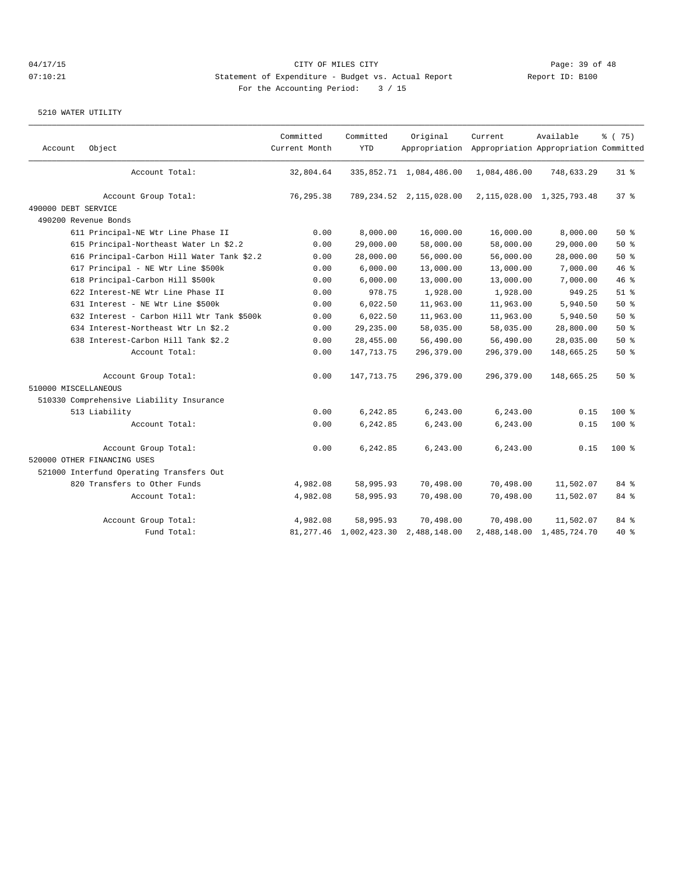| Account              | Object                                     | Committed<br>Current Month | Committed<br><b>YTD</b>   | Original                   | Current<br>Appropriation Appropriation Appropriation Committed | Available                     | % (75)          |
|----------------------|--------------------------------------------|----------------------------|---------------------------|----------------------------|----------------------------------------------------------------|-------------------------------|-----------------|
|                      | Account Total:                             | 32,804.64                  |                           | 335,852.71 1,084,486.00    | 1,084,486.00                                                   | 748,633.29                    | $31$ %          |
|                      | Account Group Total:                       | 76,295.38                  |                           | 789, 234.52 2, 115, 028.00 |                                                                | 2, 115, 028.00 1, 325, 793.48 | 37 <sup>8</sup> |
| 490000 DEBT SERVICE  |                                            |                            |                           |                            |                                                                |                               |                 |
|                      | 490200 Revenue Bonds                       |                            |                           |                            |                                                                |                               |                 |
|                      | 611 Principal-NE Wtr Line Phase II         | 0.00                       | 8,000.00                  | 16,000.00                  | 16,000.00                                                      | 8,000.00                      | $50*$           |
|                      | 615 Principal-Northeast Water Ln \$2.2     | 0.00                       | 29,000.00                 | 58,000.00                  | 58,000.00                                                      | 29,000.00                     | 50%             |
|                      | 616 Principal-Carbon Hill Water Tank \$2.2 | 0.00                       | 28,000.00                 | 56,000.00                  | 56,000.00                                                      | 28,000.00                     | 50%             |
|                      | 617 Principal - NE Wtr Line \$500k         | 0.00                       | 6,000.00                  | 13,000.00                  | 13,000.00                                                      | 7,000.00                      | 46%             |
|                      | 618 Principal-Carbon Hill \$500k           | 0.00                       | 6,000.00                  | 13,000.00                  | 13,000.00                                                      | 7,000.00                      | 46 %            |
|                      | 622 Interest-NE Wtr Line Phase II          | 0.00                       | 978.75                    | 1,928.00                   | 1,928.00                                                       | 949.25                        | $51$ $%$        |
|                      | 631 Interest - NE Wtr Line \$500k          | 0.00                       | 6,022.50                  | 11,963.00                  | 11,963.00                                                      | 5,940.50                      | 50%             |
|                      | 632 Interest - Carbon Hill Wtr Tank \$500k | 0.00                       | 6,022.50                  | 11,963.00                  | 11,963.00                                                      | 5,940.50                      | 50%             |
|                      | 634 Interest-Northeast Wtr Ln \$2.2        | 0.00                       | 29, 235.00                | 58,035.00                  | 58,035.00                                                      | 28,800.00                     | $50*$           |
|                      | 638 Interest-Carbon Hill Tank \$2.2        | 0.00                       | 28,455.00                 | 56,490.00                  | 56,490.00                                                      | 28,035.00                     | $50*$           |
|                      | Account Total:                             | 0.00                       | 147, 713. 75              | 296,379.00                 | 296,379.00                                                     | 148,665.25                    | 50%             |
|                      | Account Group Total:                       | 0.00                       | 147, 713. 75              | 296,379.00                 | 296,379.00                                                     | 148,665.25                    | 50%             |
| 510000 MISCELLANEOUS |                                            |                            |                           |                            |                                                                |                               |                 |
|                      | 510330 Comprehensive Liability Insurance   |                            |                           |                            |                                                                |                               |                 |
|                      | 513 Liability                              | 0.00                       | 6,242.85                  | 6,243.00                   | 6,243.00                                                       | 0.15                          | $100*$          |
|                      | Account Total:                             | 0.00                       | 6,242.85                  | 6,243.00                   | 6,243.00                                                       | 0.15                          | $100$ %         |
|                      | Account Group Total:                       | 0.00                       | 6,242.85                  | 6,243.00                   | 6,243.00                                                       | 0.15                          | $100$ %         |
|                      | 520000 OTHER FINANCING USES                |                            |                           |                            |                                                                |                               |                 |
|                      | 521000 Interfund Operating Transfers Out   |                            |                           |                            |                                                                |                               |                 |
|                      | 820 Transfers to Other Funds               | 4,982.08                   | 58,995.93                 | 70,498.00                  | 70,498.00                                                      | 11,502.07                     | 84 %            |
|                      | Account Total:                             | 4,982.08                   | 58,995.93                 | 70,498.00                  | 70,498.00                                                      | 11,502.07                     | 84 %            |
|                      | Account Group Total:                       | 4,982.08                   | 58,995.93                 | 70,498.00                  | 70,498.00                                                      | 11,502.07                     | 84 %            |
|                      | Fund Total:                                |                            | 81, 277.46 1, 002, 423.30 | 2,488,148.00               |                                                                | 2,488,148.00 1,485,724.70     | 40 %            |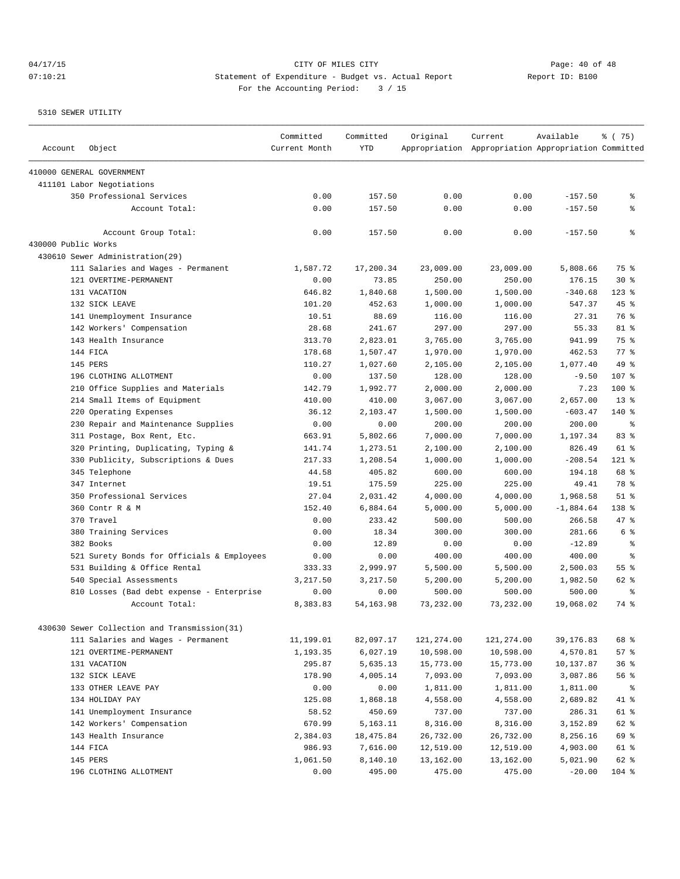# 04/17/15 **Page: 40 of 48** CITY OF MILES CITY **Page: 40 of 48** 07:10:21 Statement of Expenditure - Budget vs. Actual Report Changery Report ID: B100 For the Accounting Period: 3 / 15

| Account             | Object                                       | Committed<br>Current Month | Committed<br><b>YTD</b> | Original           | Current<br>Appropriation Appropriation Appropriation Committed | Available           | % (75)       |
|---------------------|----------------------------------------------|----------------------------|-------------------------|--------------------|----------------------------------------------------------------|---------------------|--------------|
|                     | 410000 GENERAL GOVERNMENT                    |                            |                         |                    |                                                                |                     |              |
|                     | 411101 Labor Negotiations                    |                            |                         |                    |                                                                |                     |              |
|                     | 350 Professional Services                    | 0.00                       | 157.50                  | 0.00               | 0.00                                                           | $-157.50$           | န့           |
|                     | Account Total:                               | 0.00                       | 157.50                  | 0.00               | 0.00                                                           | $-157.50$           | န့           |
|                     | Account Group Total:                         | 0.00                       | 157.50                  | 0.00               | 0.00                                                           | $-157.50$           | နွ           |
| 430000 Public Works |                                              |                            |                         |                    |                                                                |                     |              |
|                     | 430610 Sewer Administration(29)              |                            |                         |                    |                                                                |                     |              |
|                     | 111 Salaries and Wages - Permanent           | 1,587.72                   | 17,200.34               | 23,009.00          | 23,009.00                                                      | 5,808.66            | 75 %         |
|                     | 121 OVERTIME-PERMANENT                       | 0.00                       | 73.85                   | 250.00             | 250.00                                                         | 176.15              | $30*$        |
|                     | 131 VACATION                                 | 646.82                     | 1,840.68                | 1,500.00           | 1,500.00                                                       | $-340.68$           | $123$ $%$    |
|                     | 132 SICK LEAVE                               | 101.20                     | 452.63                  | 1,000.00           | 1,000.00                                                       | 547.37              | 45%          |
|                     | 141 Unemployment Insurance                   | 10.51                      | 88.69                   | 116.00             | 116.00                                                         | 27.31               | 76 %         |
|                     | 142 Workers' Compensation                    | 28.68                      | 241.67                  | 297.00             | 297.00                                                         | 55.33               | 81 %         |
|                     | 143 Health Insurance                         | 313.70                     | 2,823.01                | 3,765.00           | 3,765.00                                                       | 941.99              | 75 %         |
|                     | 144 FICA                                     | 178.68                     | 1,507.47                | 1,970.00           | 1,970.00                                                       | 462.53              | 77.8         |
|                     | 145 PERS                                     | 110.27                     | 1,027.60                | 2,105.00           | 2,105.00                                                       | 1,077.40            | 49 %         |
|                     | 196 CLOTHING ALLOTMENT                       | 0.00                       | 137.50                  | 128.00             | 128.00                                                         | $-9.50$             | 107 %        |
|                     | 210 Office Supplies and Materials            | 142.79                     | 1,992.77                | 2,000.00           | 2,000.00                                                       | 7.23                | 100 %        |
|                     | 214 Small Items of Equipment                 | 410.00                     | 410.00                  | 3,067.00           | 3,067.00                                                       | 2,657.00            | $13*$        |
|                     | 220 Operating Expenses                       | 36.12                      | 2,103.47                | 1,500.00           | 1,500.00                                                       | $-603.47$           | $140*$       |
|                     | 230 Repair and Maintenance Supplies          | 0.00                       | 0.00<br>5,802.66        | 200.00             | 200.00                                                         | 200.00              | နွ           |
|                     | 311 Postage, Box Rent, Etc.                  | 663.91                     |                         | 7,000.00           | 7,000.00                                                       | 1,197.34            | 83 %<br>61 % |
|                     | 320 Printing, Duplicating, Typing &          | 141.74<br>217.33           | 1,273.51                | 2,100.00           | 2,100.00                                                       | 826.49<br>$-208.54$ | 121 %        |
|                     | 330 Publicity, Subscriptions & Dues          | 44.58                      | 1,208.54<br>405.82      | 1,000.00<br>600.00 | 1,000.00<br>600.00                                             | 194.18              | 68 %         |
|                     | 345 Telephone                                |                            |                         |                    |                                                                |                     | 78 %         |
|                     | 347 Internet<br>350 Professional Services    | 19.51<br>27.04             | 175.59<br>2,031.42      | 225.00<br>4,000.00 | 225.00<br>4,000.00                                             | 49.41<br>1,968.58   | $51$ $%$     |
|                     | 360 Contr R & M                              | 152.40                     | 6,884.64                | 5,000.00           | 5,000.00                                                       | $-1,884.64$         | 138 %        |
|                     | 370 Travel                                   | 0.00                       | 233.42                  | 500.00             | 500.00                                                         | 266.58              | 47 %         |
|                     | 380 Training Services                        | 0.00                       | 18.34                   | 300.00             | 300.00                                                         | 281.66              | 6 %          |
|                     | 382 Books                                    | 0.00                       | 12.89                   | 0.00               | 0.00                                                           | $-12.89$            | နွ           |
|                     | 521 Surety Bonds for Officials & Employees   | 0.00                       | 0.00                    | 400.00             | 400.00                                                         | 400.00              | နွ           |
|                     | 531 Building & Office Rental                 | 333.33                     | 2,999.97                | 5,500.00           | 5,500.00                                                       | 2,500.03            | 55 %         |
|                     | 540 Special Assessments                      | 3,217.50                   | 3,217.50                | 5,200.00           | 5,200.00                                                       | 1,982.50            | 62 %         |
|                     | 810 Losses (Bad debt expense - Enterprise    | 0.00                       | 0.00                    | 500.00             | 500.00                                                         | 500.00              | ႜ            |
|                     | Account Total:                               | 8,383.83                   | 54, 163. 98             | 73,232.00          | 73,232.00                                                      | 19,068.02           | 74 %         |
|                     | 430630 Sewer Collection and Transmission(31) |                            |                         |                    |                                                                |                     |              |
|                     | 111 Salaries and Wages - Permanent           | 11,199.01                  | 82,097.17               | 121,274.00         | 121,274.00                                                     | 39,176.83           | 68 %         |
|                     | 121 OVERTIME-PERMANENT                       | 1,193.35                   | 6,027.19                | 10,598.00          | 10,598.00                                                      | 4,570.81            | 57%          |
|                     | 131 VACATION                                 | 295.87                     | 5,635.13                | 15,773.00          | 15,773.00                                                      | 10,137.87           | 36%          |
|                     | 132 SICK LEAVE                               | 178.90                     | 4,005.14                | 7,093.00           | 7,093.00                                                       | 3,087.86            | 56%          |
|                     | 133 OTHER LEAVE PAY                          | 0.00                       | 0.00                    | 1,811.00           | 1,811.00                                                       | 1,811.00            | ႜၟ           |
|                     | 134 HOLIDAY PAY                              | 125.08                     | 1,868.18                | 4,558.00           | 4,558.00                                                       | 2,689.82            | 41 %         |
|                     | 141 Unemployment Insurance                   | 58.52                      | 450.69                  | 737.00             | 737.00                                                         | 286.31              | 61 %         |
|                     | 142 Workers' Compensation                    | 670.99                     | 5,163.11                | 8,316.00           | 8,316.00                                                       | 3,152.89            | 62 %         |
|                     | 143 Health Insurance                         | 2,384.03                   | 18,475.84               | 26,732.00          | 26,732.00                                                      | 8,256.16            | 69 %         |
|                     | 144 FICA                                     | 986.93                     | 7,616.00                | 12,519.00          | 12,519.00                                                      | 4,903.00            | 61 %         |
|                     | 145 PERS                                     | 1,061.50                   | 8,140.10                | 13,162.00          | 13,162.00                                                      | 5,021.90            | 62 %         |
|                     | 196 CLOTHING ALLOTMENT                       | 0.00                       | 495.00                  | 475.00             | 475.00                                                         | $-20.00$            | $104$ %      |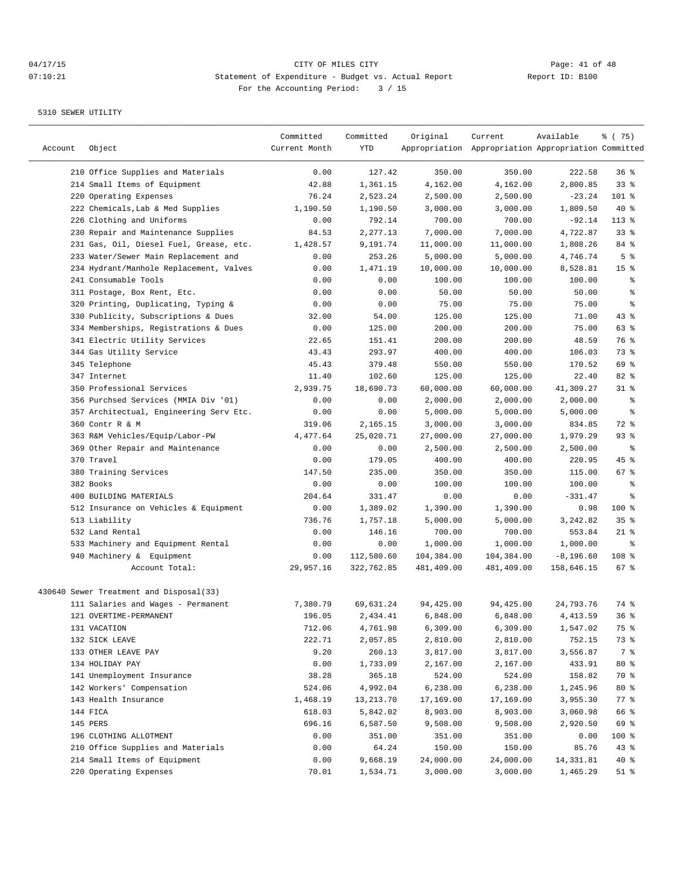| Account | Object                                  | Committed<br>Current Month | Committed<br>YTD | Original   | Current<br>Appropriation Appropriation Appropriation Committed | Available    | ៖ (75)          |
|---------|-----------------------------------------|----------------------------|------------------|------------|----------------------------------------------------------------|--------------|-----------------|
|         | 210 Office Supplies and Materials       | 0.00                       | 127.42           | 350.00     | 350.00                                                         | 222.58       | 36%             |
|         | 214 Small Items of Equipment            | 42.88                      | 1,361.15         | 4,162.00   | 4,162.00                                                       | 2,800.85     | 33%             |
|         | 220 Operating Expenses                  | 76.24                      | 2,523.24         | 2,500.00   | 2,500.00                                                       | $-23.24$     | 101 %           |
|         | 222 Chemicals, Lab & Med Supplies       | 1,190.50                   | 1,190.50         | 3,000.00   | 3,000.00                                                       | 1,809.50     | $40*$           |
|         | 226 Clothing and Uniforms               | 0.00                       | 792.14           | 700.00     | 700.00                                                         | $-92.14$     | $113*$          |
|         | 230 Repair and Maintenance Supplies     | 84.53                      | 2,277.13         | 7,000.00   | 7,000.00                                                       | 4,722.87     | 33%             |
|         | 231 Gas, Oil, Diesel Fuel, Grease, etc. | 1,428.57                   | 9,191.74         | 11,000.00  | 11,000.00                                                      | 1,808.26     | 84 %            |
|         | 233 Water/Sewer Main Replacement and    | 0.00                       | 253.26           | 5,000.00   | 5,000.00                                                       | 4,746.74     | 5 <sup>°</sup>  |
|         | 234 Hydrant/Manhole Replacement, Valves | 0.00                       | 1,471.19         | 10,000.00  | 10,000.00                                                      | 8,528.81     | 15 <sup>°</sup> |
|         | 241 Consumable Tools                    | 0.00                       | 0.00             | 100.00     | 100.00                                                         | 100.00       | နွ              |
|         | 311 Postage, Box Rent, Etc.             | 0.00                       | 0.00             | 50.00      | 50.00                                                          | 50.00        | န္              |
|         | 320 Printing, Duplicating, Typing &     | 0.00                       | 0.00             | 75.00      | 75.00                                                          | 75.00        | ి               |
|         | 330 Publicity, Subscriptions & Dues     | 32.00                      | 54.00            | 125.00     | 125.00                                                         | 71.00        | 43%             |
|         | 334 Memberships, Registrations & Dues   | 0.00                       | 125.00           | 200.00     | 200.00                                                         | 75.00        | 63 %            |
|         | 341 Electric Utility Services           | 22.65                      | 151.41           | 200.00     | 200.00                                                         | 48.59        | 76 %            |
|         | 344 Gas Utility Service                 | 43.43                      | 293.97           | 400.00     | 400.00                                                         | 106.03       | 73 %            |
|         | 345 Telephone                           | 45.43                      | 379.48           | 550.00     | 550.00                                                         | 170.52       | 69 %            |
|         | 347 Internet                            | 11.40                      | 102.60           | 125.00     | 125.00                                                         | 22.40        | 82%             |
|         | 350 Professional Services               | 2,939.75                   | 18,690.73        | 60,000.00  | 60,000.00                                                      | 41,309.27    | $31$ $%$        |
|         | 356 Purchsed Services (MMIA Div '01)    | 0.00                       | 0.00             | 2,000.00   | 2,000.00                                                       | 2,000.00     | နွ              |
|         | 357 Architectual, Engineering Serv Etc. | 0.00                       | 0.00             | 5,000.00   | 5,000.00                                                       | 5,000.00     | နွ              |
|         | 360 Contr R & M                         | 319.06                     | 2,165.15         | 3,000.00   | 3,000.00                                                       | 834.85       | 72 %            |
|         | 363 R&M Vehicles/Equip/Labor-PW         | 4,477.64                   | 25,020.71        | 27,000.00  | 27,000.00                                                      | 1,979.29     | 93%             |
|         | 369 Other Repair and Maintenance        | 0.00                       | 0.00             | 2,500.00   | 2,500.00                                                       | 2,500.00     | နွ              |
|         | 370 Travel                              | 0.00                       | 179.05           | 400.00     | 400.00                                                         | 220.95       | 45 %            |
|         | 380 Training Services                   | 147.50                     | 235.00           | 350.00     | 350.00                                                         | 115.00       | 67%             |
|         | 382 Books                               | 0.00                       | 0.00             | 100.00     | 100.00                                                         | 100.00       | ి               |
|         | 400 BUILDING MATERIALS                  | 204.64                     | 331.47           | 0.00       | 0.00                                                           | $-331.47$    | ႜ               |
|         | 512 Insurance on Vehicles & Equipment   | 0.00                       | 1,389.02         | 1,390.00   | 1,390.00                                                       | 0.98         | 100 %           |
|         | 513 Liability                           | 736.76                     | 1,757.18         | 5,000.00   | 5,000.00                                                       | 3,242.82     | 35%             |
|         | 532 Land Rental                         | 0.00                       | 146.16           | 700.00     | 700.00                                                         | 553.84       | $21$ %          |
|         | 533 Machinery and Equipment Rental      | 0.00                       | 0.00             | 1,000.00   | 1,000.00                                                       | 1,000.00     | ి               |
|         | 940 Machinery & Equipment               | 0.00                       | 112,580.60       | 104,384.00 | 104,384.00                                                     | $-8, 196.60$ | 108 %           |
|         | Account Total:                          | 29,957.16                  | 322,762.85       | 481,409.00 | 481,409.00                                                     | 158,646.15   | 67%             |
|         | 430640 Sewer Treatment and Disposal(33) |                            |                  |            |                                                                |              |                 |
|         | 111 Salaries and Wages - Permanent      | 7,380.79                   | 69,631.24        | 94,425.00  | 94,425.00                                                      | 24,793.76    | 74 %            |
|         | 121 OVERTIME-PERMANENT                  | 196.05                     | 2,434.41         | 6,848.00   | 6,848.00                                                       | 4, 413.59    | 36%             |
|         | 131 VACATION                            | 712.06                     | 4,761.98         | 6,309.00   | 6,309.00                                                       | 1,547.02     | 75 %            |
|         | 132 SICK LEAVE                          | 222.71                     | 2,057.85         | 2,810.00   | 2,810.00                                                       | 752.15       | 73 %            |
|         | 133 OTHER LEAVE PAY                     | 9.20                       | 260.13           | 3,817.00   | 3,817.00                                                       | 3,556.87     | 7 %             |
|         | 134 HOLIDAY PAY                         | 0.00                       | 1,733.09         | 2,167.00   | 2,167.00                                                       | 433.91       | $80*$           |
|         | 141 Unemployment Insurance              | 38.28                      | 365.18           | 524.00     | 524.00                                                         | 158.82       | 70 %            |
|         | 142 Workers' Compensation               | 524.06                     | 4,992.04         | 6,238.00   | 6,238.00                                                       | 1,245.96     | $80*$           |
|         | 143 Health Insurance                    | 1,468.19                   | 13,213.70        | 17,169.00  | 17,169.00                                                      | 3,955.30     | $77$ $%$        |
|         | 144 FICA                                | 618.03                     | 5,842.02         | 8,903.00   | 8,903.00                                                       | 3,060.98     | 66 %            |
|         | 145 PERS                                | 696.16                     | 6,587.50         | 9,508.00   | 9,508.00                                                       | 2,920.50     | 69 %            |
|         | 196 CLOTHING ALLOTMENT                  | 0.00                       | 351.00           | 351.00     | 351.00                                                         | 0.00         | 100 %           |
|         | 210 Office Supplies and Materials       | 0.00                       | 64.24            | 150.00     | 150.00                                                         | 85.76        | 43%             |
|         | 214 Small Items of Equipment            | 0.00                       | 9,668.19         | 24,000.00  | 24,000.00                                                      | 14,331.81    | 40%             |
|         | 220 Operating Expenses                  | 70.01                      | 1,534.71         | 3,000.00   | 3,000.00                                                       | 1,465.29     | $51$ %          |
|         |                                         |                            |                  |            |                                                                |              |                 |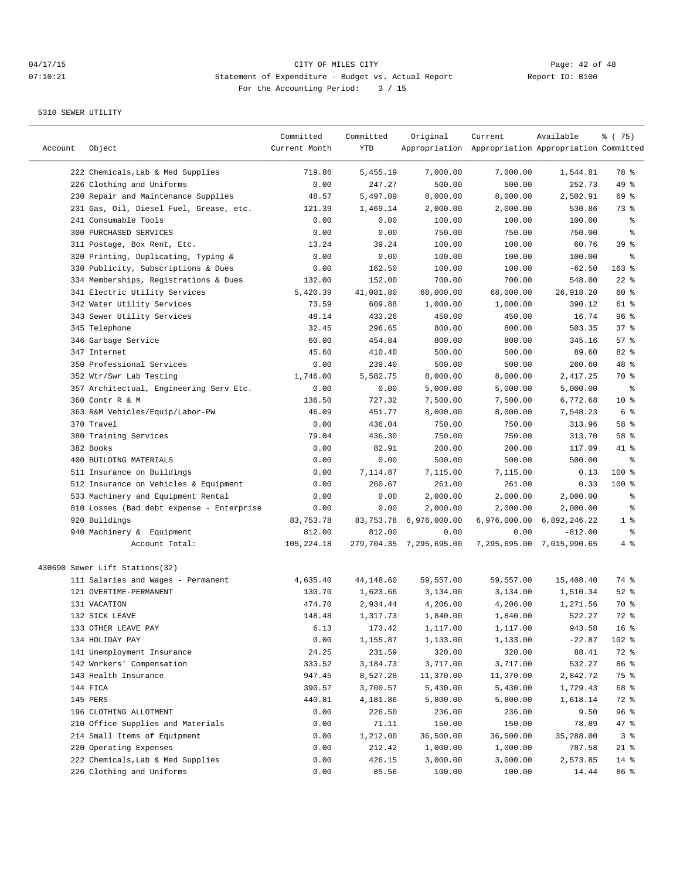| Account | Object                                                                         | Committed<br>Current Month | Committed<br>YTD   | Original                | Current<br>Appropriation Appropriation Appropriation Committed | Available                 | ៖ (75)          |
|---------|--------------------------------------------------------------------------------|----------------------------|--------------------|-------------------------|----------------------------------------------------------------|---------------------------|-----------------|
|         |                                                                                |                            |                    |                         |                                                                |                           |                 |
|         | 222 Chemicals, Lab & Med Supplies<br>226 Clothing and Uniforms                 | 719.86                     | 5,455.19           | 7,000.00<br>500.00      | 7,000.00                                                       | 1,544.81<br>252.73        | 78 %            |
|         |                                                                                | 0.00<br>48.57              | 247.27<br>5,497.09 | 8,000.00                | 500.00                                                         | 2,502.91                  | 49 %<br>69 %    |
|         | 230 Repair and Maintenance Supplies<br>231 Gas, Oil, Diesel Fuel, Grease, etc. |                            |                    | 2,000.00                | 8,000.00<br>2,000.00                                           |                           | 73 %            |
|         | 241 Consumable Tools                                                           | 121.39                     | 1,469.14<br>0.00   |                         |                                                                | 530.86                    | နွ              |
|         | <b>300 PURCHASED SERVICES</b>                                                  | 0.00                       |                    | 100.00                  | 100.00                                                         | 100.00                    | န္              |
|         |                                                                                | 0.00                       | 0.00<br>39.24      | 750.00                  | 750.00<br>100.00                                               | 750.00                    | 39%             |
|         | 311 Postage, Box Rent, Etc.                                                    | 13.24<br>0.00              | 0.00               | 100.00<br>100.00        |                                                                | 60.76                     | ႜ               |
|         | 320 Printing, Duplicating, Typing &                                            | 0.00                       | 162.50             | 100.00                  | 100.00<br>100.00                                               | 100.00<br>$-62.50$        | $163$ %         |
|         | 330 Publicity, Subscriptions & Dues                                            |                            |                    |                         |                                                                |                           | $22$ %          |
|         | 334 Memberships, Registrations & Dues                                          | 132.00                     | 152.00             | 700.00                  | 700.00                                                         | 548.00                    |                 |
|         | 341 Electric Utility Services                                                  | 5,420.39                   | 41,081.80          | 68,000.00               | 68,000.00                                                      | 26,918.20                 | 60 %            |
|         | 342 Water Utility Services                                                     | 73.59                      | 609.88             | 1,000.00                | 1,000.00                                                       | 390.12                    | 61 %            |
|         | 343 Sewer Utility Services                                                     | 48.14                      | 433.26             | 450.00                  | 450.00                                                         | 16.74                     | 96%             |
|         | 345 Telephone                                                                  | 32.45                      | 296.65             | 800.00                  | 800.00                                                         | 503.35                    | 37%             |
|         | 346 Garbage Service                                                            | 60.00                      | 454.84             | 800.00                  | 800.00                                                         | 345.16                    | 57%             |
|         | 347 Internet                                                                   | 45.60                      | 410.40             | 500.00                  | 500.00                                                         | 89.60                     | 82 %            |
|         | 350 Professional Services                                                      | 0.00                       | 239.40             | 500.00                  | 500.00                                                         | 260.60                    | 48 %            |
|         | 352 Wtr/Swr Lab Testing                                                        | 1,746.00                   | 5,582.75           | 8,000.00                | 8,000.00                                                       | 2,417.25                  | 70 %            |
|         | 357 Architectual, Engineering Serv Etc.                                        | 0.00                       | 0.00               | 5,000.00                | 5,000.00                                                       | 5,000.00                  | နွ              |
|         | 360 Contr R & M                                                                | 136.50                     | 727.32             | 7,500.00                | 7,500.00                                                       | 6,772.68                  | 10 <sup>8</sup> |
|         | 363 R&M Vehicles/Equip/Labor-PW                                                | 46.09                      | 451.77             | 8,000.00                | 8,000.00                                                       | 7,548.23                  | 6 %             |
|         | 370 Travel                                                                     | 0.00                       | 436.04             | 750.00                  | 750.00                                                         | 313.96                    | 58 %            |
|         | 380 Training Services                                                          | 79.04                      | 436.30             | 750.00                  | 750.00                                                         | 313.70                    | 58 %            |
|         | 382 Books                                                                      | 0.00                       | 82.91              | 200.00                  | 200.00                                                         | 117.09                    | 41 %            |
|         | 400 BUILDING MATERIALS                                                         | 0.00                       | 0.00               | 500.00                  | 500.00                                                         | 500.00                    | ి               |
|         | 511 Insurance on Buildings                                                     | 0.00                       | 7,114.87           | 7,115.00                | 7,115.00                                                       | 0.13                      | $100$ %         |
|         | 512 Insurance on Vehicles & Equipment                                          | 0.00                       | 260.67             | 261.00                  | 261.00                                                         | 0.33                      | $100$ %         |
|         | 533 Machinery and Equipment Rental                                             | 0.00                       | 0.00               | 2,000.00                | 2,000.00                                                       | 2,000.00                  | ႜ               |
|         | 810 Losses (Bad debt expense - Enterprise                                      | 0.00                       | 0.00               | 2,000.00                | 2,000.00                                                       | 2,000.00                  | န္              |
|         | 920 Buildings                                                                  | 83,753.78                  | 83,753.78          | 6,976,000.00            |                                                                | 6,976,000.00 6,892,246.22 | 1 <sup>°</sup>  |
|         | 940 Machinery & Equipment                                                      | 812.00                     | 812.00             | 0.00                    | 0.00                                                           | $-812.00$                 | ್ಠಿ             |
|         | Account Total:                                                                 | 105,224.18                 |                    | 279,704.35 7,295,695.00 |                                                                | 7,295,695.00 7,015,990.65 | 4%              |
|         | 430690 Sewer Lift Stations(32)                                                 |                            |                    |                         |                                                                |                           |                 |
|         | 111 Salaries and Wages - Permanent                                             | 4,635.40                   | 44,148.60          | 59,557.00               | 59,557.00                                                      | 15,408.40                 | 74 %            |
|         | 121 OVERTIME-PERMANENT                                                         | 130.70                     | 1,623.66           | 3,134.00                | 3,134.00                                                       | 1,510.34                  | $52$ $%$        |
|         | 131 VACATION                                                                   | 474.70                     | 2,934.44           | 4,206.00                | 4,206.00                                                       | 1,271.56                  | 70 %            |
|         | 132 SICK LEAVE                                                                 | 148.48                     | 1,317.73           | 1,840.00                | 1,840.00                                                       | 522.27                    | 72 %            |
|         | 133 OTHER LEAVE PAY                                                            | 6.13                       | 173.42             | 1,117.00                | 1,117.00                                                       | 943.58                    | 16 <sup>°</sup> |
|         | 134 HOLIDAY PAY                                                                | 0.00                       | 1,155.87           | 1,133.00                | 1,133.00                                                       | $-22.87$                  | 102 %           |
|         | 141 Unemployment Insurance                                                     | 24.25                      | 231.59             | 320.00                  | 320.00                                                         | 88.41                     | 72 %            |
|         | 142 Workers' Compensation                                                      | 333.52                     | 3,184.73           | 3,717.00                | 3,717.00                                                       | 532.27                    | 86 %            |
|         | 143 Health Insurance                                                           | 947.45                     | 8,527.28           | 11,370.00               | 11,370.00                                                      | 2,842.72                  | 75 %            |
|         | 144 FICA                                                                       | 390.57                     | 3,700.57           | 5,430.00                | 5,430.00                                                       | 1,729.43                  | 68 %            |
|         | 145 PERS                                                                       | 440.81                     | 4,181.86           | 5,800.00                | 5,800.00                                                       | 1,618.14                  | 72 %            |
|         | 196 CLOTHING ALLOTMENT                                                         | 0.00                       | 226.50             | 236.00                  | 236.00                                                         | 9.50                      | 96 %            |
|         | 210 Office Supplies and Materials                                              | 0.00                       | 71.11              | 150.00                  | 150.00                                                         | 78.89                     | $47$ %          |
|         | 214 Small Items of Equipment                                                   | 0.00                       | 1,212.00           | 36,500.00               | 36,500.00                                                      | 35,288.00                 | 3%              |
|         | 220 Operating Expenses                                                         | 0.00                       | 212.42             | 1,000.00                | 1,000.00                                                       | 787.58                    | $21$ %          |
|         | 222 Chemicals, Lab & Med Supplies                                              | 0.00                       | 426.15             | 3,000.00                | 3,000.00                                                       | 2,573.85                  | $14$ %          |
|         | 226 Clothing and Uniforms                                                      | 0.00                       | 85.56              | 100.00                  | 100.00                                                         | 14.44                     | 86 %            |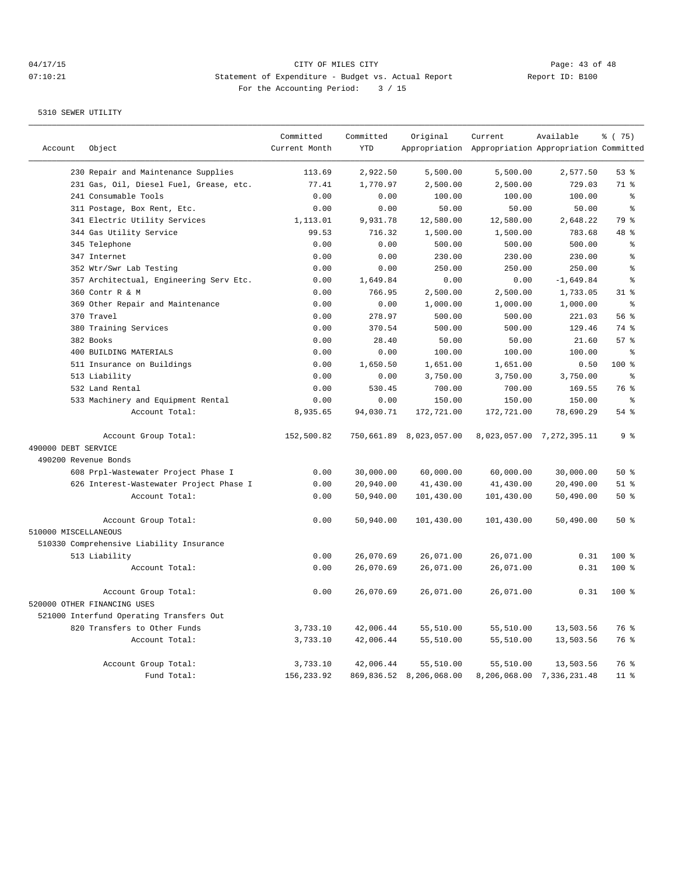|                      |                                          | Committed     | Committed  | Original                | Current                                             | Available                 | % (75)          |
|----------------------|------------------------------------------|---------------|------------|-------------------------|-----------------------------------------------------|---------------------------|-----------------|
| Account              | Object                                   | Current Month | <b>YTD</b> |                         | Appropriation Appropriation Appropriation Committed |                           |                 |
|                      | 230 Repair and Maintenance Supplies      | 113.69        | 2,922.50   | 5,500.00                | 5,500.00                                            | 2,577.50                  | 53%             |
|                      | 231 Gas, Oil, Diesel Fuel, Grease, etc.  | 77.41         | 1,770.97   | 2,500.00                | 2,500.00                                            | 729.03                    | 71 %            |
|                      | 241 Consumable Tools                     | 0.00          | 0.00       | 100.00                  | 100.00                                              | 100.00                    | ⊱               |
|                      | 311 Postage, Box Rent, Etc.              | 0.00          | 0.00       | 50.00                   | 50.00                                               | 50.00                     | ి               |
|                      | 341 Electric Utility Services            | 1,113.01      | 9,931.78   | 12,580.00               | 12,580.00                                           | 2,648.22                  | 79 %            |
|                      | 344 Gas Utility Service                  | 99.53         | 716.32     | 1,500.00                | 1,500.00                                            | 783.68                    | 48 %            |
|                      | 345 Telephone                            | 0.00          | 0.00       | 500.00                  | 500.00                                              | 500.00                    | ి               |
|                      | 347 Internet                             | 0.00          | 0.00       | 230.00                  | 230.00                                              | 230.00                    | $\approx$       |
|                      | 352 Wtr/Swr Lab Testing                  | 0.00          | 0.00       | 250.00                  | 250.00                                              | 250.00                    | န္              |
|                      | 357 Architectual, Engineering Serv Etc.  | 0.00          | 1,649.84   | 0.00                    | 0.00                                                | $-1,649.84$               | $\approx$       |
|                      | 360 Contr R & M                          | 0.00          | 766.95     | 2,500.00                | 2,500.00                                            | 1,733.05                  | $31$ %          |
|                      | 369 Other Repair and Maintenance         | 0.00          | 0.00       | 1,000.00                | 1,000.00                                            | 1,000.00                  | န္              |
|                      | 370 Travel                               | 0.00          | 278.97     | 500.00                  | 500.00                                              | 221.03                    | 56%             |
|                      | 380 Training Services                    | 0.00          | 370.54     | 500.00                  | 500.00                                              | 129.46                    | 74 %            |
|                      | 382 Books                                | 0.00          | 28.40      | 50.00                   | 50.00                                               | 21.60                     | 57 <sub>8</sub> |
|                      | 400 BUILDING MATERIALS                   | 0.00          | 0.00       | 100.00                  | 100.00                                              | 100.00                    | န္              |
|                      | 511 Insurance on Buildings               | 0.00          | 1,650.50   | 1,651.00                | 1,651.00                                            | 0.50                      | $100*$          |
|                      | 513 Liability                            | 0.00          | 0.00       | 3,750.00                | 3,750.00                                            | 3,750.00                  | န္              |
|                      | 532 Land Rental                          | 0.00          | 530.45     | 700.00                  | 700.00                                              | 169.55                    | 76 %            |
|                      | 533 Machinery and Equipment Rental       | 0.00          | 0.00       | 150.00                  | 150.00                                              | 150.00                    | ⊱               |
|                      | Account Total:                           | 8,935.65      | 94,030.71  | 172,721.00              | 172,721.00                                          | 78,690.29                 | 54 %            |
|                      | Account Group Total:                     | 152,500.82    |            | 750,661.89 8,023,057.00 |                                                     | 8,023,057.00 7,272,395.11 | 9 <sup>°</sup>  |
| 490000 DEBT SERVICE  |                                          |               |            |                         |                                                     |                           |                 |
| 490200 Revenue Bonds |                                          |               |            |                         |                                                     |                           |                 |
|                      | 608 Prpl-Wastewater Project Phase I      | 0.00          | 30,000.00  | 60,000.00               | 60,000.00                                           | 30,000.00                 | 50%             |
|                      | 626 Interest-Wastewater Project Phase I  | 0.00          | 20,940.00  | 41,430.00               | 41,430.00                                           | 20,490.00                 | $51$ %          |
|                      | Account Total:                           | 0.00          | 50,940.00  | 101,430.00              | 101,430.00                                          | 50,490.00                 | 50%             |
|                      | Account Group Total:                     | 0.00          | 50,940.00  | 101,430.00              | 101,430.00                                          | 50,490.00                 | 50%             |
| 510000 MISCELLANEOUS |                                          |               |            |                         |                                                     |                           |                 |
|                      | 510330 Comprehensive Liability Insurance |               |            |                         |                                                     |                           |                 |
|                      | 513 Liability                            | 0.00          | 26,070.69  | 26,071.00               | 26,071.00                                           | 0.31                      | $100*$          |
|                      | Account Total:                           | 0.00          | 26,070.69  | 26,071.00               | 26,071.00                                           | 0.31                      | 100 %           |
|                      | Account Group Total:                     | 0.00          | 26,070.69  | 26,071.00               | 26,071.00                                           | 0.31                      | $100*$          |
|                      | 520000 OTHER FINANCING USES              |               |            |                         |                                                     |                           |                 |
|                      | 521000 Interfund Operating Transfers Out |               |            |                         |                                                     |                           |                 |
|                      | 820 Transfers to Other Funds             | 3,733.10      | 42,006.44  | 55,510.00               | 55,510.00                                           | 13,503.56                 | 76 %            |
|                      | Account Total:                           | 3,733.10      | 42,006.44  | 55,510.00               | 55,510.00                                           | 13,503.56                 | 76 %            |
|                      | Account Group Total:                     | 3,733.10      | 42,006.44  | 55,510.00               | 55,510.00                                           | 13,503.56                 | 76 %            |
|                      | Fund Total:                              | 156, 233.92   |            | 869,836.52 8,206,068.00 |                                                     | 8,206,068.00 7,336,231.48 | $11$ %          |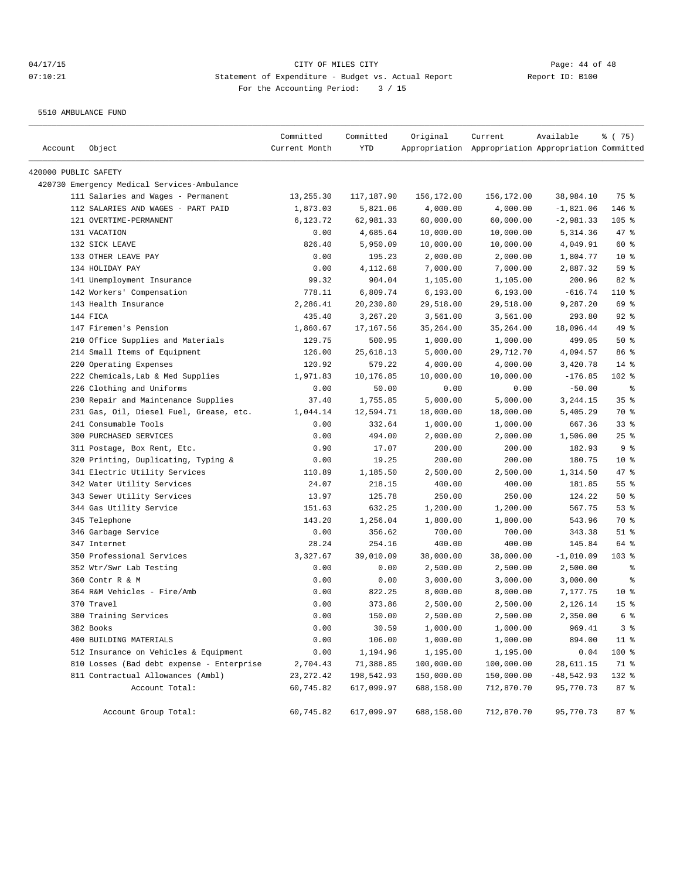5510 AMBULANCE FUND

| Account              | Object                                      | Committed<br>Current Month | Committed<br>YTD | Original   | Current<br>Appropriation Appropriation Appropriation Committed | Available    | ៖ (75)          |
|----------------------|---------------------------------------------|----------------------------|------------------|------------|----------------------------------------------------------------|--------------|-----------------|
|                      |                                             |                            |                  |            |                                                                |              |                 |
| 420000 PUBLIC SAFETY |                                             |                            |                  |            |                                                                |              |                 |
|                      | 420730 Emergency Medical Services-Ambulance |                            |                  |            |                                                                |              |                 |
|                      | 111 Salaries and Wages - Permanent          | 13,255.30                  | 117,187.90       | 156,172.00 | 156,172.00                                                     | 38,984.10    | 75 %            |
|                      | 112 SALARIES AND WAGES - PART PAID          | 1,873.03                   | 5,821.06         | 4,000.00   | 4,000.00                                                       | $-1,821.06$  | 146 %           |
|                      | 121 OVERTIME-PERMANENT                      | 6,123.72                   | 62,981.33        | 60,000.00  | 60,000.00                                                      | $-2,981.33$  | $105$ %         |
|                      | 131 VACATION                                | 0.00                       | 4,685.64         | 10,000.00  | 10,000.00                                                      | 5,314.36     | 47 %            |
|                      | 132 SICK LEAVE                              | 826.40                     | 5,950.09         | 10,000.00  | 10,000.00                                                      | 4,049.91     | 60 %            |
|                      | 133 OTHER LEAVE PAY                         | 0.00                       | 195.23           | 2,000.00   | 2,000.00                                                       | 1,804.77     | $10*$           |
|                      | 134 HOLIDAY PAY                             | 0.00                       | 4,112.68         | 7,000.00   | 7,000.00                                                       | 2,887.32     | 59 %            |
|                      | 141 Unemployment Insurance                  | 99.32                      | 904.04           | 1,105.00   | 1,105.00                                                       | 200.96       | 82%             |
|                      | 142 Workers' Compensation                   | 778.11                     | 6,809.74         | 6, 193.00  | 6, 193.00                                                      | $-616.74$    | 110 %           |
|                      | 143 Health Insurance                        | 2,286.41                   | 20,230.80        | 29,518.00  | 29,518.00                                                      | 9,287.20     | 69 %            |
|                      | 144 FICA                                    | 435.40                     | 3,267.20         | 3,561.00   | 3,561.00                                                       | 293.80       | $92$ $%$        |
|                      | 147 Firemen's Pension                       | 1,860.67                   | 17,167.56        | 35,264.00  | 35,264.00                                                      | 18,096.44    | 49 %            |
|                      | 210 Office Supplies and Materials           | 129.75                     | 500.95           | 1,000.00   | 1,000.00                                                       | 499.05       | 50%             |
|                      | 214 Small Items of Equipment                | 126.00                     | 25,618.13        | 5,000.00   | 29,712.70                                                      | 4,094.57     | 86 %            |
|                      | 220 Operating Expenses                      | 120.92                     | 579.22           | 4,000.00   | 4,000.00                                                       | 3,420.78     | $14$ %          |
|                      | 222 Chemicals, Lab & Med Supplies           | 1,971.83                   | 10,176.85        | 10,000.00  | 10,000.00                                                      | $-176.85$    | 102 %           |
|                      | 226 Clothing and Uniforms                   | 0.00                       | 50.00            | 0.00       | 0.00                                                           | $-50.00$     | နွ              |
|                      | 230 Repair and Maintenance Supplies         | 37.40                      | 1,755.85         | 5,000.00   | 5,000.00                                                       | 3,244.15     | 35%             |
|                      | 231 Gas, Oil, Diesel Fuel, Grease, etc.     | 1,044.14                   | 12,594.71        | 18,000.00  | 18,000.00                                                      | 5,405.29     | 70 %            |
|                      | 241 Consumable Tools                        | 0.00                       | 332.64           | 1,000.00   | 1,000.00                                                       | 667.36       | $33$ $%$        |
|                      | 300 PURCHASED SERVICES                      | 0.00                       | 494.00           | 2,000.00   | 2,000.00                                                       | 1,506.00     | $25$ %          |
|                      | 311 Postage, Box Rent, Etc.                 | 0.90                       | 17.07            | 200.00     | 200.00                                                         | 182.93       | 9%              |
|                      | 320 Printing, Duplicating, Typing &         | 0.00                       | 19.25            | 200.00     | 200.00                                                         | 180.75       | 10 <sup>8</sup> |
|                      | 341 Electric Utility Services               | 110.89                     | 1,185.50         | 2,500.00   | 2,500.00                                                       | 1,314.50     | $47$ %          |
|                      | 342 Water Utility Services                  | 24.07                      | 218.15           | 400.00     | 400.00                                                         | 181.85       | 55%             |
|                      | 343 Sewer Utility Services                  | 13.97                      | 125.78           | 250.00     | 250.00                                                         | 124.22       | 50%             |
|                      | 344 Gas Utility Service                     | 151.63                     | 632.25           | 1,200.00   | 1,200.00                                                       | 567.75       | 53%             |
|                      | 345 Telephone                               | 143.20                     | 1,256.04         | 1,800.00   | 1,800.00                                                       | 543.96       | 70 %            |
|                      | 346 Garbage Service                         | 0.00                       | 356.62           | 700.00     | 700.00                                                         | 343.38       | $51$ %          |
|                      | 347 Internet                                | 28.24                      | 254.16           | 400.00     | 400.00                                                         | 145.84       | 64 %            |
|                      | 350 Professional Services                   | 3,327.67                   | 39,010.09        | 38,000.00  | 38,000.00                                                      | $-1,010.09$  | $103$ %         |
|                      | 352 Wtr/Swr Lab Testing                     | 0.00                       | 0.00             | 2,500.00   | 2,500.00                                                       | 2,500.00     | ႜ               |
|                      | 360 Contr R & M                             | 0.00                       | 0.00             | 3,000.00   | 3,000.00                                                       | 3,000.00     | နွ              |
|                      | 364 R&M Vehicles - Fire/Amb                 | 0.00                       | 822.25           | 8,000.00   | 8,000.00                                                       | 7,177.75     | $10*$           |
|                      | 370 Travel                                  | 0.00                       | 373.86           | 2,500.00   | 2,500.00                                                       | 2,126.14     | 15 <sup>°</sup> |
|                      | 380 Training Services                       | 0.00                       | 150.00           | 2,500.00   | 2,500.00                                                       | 2,350.00     | 6 %             |
|                      | 382 Books                                   | 0.00                       | 30.59            | 1,000.00   | 1,000.00                                                       | 969.41       | 3 <sup>8</sup>  |
|                      | 400 BUILDING MATERIALS                      | 0.00                       | 106.00           | 1,000.00   | 1,000.00                                                       | 894.00       | $11$ %          |
|                      | 512 Insurance on Vehicles & Equipment       | 0.00                       | 1,194.96         | 1,195.00   | 1,195.00                                                       | 0.04         | 100 %           |
|                      | 810 Losses (Bad debt expense - Enterprise   | 2,704.43                   | 71,388.85        | 100,000.00 | 100,000.00                                                     | 28,611.15    | 71 %            |
|                      | 811 Contractual Allowances (Ambl)           | 23, 272.42                 | 198,542.93       | 150,000.00 | 150,000.00                                                     | $-48,542.93$ | 132 %           |
|                      | Account Total:                              | 60,745.82                  | 617,099.97       | 688,158.00 | 712,870.70                                                     | 95,770.73    | 87 %            |
|                      | Account Group Total:                        | 60,745.82                  | 617,099.97       | 688,158.00 | 712,870.70                                                     | 95,770.73    | 87%             |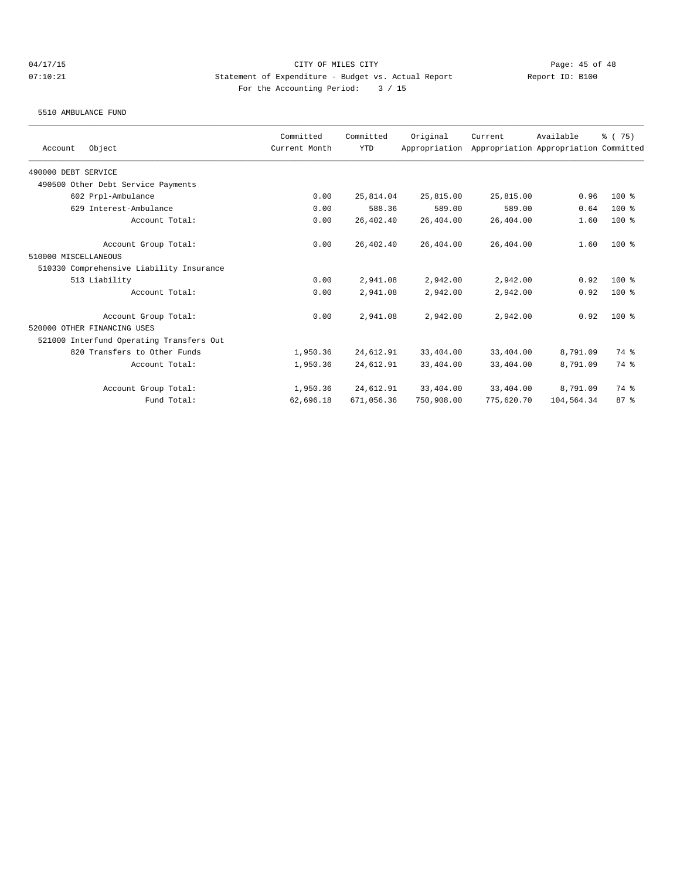5510 AMBULANCE FUND

| Object<br>Account                        | Committed<br>Current Month | Committed<br><b>YTD</b> | Original<br>Appropriation | Current    | Available<br>Appropriation Appropriation Committed | % (75)  |
|------------------------------------------|----------------------------|-------------------------|---------------------------|------------|----------------------------------------------------|---------|
| 490000 DEBT SERVICE                      |                            |                         |                           |            |                                                    |         |
| 490500 Other Debt Service Payments       |                            |                         |                           |            |                                                    |         |
| 602 Prpl-Ambulance                       | 0.00                       | 25,814.04               | 25,815.00                 | 25,815.00  | 0.96                                               | $100$ % |
| 629 Interest-Ambulance                   | 0.00                       | 588.36                  | 589.00                    | 589.00     | 0.64                                               | $100$ % |
| Account Total:                           | 0.00                       | 26,402.40               | 26,404.00                 | 26,404.00  | 1.60                                               | $100$ % |
| Account Group Total:                     | 0.00                       | 26,402.40               | 26,404.00                 | 26,404.00  | 1.60                                               | $100$ % |
| 510000 MISCELLANEOUS                     |                            |                         |                           |            |                                                    |         |
| 510330 Comprehensive Liability Insurance |                            |                         |                           |            |                                                    |         |
| 513 Liability                            | 0.00                       | 2,941.08                | 2,942.00                  | 2,942.00   | 0.92                                               | $100*$  |
| Account Total:                           | 0.00                       | 2,941.08                | 2,942.00                  | 2,942.00   | 0.92                                               | $100$ % |
| Account Group Total:                     | 0.00                       | 2,941.08                | 2,942.00                  | 2,942.00   | 0.92                                               | $100*$  |
| 520000 OTHER FINANCING USES              |                            |                         |                           |            |                                                    |         |
| 521000 Interfund Operating Transfers Out |                            |                         |                           |            |                                                    |         |
| 820 Transfers to Other Funds             | 1,950.36                   | 24,612.91               | 33,404.00                 | 33,404.00  | 8,791.09                                           | 74 %    |
| Account Total:                           | 1,950.36                   | 24,612.91               | 33,404.00                 | 33,404.00  | 8,791.09                                           | 74 %    |
| Account Group Total:                     | 1,950.36                   | 24,612.91               | 33,404.00                 | 33,404.00  | 8,791.09                                           | 74 %    |
| Fund Total:                              | 62,696.18                  | 671,056.36              | 750,908.00                | 775,620.70 | 104,564.34                                         | 87%     |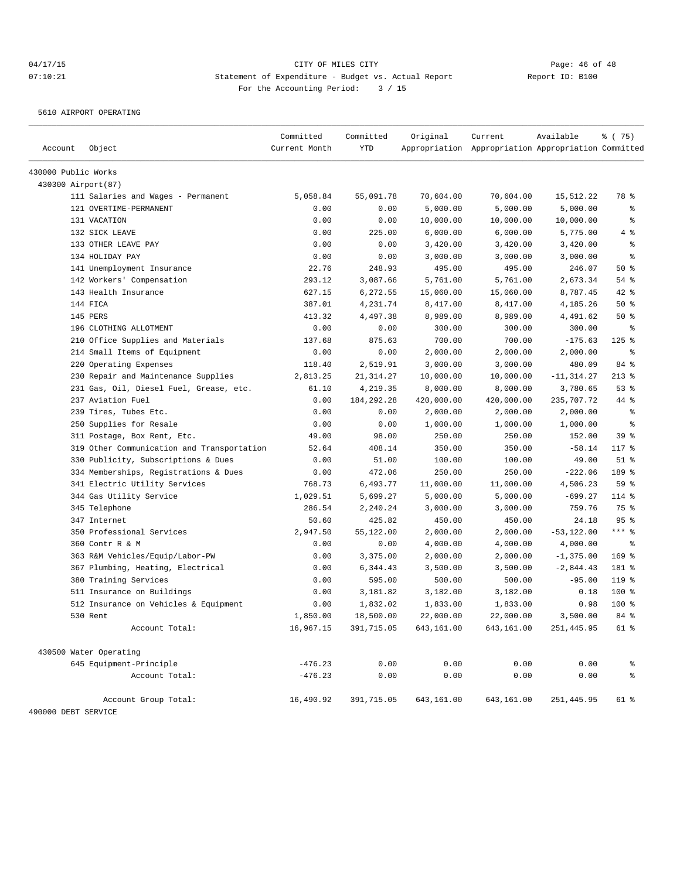5610 AIRPORT OPERATING

|                     |                                            | Committed<br>Current Month | Committed<br><b>YTD</b> | Original   | Current                                             | Available     | % (75)                   |
|---------------------|--------------------------------------------|----------------------------|-------------------------|------------|-----------------------------------------------------|---------------|--------------------------|
| Account             | Object                                     |                            |                         |            | Appropriation Appropriation Appropriation Committed |               |                          |
| 430000 Public Works |                                            |                            |                         |            |                                                     |               |                          |
| 430300 Airport (87) |                                            |                            |                         |            |                                                     |               |                          |
|                     | 111 Salaries and Wages - Permanent         | 5,058.84                   | 55,091.78               | 70,604.00  | 70,604.00                                           | 15,512.22     | 78 %                     |
|                     | 121 OVERTIME-PERMANENT                     | 0.00                       | 0.00                    | 5,000.00   | 5,000.00                                            | 5,000.00      | နွ                       |
|                     | 131 VACATION                               | 0.00                       | 0.00                    | 10,000.00  | 10,000.00                                           | 10,000.00     | ి                        |
|                     | 132 SICK LEAVE                             | 0.00                       | 225.00                  | 6,000.00   | 6,000.00                                            | 5,775.00      | 4%                       |
|                     | 133 OTHER LEAVE PAY                        | 0.00                       | 0.00                    | 3,420.00   | 3,420.00                                            | 3,420.00      | $\epsilon$               |
|                     | 134 HOLIDAY PAY                            | 0.00                       | 0.00                    | 3,000.00   | 3,000.00                                            | 3,000.00      | ి                        |
|                     | 141 Unemployment Insurance                 | 22.76                      | 248.93                  | 495.00     | 495.00                                              | 246.07        | 50%                      |
|                     | 142 Workers' Compensation                  | 293.12                     | 3,087.66                | 5,761.00   | 5,761.00                                            | 2,673.34      | 54 %                     |
|                     | 143 Health Insurance                       | 627.15                     | 6,272.55                | 15,060.00  | 15,060.00                                           | 8,787.45      | 42 %                     |
|                     | 144 FICA                                   | 387.01                     | 4,231.74                | 8,417.00   | 8,417.00                                            | 4,185.26      | 50%                      |
|                     | 145 PERS                                   | 413.32                     | 4,497.38                | 8,989.00   | 8,989.00                                            | 4,491.62      | 50%                      |
|                     | 196 CLOTHING ALLOTMENT                     | 0.00                       | 0.00                    | 300.00     | 300.00                                              | 300.00        | $\epsilon$               |
|                     | 210 Office Supplies and Materials          | 137.68                     | 875.63                  | 700.00     | 700.00                                              | $-175.63$     | $125$ %                  |
|                     | 214 Small Items of Equipment               | 0.00                       | 0.00                    | 2,000.00   | 2,000.00                                            | 2,000.00      | $\epsilon$               |
|                     | 220 Operating Expenses                     | 118.40                     | 2,519.91                | 3,000.00   | 3,000.00                                            | 480.09        | 84 %                     |
|                     | 230 Repair and Maintenance Supplies        | 2,813.25                   | 21, 314. 27             | 10,000.00  | 10,000.00                                           | $-11, 314.27$ | $213$ %                  |
|                     | 231 Gas, Oil, Diesel Fuel, Grease, etc.    | 61.10                      | 4,219.35                | 8,000.00   | 8,000.00                                            | 3,780.65      | 53%                      |
|                     | 237 Aviation Fuel                          | 0.00                       | 184, 292. 28            | 420,000.00 | 420,000.00                                          | 235,707.72    | 44 %                     |
|                     | 239 Tires, Tubes Etc.                      | 0.00                       | 0.00                    | 2,000.00   | 2,000.00                                            | 2,000.00      | $\epsilon$               |
|                     | 250 Supplies for Resale                    | 0.00                       | 0.00                    | 1,000.00   | 1,000.00                                            | 1,000.00      | နွ                       |
|                     | 311 Postage, Box Rent, Etc.                | 49.00                      | 98.00                   | 250.00     | 250.00                                              | 152.00        | 39%                      |
|                     | 319 Other Communication and Transportation | 52.64                      | 408.14                  | 350.00     | 350.00                                              | $-58.14$      | 117 %                    |
|                     | 330 Publicity, Subscriptions & Dues        | 0.00                       | 51.00                   | 100.00     | 100.00                                              | 49.00         | $51$ %                   |
|                     | 334 Memberships, Registrations & Dues      | 0.00                       | 472.06                  | 250.00     | 250.00                                              | $-222.06$     | 189 %                    |
|                     | 341 Electric Utility Services              | 768.73                     | 6,493.77                | 11,000.00  | 11,000.00                                           | 4,506.23      | 59 %                     |
|                     | 344 Gas Utility Service                    | 1,029.51                   | 5,699.27                | 5,000.00   | 5,000.00                                            | $-699.27$     | 114 %                    |
|                     | 345 Telephone                              | 286.54                     | 2,240.24                | 3,000.00   | 3,000.00                                            | 759.76        | 75 %                     |
|                     | 347 Internet                               | 50.60                      | 425.82                  | 450.00     | 450.00                                              | 24.18         | 95%                      |
|                     | 350 Professional Services                  | 2,947.50                   | 55,122.00               | 2,000.00   | 2,000.00                                            | $-53, 122.00$ | $***$ $_{8}$             |
|                     | 360 Contr R & M                            | 0.00                       | 0.00                    | 4,000.00   | 4,000.00                                            | 4,000.00      | နွ                       |
|                     | 363 R&M Vehicles/Equip/Labor-PW            | 0.00                       | 3,375.00                | 2,000.00   | 2,000.00                                            | $-1,375.00$   | $169$ %                  |
|                     | 367 Plumbing, Heating, Electrical          | 0.00                       | 6,344.43                | 3,500.00   | 3,500.00                                            | $-2,844.43$   | 181 %                    |
|                     | 380 Training Services                      | 0.00                       | 595.00                  | 500.00     | 500.00                                              | $-95.00$      | 119.8                    |
|                     | 511 Insurance on Buildings                 | 0.00                       | 3,181.82                | 3,182.00   | 3,182.00                                            | 0.18          | 100 %                    |
|                     | 512 Insurance on Vehicles & Equipment      | 0.00                       | 1,832.02                | 1,833.00   | 1,833.00                                            | 0.98          | 100 %                    |
|                     | 530 Rent                                   | 1,850.00                   | 18,500.00               | 22,000.00  | 22,000.00                                           | 3,500.00      | 84 %                     |
|                     | Account Total:                             | 16,967.15                  | 391,715.05              | 643,161.00 | 643,161.00                                          | 251, 445.95   | 61 %                     |
|                     |                                            |                            |                         |            |                                                     |               |                          |
|                     | 430500 Water Operating                     |                            |                         |            |                                                     |               |                          |
|                     | 645 Equipment-Principle                    | $-476.23$                  | 0.00                    | 0.00       | 0.00                                                | 0.00          | ိင                       |
|                     | Account Total:                             | $-476.23$                  | 0.00                    | 0.00       | 0.00                                                | 0.00          | $\,{}^{\circ}\!\!\delta$ |
|                     | Account Group Total:                       | 16,490.92                  | 391,715.05              | 643,161.00 | 643,161.00                                          | 251,445.95    | 61 %                     |
| 490000 DEBT SERVICE |                                            |                            |                         |            |                                                     |               |                          |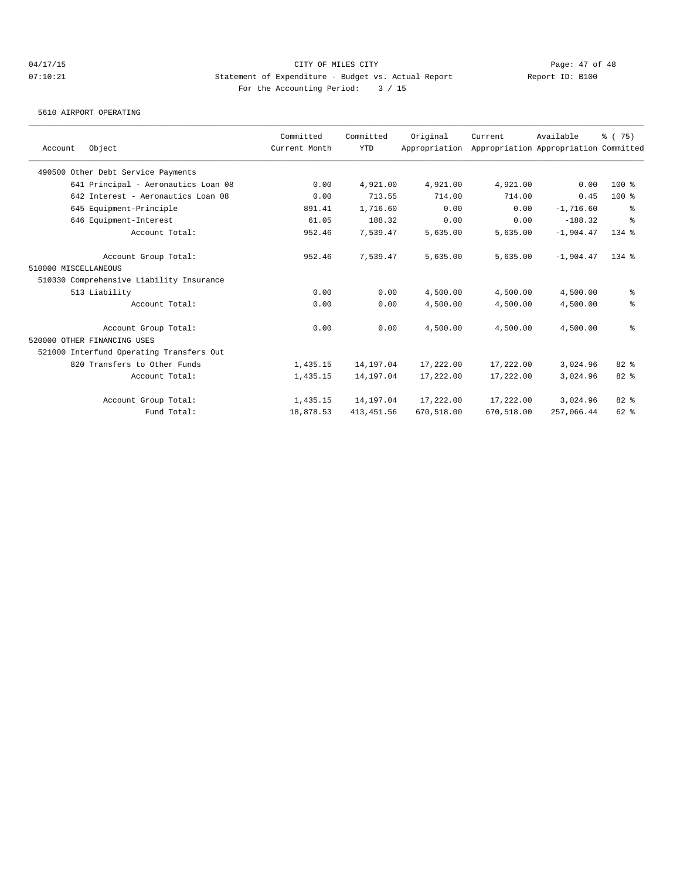5610 AIRPORT OPERATING

|                                          | Committed     | Committed   | Original      | Current    | Available                             | % (75)    |
|------------------------------------------|---------------|-------------|---------------|------------|---------------------------------------|-----------|
| Object<br>Account                        | Current Month | <b>YTD</b>  | Appropriation |            | Appropriation Appropriation Committed |           |
| 490500 Other Debt Service Payments       |               |             |               |            |                                       |           |
| 641 Principal - Aeronautics Loan 08      | 0.00          | 4,921.00    | 4,921.00      | 4,921.00   | 0.00                                  | $100$ %   |
| 642 Interest - Aeronautics Loan 08       | 0.00          | 713.55      | 714.00        | 714.00     | 0.45                                  | $100$ %   |
| 645 Equipment-Principle                  | 891.41        | 1,716.60    | 0.00          | 0.00       | $-1,716.60$                           | နွ        |
| 646 Equipment-Interest                   | 61.05         | 188.32      | 0.00          | 0.00       | $-188.32$                             | နွ        |
| Account Total:                           | 952.46        | 7,539.47    | 5,635.00      | 5,635.00   | $-1.904.47$                           | $134$ $%$ |
| Account Group Total:                     | 952.46        | 7,539.47    | 5,635.00      | 5,635.00   | $-1.904.47$                           | $134$ $%$ |
| 510000 MISCELLANEOUS                     |               |             |               |            |                                       |           |
| 510330 Comprehensive Liability Insurance |               |             |               |            |                                       |           |
| 513 Liability                            | 0.00          | 0.00        | 4,500.00      | 4,500.00   | 4,500.00                              | နွ        |
| Account Total:                           | 0.00          | 0.00        | 4,500.00      | 4,500.00   | 4,500.00                              | နွ        |
| Account Group Total:                     | 0.00          | 0.00        | 4,500.00      | 4,500.00   | 4,500.00                              | နွ        |
| 520000 OTHER FINANCING USES              |               |             |               |            |                                       |           |
| 521000 Interfund Operating Transfers Out |               |             |               |            |                                       |           |
| 820 Transfers to Other Funds             | 1,435.15      | 14,197.04   | 17,222.00     | 17,222.00  | 3,024.96                              | $82*$     |
| Account Total:                           | 1,435.15      | 14,197.04   | 17,222.00     | 17,222.00  | 3,024.96                              | 82 %      |
| Account Group Total:                     | 1,435.15      | 14,197.04   | 17,222.00     | 17,222.00  | 3,024.96                              | 82 %      |
| Fund Total:                              | 18,878.53     | 413, 451.56 | 670,518.00    | 670,518.00 | 257,066.44                            | $62$ $%$  |